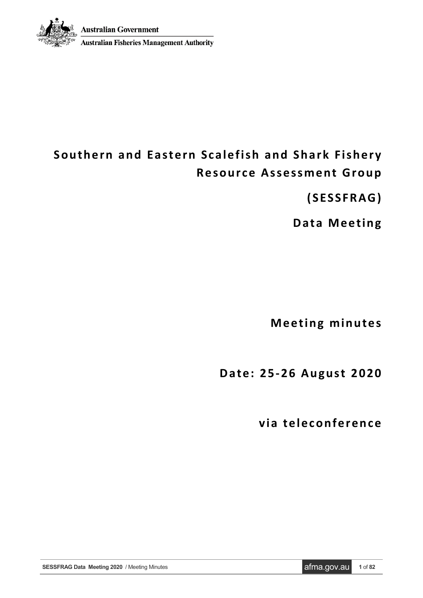

# **Australian Fisheries Management Authority**

# **Southern and Eastern Scalefish and Shark Fishery Resource Assessment Group**

**(SESSFRAG)**

**Data Meeting**

**Meeting minutes**

**Date: 2 5-26 August 2020**

**via teleconference**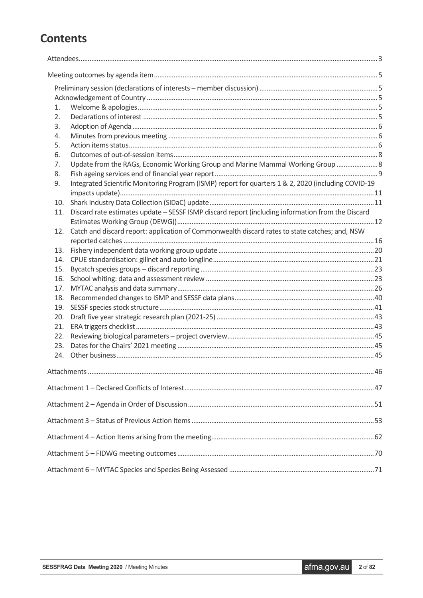# **Contents**

| 1.  |                                                                                                     |  |  |  |  |
|-----|-----------------------------------------------------------------------------------------------------|--|--|--|--|
| 2.  |                                                                                                     |  |  |  |  |
| 3.  |                                                                                                     |  |  |  |  |
| 4.  |                                                                                                     |  |  |  |  |
| 5.  |                                                                                                     |  |  |  |  |
| 6.  |                                                                                                     |  |  |  |  |
| 7.  | Update from the RAGs, Economic Working Group and Marine Mammal Working Group  8                     |  |  |  |  |
| 8.  |                                                                                                     |  |  |  |  |
| 9.  | Integrated Scientific Monitoring Program (ISMP) report for quarters 1 & 2, 2020 (including COVID-19 |  |  |  |  |
|     |                                                                                                     |  |  |  |  |
| 10. |                                                                                                     |  |  |  |  |
| 11. | Discard rate estimates update - SESSF ISMP discard report (including information from the Discard   |  |  |  |  |
|     |                                                                                                     |  |  |  |  |
| 12. | Catch and discard report: application of Commonwealth discard rates to state catches; and, NSW      |  |  |  |  |
|     |                                                                                                     |  |  |  |  |
| 13. |                                                                                                     |  |  |  |  |
| 14. |                                                                                                     |  |  |  |  |
| 15. |                                                                                                     |  |  |  |  |
| 16. |                                                                                                     |  |  |  |  |
| 17. |                                                                                                     |  |  |  |  |
| 18. |                                                                                                     |  |  |  |  |
| 19. |                                                                                                     |  |  |  |  |
| 20. |                                                                                                     |  |  |  |  |
| 21. |                                                                                                     |  |  |  |  |
| 22. |                                                                                                     |  |  |  |  |
| 23. |                                                                                                     |  |  |  |  |
| 24. |                                                                                                     |  |  |  |  |
|     |                                                                                                     |  |  |  |  |
|     |                                                                                                     |  |  |  |  |
|     |                                                                                                     |  |  |  |  |
|     |                                                                                                     |  |  |  |  |
|     |                                                                                                     |  |  |  |  |
|     |                                                                                                     |  |  |  |  |
|     |                                                                                                     |  |  |  |  |
|     |                                                                                                     |  |  |  |  |
|     |                                                                                                     |  |  |  |  |
|     |                                                                                                     |  |  |  |  |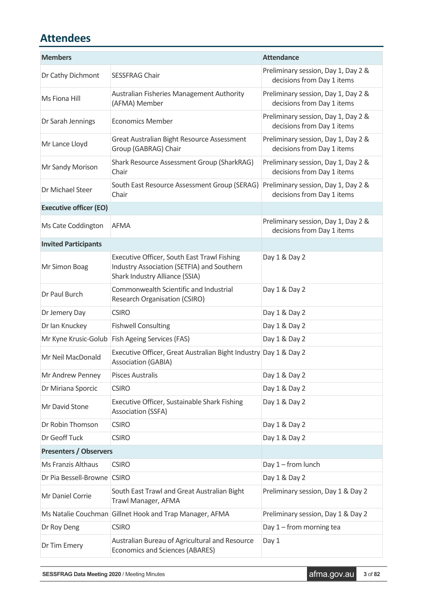# <span id="page-2-0"></span>**Attendees**

| <b>Members</b>                |                                                                                                                             | <b>Attendance</b>                                                 |
|-------------------------------|-----------------------------------------------------------------------------------------------------------------------------|-------------------------------------------------------------------|
| Dr Cathy Dichmont             | <b>SESSFRAG Chair</b>                                                                                                       | Preliminary session, Day 1, Day 2 &<br>decisions from Day 1 items |
| Ms Fiona Hill                 | Australian Fisheries Management Authority<br>(AFMA) Member                                                                  | Preliminary session, Day 1, Day 2 &<br>decisions from Day 1 items |
| Dr Sarah Jennings             | <b>Economics Member</b>                                                                                                     | Preliminary session, Day 1, Day 2 &<br>decisions from Day 1 items |
| Mr Lance Lloyd                | Great Australian Bight Resource Assessment<br>Group (GABRAG) Chair                                                          | Preliminary session, Day 1, Day 2 &<br>decisions from Day 1 items |
| Mr Sandy Morison              | Shark Resource Assessment Group (SharkRAG)<br>Chair                                                                         | Preliminary session, Day 1, Day 2 &<br>decisions from Day 1 items |
| Dr Michael Steer              | South East Resource Assessment Group (SERAG)<br>Chair                                                                       | Preliminary session, Day 1, Day 2 &<br>decisions from Day 1 items |
| <b>Executive officer (EO)</b> |                                                                                                                             |                                                                   |
| Ms Cate Coddington            | <b>AFMA</b>                                                                                                                 | Preliminary session, Day 1, Day 2 &<br>decisions from Day 1 items |
| <b>Invited Participants</b>   |                                                                                                                             |                                                                   |
| Mr Simon Boag                 | Executive Officer, South East Trawl Fishing<br>Industry Association (SETFIA) and Southern<br>Shark Industry Alliance (SSIA) | Day 1 & Day 2                                                     |
| Dr Paul Burch                 | Commonwealth Scientific and Industrial<br><b>Research Organisation (CSIRO)</b>                                              | Day 1 & Day 2                                                     |
| Dr Jemery Day                 | <b>CSIRO</b>                                                                                                                | Day 1 & Day 2                                                     |
| Dr Ian Knuckey                | <b>Fishwell Consulting</b>                                                                                                  | Day 1 & Day 2                                                     |
| Mr Kyne Krusic-Golub          | <b>Fish Ageing Services (FAS)</b>                                                                                           | Day 1 & Day 2                                                     |
| Mr Neil MacDonald             | Executive Officer, Great Australian Bight Industry Day 1 & Day 2<br><b>Association (GABIA)</b>                              |                                                                   |
| Mr Andrew Penney              | <b>Pisces Australis</b>                                                                                                     | Day 1 & Day 2                                                     |
| Dr Miriana Sporcic            | <b>CSIRO</b>                                                                                                                | Day 1 & Day 2                                                     |
| Mr David Stone                | Executive Officer, Sustainable Shark Fishing<br><b>Association (SSFA)</b>                                                   | Day 1 & Day 2                                                     |
| Dr Robin Thomson              | <b>CSIRO</b>                                                                                                                | Day 1 & Day 2                                                     |
| Dr Geoff Tuck                 | <b>CSIRO</b>                                                                                                                | Day 1 & Day 2                                                     |
| <b>Presenters / Observers</b> |                                                                                                                             |                                                                   |
| <b>Ms Franzis Althaus</b>     | <b>CSIRO</b>                                                                                                                | Day 1 - from lunch                                                |
| Dr Pia Bessell-Browne CSIRO   |                                                                                                                             | Day 1 & Day 2                                                     |
| Mr Daniel Corrie              | South East Trawl and Great Australian Bight<br>Trawl Manager, AFMA                                                          | Preliminary session, Day 1 & Day 2                                |
|                               | Ms Natalie Couchman Gillnet Hook and Trap Manager, AFMA                                                                     | Preliminary session, Day 1 & Day 2                                |
| Dr Roy Deng                   | <b>CSIRO</b>                                                                                                                | Day $1$ – from morning tea                                        |
| Dr Tim Emery                  | Australian Bureau of Agricultural and Resource<br><b>Economics and Sciences (ABARES)</b>                                    | Day 1                                                             |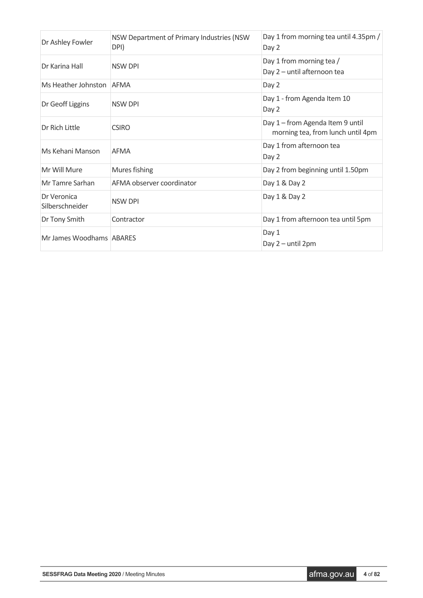| Dr Ashley Fowler               | NSW Department of Primary Industries (NSW<br>DPI) | Day 1 from morning tea until 4.35pm /<br>Day 2                        |
|--------------------------------|---------------------------------------------------|-----------------------------------------------------------------------|
| Dr Karina Hall                 | <b>NSW DPI</b>                                    | Day 1 from morning tea /<br>Day 2 - until afternoon tea               |
| Ms Heather Johnston            | <b>AFMA</b>                                       | Day 2                                                                 |
| Dr Geoff Liggins               | <b>NSW DPI</b>                                    | Day 1 - from Agenda Item 10<br>Day 2                                  |
| Dr Rich Little                 | <b>CSIRO</b>                                      | Day 1 - from Agenda Item 9 until<br>morning tea, from lunch until 4pm |
| Ms Kehani Manson               | AFMA                                              | Day 1 from afternoon tea<br>Day 2                                     |
| Mr Will Mure                   | Mures fishing                                     | Day 2 from beginning until 1.50pm                                     |
| Mr Tamre Sarhan                | AFMA observer coordinator                         | Day 1 & Day 2                                                         |
| Dr Veronica<br>Silberschneider | <b>NSW DPI</b>                                    | Day 1 & Day 2                                                         |
| Dr Tony Smith                  | Contractor                                        | Day 1 from afternoon tea until 5pm                                    |
| Mr James Woodhams ABARES       |                                                   | Day 1<br>Day 2 - until 2pm                                            |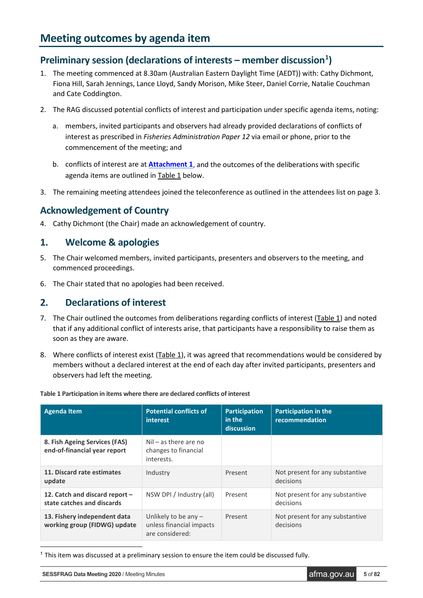# <span id="page-4-1"></span><span id="page-4-0"></span>**Preliminary session (declarations of interests – member discussion[1](#page-4-5) )**

- 1. The meeting commenced at 8.30am (Australian Eastern Daylight Time (AEDT)) with: Cathy Dichmont, Fiona Hill, Sarah Jennings, Lance Lloyd, Sandy Morison, Mike Steer, Daniel Corrie, Natalie Couchman and Cate Coddington.
- 2. The RAG discussed potential conflicts of interest and participation under specific agenda items, noting:
	- a. members, invited participants and observers had already provided declarations of conflicts of interest as prescribed in *Fisheries Administration Paper 12* via email or phone, prior to the commencement of the meeting; and
	- b. conflicts of interest are at **[Attachment](#page-46-0) 1**, and the outcomes of the deliberations with specific agenda items are outlined in Table 1 below.
- 3. The remaining meeting attendees joined the teleconference as outlined in the attendees list on page 3.

# <span id="page-4-2"></span>**Acknowledgement of Country**

4. Cathy Dichmont (the Chair) made an acknowledgement of country.

# <span id="page-4-3"></span>**1. Welcome & apologies**

- 5. The Chair welcomed members, invited participants, presenters and observers to the meeting, and commenced proceedings.
- 6. The Chair stated that no apologies had been received.

# <span id="page-4-4"></span>**2. Declarations of interest**

- 7. The Chair outlined the outcomes from deliberations regarding conflicts of interest (Table 1) and noted that if any additional conflict of interests arise, that participants have a responsibility to raise them as soon as they are aware.
- 8. Where conflicts of interest exist (Table 1), it was agreed that recommendations would be considered by members without a declared interest at the end of each day after invited participants, presenters and observers had left the meeting.

| <b>Agenda Item</b>                                            | <b>Potential conflicts of</b><br><b>interest</b>                      | <b>Participation</b><br>in the<br>discussion | <b>Participation in the</b><br>recommendation |
|---------------------------------------------------------------|-----------------------------------------------------------------------|----------------------------------------------|-----------------------------------------------|
| 8. Fish Ageing Services (FAS)<br>end-of-financial year report | $Nil - as there are no$<br>changes to financial<br>interests.         |                                              |                                               |
| 11. Discard rate estimates<br>update                          | Industry                                                              | Present                                      | Not present for any substantive<br>decisions  |
| 12. Catch and discard report -<br>state catches and discards  | NSW DPI / Industry (all)                                              | Present                                      | Not present for any substantive<br>decisions  |
| 13. Fishery independent data<br>working group (FIDWG) update  | Unlikely to be any $-$<br>unless financial impacts<br>are considered: | Present                                      | Not present for any substantive<br>decisions  |

**Table 1 Participation in items where there are declared conflicts of interest**

<span id="page-4-5"></span>1 This item was discussed at a preliminary session to ensure the item could be discussed fully.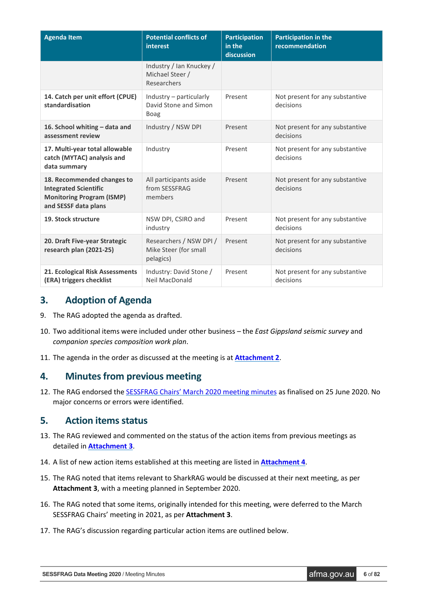| <b>Agenda Item</b>                                                                                                     | <b>Potential conflicts of</b><br>interest                       | <b>Participation</b><br>in the<br>discussion | <b>Participation in the</b><br>recommendation |
|------------------------------------------------------------------------------------------------------------------------|-----------------------------------------------------------------|----------------------------------------------|-----------------------------------------------|
|                                                                                                                        | Industry / Ian Knuckey /<br>Michael Steer /<br>Researchers      |                                              |                                               |
| 14. Catch per unit effort (CPUE)<br>standardisation                                                                    | Industry - particularly<br>David Stone and Simon<br><b>Boag</b> | Present                                      | Not present for any substantive<br>decisions  |
| 16. School whiting - data and<br>assessment review                                                                     | Industry / NSW DPI                                              | Present                                      | Not present for any substantive<br>decisions  |
| 17. Multi-year total allowable<br>catch (MYTAC) analysis and<br>data summary                                           | Industry                                                        | Present                                      | Not present for any substantive<br>decisions  |
| 18. Recommended changes to<br><b>Integrated Scientific</b><br><b>Monitoring Program (ISMP)</b><br>and SESSF data plans | All participants aside<br>from SESSFRAG<br>members              | Present                                      | Not present for any substantive<br>decisions  |
| 19. Stock structure                                                                                                    | NSW DPI, CSIRO and<br>industry                                  | Present                                      | Not present for any substantive<br>decisions  |
| 20. Draft Five-year Strategic<br>research plan (2021-25)                                                               | Researchers / NSW DPI /<br>Mike Steer (for small<br>pelagics)   | Present                                      | Not present for any substantive<br>decisions  |
| 21. Ecological Risk Assessments<br>(ERA) triggers checklist                                                            | Industry: David Stone /<br>Neil MacDonald                       | Present                                      | Not present for any substantive<br>decisions  |

# <span id="page-5-0"></span>**3. Adoption of Agenda**

- 9. The RAG adopted the agenda as drafted.
- 10. Two additional items were included under other business the *East Gippsland seismic survey* and *companion species composition work plan*.
- 11. The agenda in the order as discussed at the meeting is at **[Attachment 2](#page-50-0)**.

# <span id="page-5-1"></span>**4. Minutes from previous meeting**

12. The RAG endorsed th[e SESSFRAG Chairs' March 2020 meeting minutes](https://www.afma.gov.au/sites/default/files/sessf_rag_meeting_minutes_27_march_2020.pdf) as finalised on 25 June 2020. No major concerns or errors were identified.

# <span id="page-5-2"></span>**5. Action items status**

- 13. The RAG reviewed and commented on the status of the action items from previous meetings as detailed in **[Attachment](#page-52-0) 3**.
- 14. A list of new action items established at this meeting are listed in **[Attachment](#page-61-0) 4**.
- 15. The RAG noted that items relevant to SharkRAG would be discussed at their next meeting, as per **Attachment 3**, with a meeting planned in September 2020.
- 16. The RAG noted that some items, originally intended for this meeting, were deferred to the March SESSFRAG Chairs' meeting in 2021, as per **Attachment 3**.
- 17. The RAG's discussion regarding particular action items are outlined below.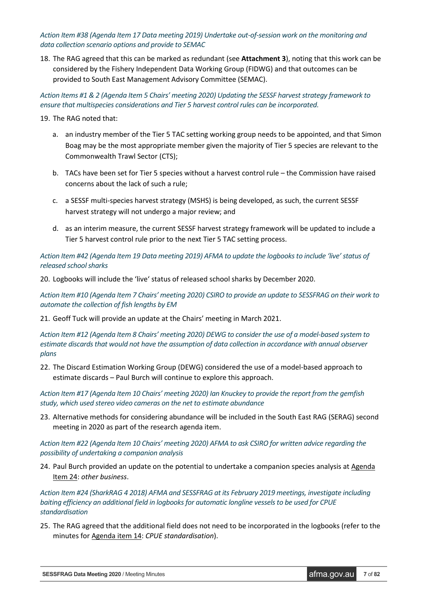*Action Item #38 (Agenda Item 17 Data meeting 2019) Undertake out-of-session work on the monitoring and data collection scenario options and provide to SEMAC*

18. The RAG agreed that this can be marked as redundant (see **Attachment 3**), noting that this work can be considered by the Fishery Independent Data Working Group (FIDWG) and that outcomes can be provided to South East Management Advisory Committee (SEMAC).

*Action Items #1 & 2 (Agenda Item 5 Chairs' meeting 2020) Updating the SESSF harvest strategy framework to ensure that multispecies considerations and Tier 5 harvest control rules can be incorporated.*

- 19. The RAG noted that:
	- a. an industry member of the Tier 5 TAC setting working group needs to be appointed, and that Simon Boag may be the most appropriate member given the majority of Tier 5 species are relevant to the Commonwealth Trawl Sector (CTS);
	- b. TACs have been set for Tier 5 species without a harvest control rule the Commission have raised concerns about the lack of such a rule;
	- c. a SESSF multi-species harvest strategy (MSHS) is being developed, as such, the current SESSF harvest strategy will not undergo a major review; and
	- d. as an interim measure, the current SESSF harvest strategy framework will be updated to include a Tier 5 harvest control rule prior to the next Tier 5 TAC setting process.

*Action Item #42 (Agenda Item 19 Data meeting 2019) AFMA to update the logbooks to include 'live' status of released school sharks*

20. Logbooks will include the 'live' status of released school sharks by December 2020.

*Action Item #10 (Agenda Item 7 Chairs' meeting 2020) CSIRO to provide an update to SESSFRAG on their work to automate the collection of fish lengths by EM*

21. Geoff Tuck will provide an update at the Chairs' meeting in March 2021.

*Action Item #12 (Agenda Item 8 Chairs' meeting 2020) DEWG to consider the use of a model-based system to estimate discards that would not have the assumption of data collection in accordance with annual observer plans*

22. The Discard Estimation Working Group (DEWG) considered the use of a model-based approach to estimate discards – Paul Burch will continue to explore this approach.

*Action Item #17 (Agenda Item 10 Chairs' meeting 2020) Ian Knuckey to provide the report from the gemfish study, which used stereo video cameras on the net to estimate abundance*

23. Alternative methods for considering abundance will be included in the South East RAG (SERAG) second meeting in 2020 as part of the research agenda item.

*Action Item #22 (Agenda Item 10 Chairs' meeting 2020) AFMA to ask CSIRO for written advice regarding the possibility of undertaking a companion analysis*

24. Paul Burch provided an update on the potential to undertake a companion species analysis at Agenda Item 24: *other business*.

*Action Item #24 (SharkRAG 4 2018) AFMA and SESSFRAG at its February 2019 meetings, investigate including baiting efficiency an additional field in logbooks for automatic longline vessels to be used for CPUE standardisation*

25. The RAG agreed that the additional field does not need to be incorporated in the logbooks (refer to the minutes for Agenda item 14: *CPUE standardisation*).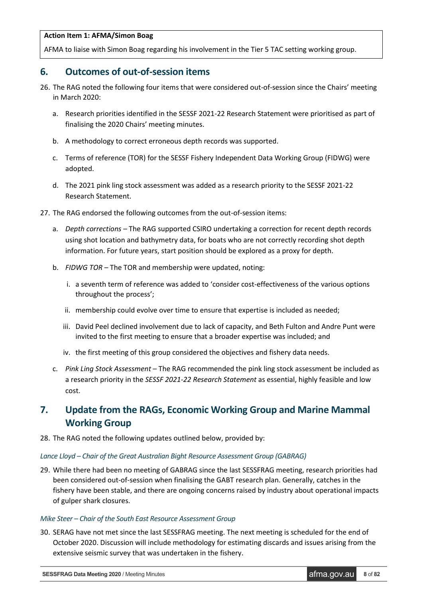#### **Action Item 1: AFMA/Simon Boag**

AFMA to liaise with Simon Boag regarding his involvement in the Tier 5 TAC setting working group.

# <span id="page-7-0"></span>**6. Outcomes of out-of-session items**

- 26. The RAG noted the following four items that were considered out-of-session since the Chairs' meeting in March 2020:
	- a. Research priorities identified in the SESSF 2021-22 Research Statement were prioritised as part of finalising the 2020 Chairs' meeting minutes.
	- b. A methodology to correct erroneous depth records was supported.
	- c. Terms of reference (TOR) for the SESSF Fishery Independent Data Working Group (FIDWG) were adopted.
	- d. The 2021 pink ling stock assessment was added as a research priority to the SESSF 2021-22 Research Statement.
- 27. The RAG endorsed the following outcomes from the out-of-session items:
	- a. *Depth corrections –* The RAG supported CSIRO undertaking a correction for recent depth records using shot location and bathymetry data, for boats who are not correctly recording shot depth information. For future years, start position should be explored as a proxy for depth.
	- b. *FIDWG TOR* The TOR and membership were updated, noting:
		- i. a seventh term of reference was added to 'consider cost-effectiveness of the various options throughout the process';
		- ii. membership could evolve over time to ensure that expertise is included as needed;
		- iii. David Peel declined involvement due to lack of capacity, and Beth Fulton and Andre Punt were invited to the first meeting to ensure that a broader expertise was included; and
		- iv. the first meeting of this group considered the objectives and fishery data needs.
	- c. *Pink Ling Stock Assessment* The RAG recommended the pink ling stock assessment be included as a research priority in the *SESSF 2021-22 Research Statement* as essential, highly feasible and low cost.

# <span id="page-7-1"></span>**7. Update from the RAGs, Economic Working Group and Marine Mammal Working Group**

28. The RAG noted the following updates outlined below, provided by:

# *Lance Lloyd – Chair of the Great Australian Bight Resource Assessment Group (GABRAG)*

29. While there had been no meeting of GABRAG since the last SESSFRAG meeting, research priorities had been considered out-of-session when finalising the GABT research plan. Generally, catches in the fishery have been stable, and there are ongoing concerns raised by industry about operational impacts of gulper shark closures.

#### *Mike Steer – Chair of the South East Resource Assessment Group*

30. SERAG have not met since the last SESSFRAG meeting. The next meeting is scheduled for the end of October 2020. Discussion will include methodology for estimating discards and issues arising from the extensive seismic survey that was undertaken in the fishery.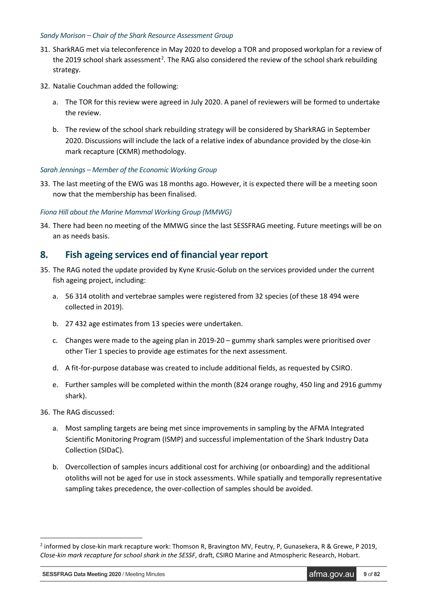#### *Sandy Morison – Chair of the Shark Resource Assessment Group*

- 31. SharkRAG met via teleconference in May 2020 to develop a TOR and proposed workplan for a review of the [2](#page-8-1)019 school shark assessment<sup>2</sup>. The RAG also considered the review of the school shark rebuilding strategy.
- 32. Natalie Couchman added the following:
	- a. The TOR for this review were agreed in July 2020. A panel of reviewers will be formed to undertake the review.
	- b. The review of the school shark rebuilding strategy will be considered by SharkRAG in September 2020. Discussions will include the lack of a relative index of abundance provided by the close-kin mark recapture (CKMR) methodology.

# *Sarah Jennings – Member of the Economic Working Group*

33. The last meeting of the EWG was 18 months ago. However, it is expected there will be a meeting soon now that the membership has been finalised.

# *Fiona Hill about the Marine Mammal Working Group (MMWG)*

34. There had been no meeting of the MMWG since the last SESSFRAG meeting. Future meetings will be on an as needs basis.

# <span id="page-8-0"></span>**8. Fish ageing services end of financial year report**

- 35. The RAG noted the update provided by Kyne Krusic-Golub on the services provided under the current fish ageing project, including:
	- a. 56 314 otolith and vertebrae samples were registered from 32 species (of these 18 494 were collected in 2019).
	- b. 27 432 age estimates from 13 species were undertaken.
	- c. Changes were made to the ageing plan in 2019-20 gummy shark samples were prioritised over other Tier 1 species to provide age estimates for the next assessment.
	- d. A fit-for-purpose database was created to include additional fields, as requested by CSIRO.
	- e. Further samples will be completed within the month (824 orange roughy, 450 ling and 2916 gummy shark).
- 36. The RAG discussed:

-

- a. Most sampling targets are being met since improvements in sampling by the AFMA Integrated Scientific Monitoring Program (ISMP) and successful implementation of the Shark Industry Data Collection (SIDaC).
- b. Overcollection of samples incurs additional cost for archiving (or onboarding) and the additional otoliths will not be aged for use in stock assessments. While spatially and temporally representative sampling takes precedence, the over-collection of samples should be avoided.

**SESSFRAG Data Meeting 2020** / Meeting Minutes **afma.gov.au 9** of 82

<span id="page-8-1"></span><sup>&</sup>lt;sup>2</sup> informed by close-kin mark recapture work: Thomson R, Bravington MV, Feutry, P, Gunasekera, R & Grewe, P 2019, *Close-kin mark recapture for school shark in the SESSF*, draft, CSIRO Marine and Atmospheric Research, Hobart.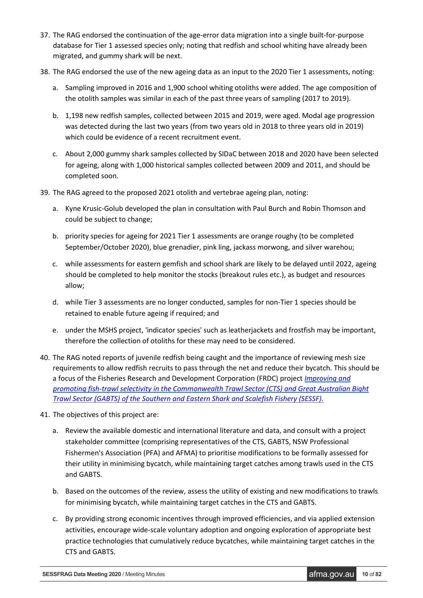- 37. The RAG endorsed the continuation of the age-error data migration into a single built-for-purpose database for Tier 1 assessed species only; noting that redfish and school whiting have already been migrated, and gummy shark will be next.
- 38. The RAG endorsed the use of the new ageing data as an input to the 2020 Tier 1 assessments, noting:
	- a. Sampling improved in 2016 and 1,900 school whiting otoliths were added. The age composition of the otolith samples was similar in each of the past three years of sampling (2017 to 2019).
	- b. 1,198 new redfish samples, collected between 2015 and 2019, were aged. Modal age progression was detected during the last two years (from two years old in 2018 to three years old in 2019) which could be evidence of a recent recruitment event.
	- c. About 2,000 gummy shark samples collected by SIDaC between 2018 and 2020 have been selected for ageing, along with 1,000 historical samples collected between 2009 and 2011, and should be completed soon.
- 39. The RAG agreed to the proposed 2021 otolith and vertebrae ageing plan, noting:
	- a. Kyne Krusic-Golub developed the plan in consultation with Paul Burch and Robin Thomson and could be subject to change;
	- b. priority species for ageing for 2021 Tier 1 assessments are orange roughy (to be completed September/October 2020), blue grenadier, pink ling, jackass morwong, and silver warehou;
	- c. while assessments for eastern gemfish and school shark are likely to be delayed until 2022, ageing should be completed to help monitor the stocks (breakout rules etc.), as budget and resources allow;
	- d. while Tier 3 assessments are no longer conducted, samples for non-Tier 1 species should be retained to enable future ageing if required; and
	- e. under the MSHS project, 'indicator species' such as leatherjackets and frostfish may be important, therefore the collection of otoliths for these may need to be considered.
- 40. The RAG noted reports of juvenile redfish being caught and the importance of reviewing mesh size requirements to allow redfish recruits to pass through the net and reduce their bycatch. This should be a focus of the Fisheries Research and Development Corporation (FRDC) project *[Improving and](https://www.frdc.com.au/project?id=6574)  [promoting fish-trawl selectivity in the Commonwealth Trawl Sector \(CTS\) and Great Australian Bight](https://www.frdc.com.au/project?id=6574)  [Trawl Sector \(GABTS\) of the Southern and Eastern Shark and Scalefish Fishery \(SESSF\).](https://www.frdc.com.au/project?id=6574)*
- 41. The objectives of this project are:
	- a. Review the available domestic and international literature and data, and consult with a project stakeholder committee (comprising representatives of the CTS, GABTS, NSW Professional Fishermen's Association (PFA) and AFMA) to prioritise modifications to be formally assessed for their utility in minimising bycatch, while maintaining target catches among trawls used in the CTS and GABTS.
	- b. Based on the outcomes of the review, assess the utility of existing and new modifications to trawls for minimising bycatch, while maintaining target catches in the CTS and GABTS.
	- c. By providing strong economic incentives through improved efficiencies, and via applied extension activities, encourage wide-scale voluntary adoption and ongoing exploration of appropriate best practice technologies that cumulatively reduce bycatches, while maintaining target catches in the CTS and GABTS.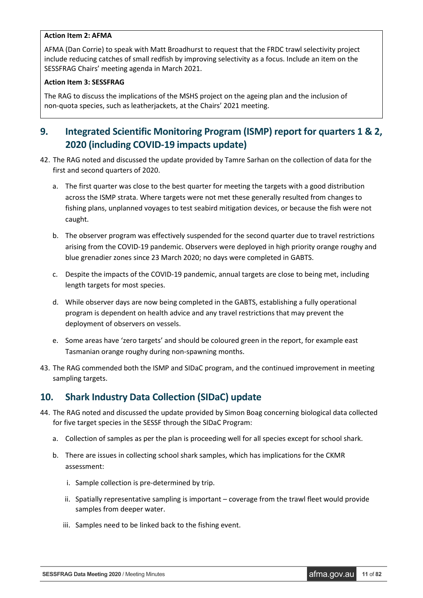# **Action Item 2: AFMA**

AFMA (Dan Corrie) to speak with Matt Broadhurst to request that the FRDC trawl selectivity project include reducing catches of small redfish by improving selectivity as a focus. Include an item on the SESSFRAG Chairs' meeting agenda in March 2021.

# **Action Item 3: SESSFRAG**

The RAG to discuss the implications of the MSHS project on the ageing plan and the inclusion of non-quota species, such as leatherjackets, at the Chairs' 2021 meeting.

# <span id="page-10-0"></span>**9. Integrated Scientific Monitoring Program (ISMP) report for quarters 1 & 2, 2020 (including COVID-19 impacts update)**

- 42. The RAG noted and discussed the update provided by Tamre Sarhan on the collection of data for the first and second quarters of 2020.
	- a. The first quarter was close to the best quarter for meeting the targets with a good distribution across the ISMP strata. Where targets were not met these generally resulted from changes to fishing plans, unplanned voyages to test seabird mitigation devices, or because the fish were not caught.
	- b. The observer program was effectively suspended for the second quarter due to travel restrictions arising from the COVID-19 pandemic. Observers were deployed in high priority orange roughy and blue grenadier zones since 23 March 2020; no days were completed in GABTS.
	- c. Despite the impacts of the COVID-19 pandemic, annual targets are close to being met, including length targets for most species.
	- d. While observer days are now being completed in the GABTS, establishing a fully operational program is dependent on health advice and any travel restrictions that may prevent the deployment of observers on vessels.
	- e. Some areas have 'zero targets' and should be coloured green in the report, for example east Tasmanian orange roughy during non-spawning months.
- 43. The RAG commended both the ISMP and SIDaC program, and the continued improvement in meeting sampling targets.

# <span id="page-10-1"></span>**10. Shark Industry Data Collection (SIDaC) update**

- 44. The RAG noted and discussed the update provided by Simon Boag concerning biological data collected for five target species in the SESSF through the SIDaC Program:
	- a. Collection of samples as per the plan is proceeding well for all species except for school shark.
	- b. There are issues in collecting school shark samples, which has implications for the CKMR assessment:
		- i. Sample collection is pre-determined by trip.
		- ii. Spatially representative sampling is important coverage from the trawl fleet would provide samples from deeper water.
		- iii. Samples need to be linked back to the fishing event.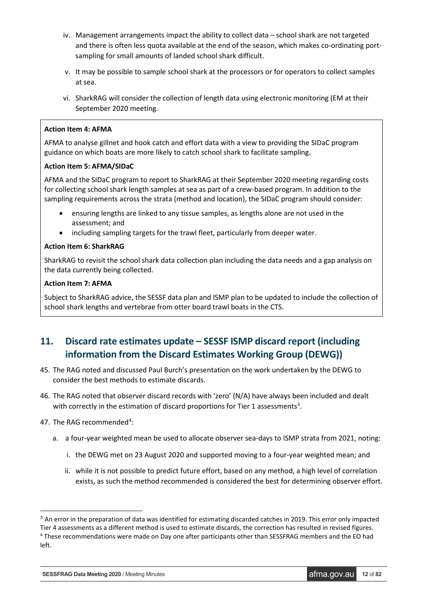- iv. Management arrangements impact the ability to collect data school shark are not targeted and there is often less quota available at the end of the season, which makes co-ordinating portsampling for small amounts of landed school shark difficult.
- v. It may be possible to sample school shark at the processors or for operators to collect samples at sea.
- vi. SharkRAG will consider the collection of length data using electronic monitoring (EM at their September 2020 meeting.

# **Action Item 4: AFMA**

AFMA to analyse gillnet and hook catch and effort data with a view to providing the SIDaC program guidance on which boats are more likely to catch school shark to facilitate sampling.

# **Action Item 5: AFMA/SIDaC**

AFMA and the SIDaC program to report to SharkRAG at their September 2020 meeting regarding costs for collecting school shark length samples at sea as part of a crew-based program. In addition to the sampling requirements across the strata (method and location), the SIDaC program should consider:

- ensuring lengths are linked to any tissue samples, as lengths alone are not used in the assessment; and
- including sampling targets for the trawl fleet, particularly from deeper water.

# **Action Item 6: SharkRAG**

SharkRAG to revisit the school shark data collection plan including the data needs and a gap analysis on the data currently being collected.

# **Action Item 7: AFMA**

Subject to SharkRAG advice, the SESSF data plan and ISMP plan to be updated to include the collection of school shark lengths and vertebrae from otter board trawl boats in the CTS.

# <span id="page-11-0"></span>**11. Discard rate estimates update – SESSF ISMP discard report (including information from the Discard Estimates Working Group (DEWG))**

- 45. The RAG noted and discussed Paul Burch's presentation on the work undertaken by the DEWG to consider the best methods to estimate discards.
- 46. The RAG noted that observer discard records with 'zero' (N/A) have always been included and dealt with correctly in the estimation of discard proportions for Tier 1 assessments<sup>[3](#page-11-1)</sup>.
- [4](#page-11-2)7. The RAG recommended<sup>4</sup>:
	- a. a four-year weighted mean be used to allocate observer sea-days to ISMP strata from 2021, noting:
		- i. the DEWG met on 23 August 2020 and supported moving to a four-year weighted mean; and
		- ii. while it is not possible to predict future effort, based on any method, a high level of correlation exists, as such the method recommended is considered the best for determining observer effort.

<span id="page-11-2"></span><span id="page-11-1"></span><sup>&</sup>lt;sup>3</sup> An error in the preparation of data was identified for estimating discarded catches in 2019. This error only impacted Tier 4 assessments as a different method is used to estimate discards, the correction has resulted in revised figures. <sup>4</sup> These recommendations were made on Day one after participants other than SESSFRAG members and the EO had left.

**SESSFRAG Data Meeting 2020** / Meeting Minutes **afma.gov.au 12** of **82**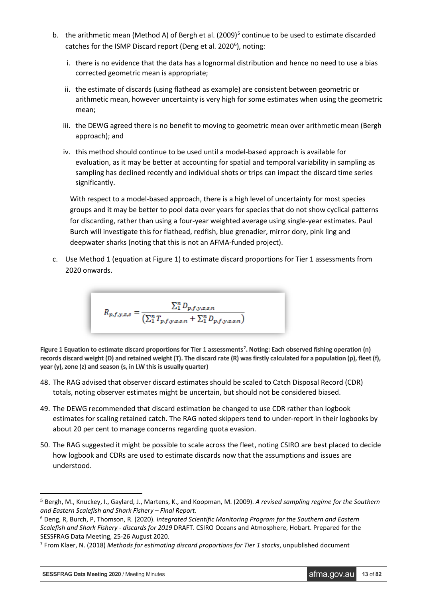- b. the arithmetic mean (Method A) of Bergh et al. (2009)<sup>5</sup> continue to be used to estimate discarded catches for the ISMP Discard report (Deng et al. 2020<sup>[6](#page-12-1)</sup>), noting:
	- i. there is no evidence that the data has a lognormal distribution and hence no need to use a bias corrected geometric mean is appropriate;
	- ii. the estimate of discards (using flathead as example) are consistent between geometric or arithmetic mean, however uncertainty is very high for some estimates when using the geometric mean;
	- iii. the DEWG agreed there is no benefit to moving to geometric mean over arithmetic mean (Bergh approach); and
	- iv. this method should continue to be used until a model-based approach is available for evaluation, as it may be better at accounting for spatial and temporal variability in sampling as sampling has declined recently and individual shots or trips can impact the discard time series significantly.

With respect to a model-based approach, there is a high level of uncertainty for most species groups and it may be better to pool data over years for species that do not show cyclical patterns for discarding, rather than using a four-year weighted average using single-year estimates. Paul Burch will investigate this for flathead, redfish, blue grenadier, mirror dory, pink ling and deepwater sharks (noting that this is not an AFMA-funded project).

c. Use Method 1 (equation at Figure 1) to estimate discard proportions for Tier 1 assessments from 2020 onwards.

$$
R_{p,f,y,z,s} = \frac{\sum_{1}^{n} D_{p,f,y,z,s,n}}{(\sum_{1}^{n} T_{p,f,y,z,s,n} + \sum_{1}^{n} D_{p,f,y,z,s,n})}
$$

Figure 1 Equation to estimate discard proportions for Tier 1 assessments<sup>[7](#page-12-2)</sup>. Noting: Each observed fishing operation (n) **records discard weight (D) and retained weight (T). The discard rate (R) was firstly calculated for a population (p), fleet (f), year (y), zone (z) and season (s, in LW this is usually quarter)**

- 48. The RAG advised that observer discard estimates should be scaled to Catch Disposal Record (CDR) totals, noting observer estimates might be uncertain, but should not be considered biased.
- 49. The DEWG recommended that discard estimation be changed to use CDR rather than logbook estimates for scaling retained catch. The RAG noted skippers tend to under-report in their logbooks by about 20 per cent to manage concerns regarding quota evasion.
- 50. The RAG suggested it might be possible to scale across the fleet, noting CSIRO are best placed to decide how logbook and CDRs are used to estimate discards now that the assumptions and issues are understood.

**SESSFRAG Data Meeting 2020** / Meeting Minutes **afma.gov.au 13** of 82

<span id="page-12-0"></span> <sup>5</sup> Bergh, M., Knuckey, I., Gaylard, J., Martens, K., and Koopman, M. (2009). *A revised sampling regime for the Southern and Eastern Scalefish and Shark Fishery – Final Report*.

<span id="page-12-1"></span><sup>6</sup> Deng, R, Burch, P, Thomson, R. (2020). *Integrated Scientific Monitoring Program for the Southern and Eastern Scalefish and Shark Fishery - discards for 2019* DRAFT. CSIRO Oceans and Atmosphere, Hobart. Prepared for the SESSFRAG Data Meeting, 25-26 August 2020.

<span id="page-12-2"></span><sup>7</sup> From Klaer, N. (2018) *Methods for estimating discard proportions for Tier 1 stocks*, unpublished document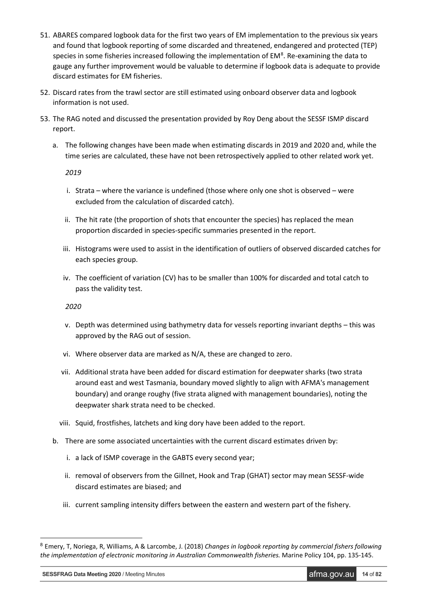- 51. ABARES compared logbook data for the first two years of EM implementation to the previous six years and found that logbook reporting of some discarded and threatened, endangered and protected (TEP) species in some fisheries increased following the implementation of  $EM<sup>8</sup>$  $EM<sup>8</sup>$  $EM<sup>8</sup>$ . Re-examining the data to gauge any further improvement would be valuable to determine if logbook data is adequate to provide discard estimates for EM fisheries.
- 52. Discard rates from the trawl sector are still estimated using onboard observer data and logbook information is not used.
- 53. The RAG noted and discussed the presentation provided by Roy Deng about the SESSF ISMP discard report.
	- a. The following changes have been made when estimating discards in 2019 and 2020 and, while the time series are calculated, these have not been retrospectively applied to other related work yet.

*2019*

- i. Strata where the variance is undefined (those where only one shot is observed were excluded from the calculation of discarded catch).
- ii. The hit rate (the proportion of shots that encounter the species) has replaced the mean proportion discarded in species-specific summaries presented in the report.
- iii. Histograms were used to assist in the identification of outliers of observed discarded catches for each species group.
- iv. The coefficient of variation (CV) has to be smaller than 100% for discarded and total catch to pass the validity test.

*2020*

- v. Depth was determined using bathymetry data for vessels reporting invariant depths this was approved by the RAG out of session.
- vi. Where observer data are marked as N/A, these are changed to zero.
- vii. Additional strata have been added for discard estimation for deepwater sharks (two strata around east and west Tasmania, boundary moved slightly to align with AFMA's management boundary) and orange roughy (five strata aligned with management boundaries), noting the deepwater shark strata need to be checked.
- viii. Squid, frostfishes, latchets and king dory have been added to the report.
- b. There are some associated uncertainties with the current discard estimates driven by:
	- i. a lack of ISMP coverage in the GABTS every second year;
	- ii. removal of observers from the Gillnet, Hook and Trap (GHAT) sector may mean SESSF-wide discard estimates are biased; and
	- iii. current sampling intensity differs between the eastern and western part of the fishery.

**SESSFRAG Data Meeting 2020** / Meeting Minutes **and** *Letter and Compare 14* of **82** and **14** of **82** 

<span id="page-13-0"></span> <sup>8</sup> Emery, T, Noriega, R, Williams, A & Larcombe, J. (2018) *Changes in logbook reporting by commercial fishers following the implementation of electronic monitoring in Australian Commonwealth fisheries.* Marine Policy 104, pp. 135-145.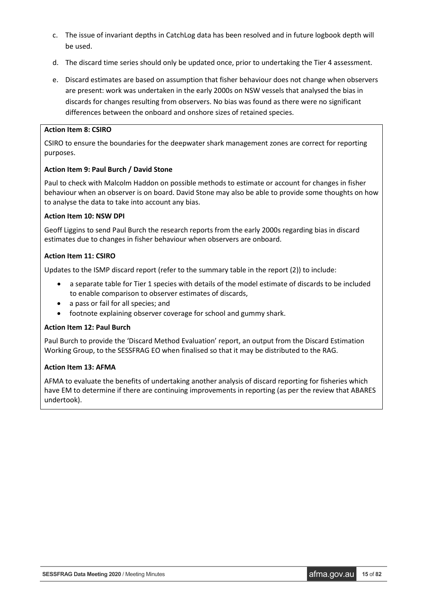- c. The issue of invariant depths in CatchLog data has been resolved and in future logbook depth will be used.
- d. The discard time series should only be updated once, prior to undertaking the Tier 4 assessment.
- e. Discard estimates are based on assumption that fisher behaviour does not change when observers are present: work was undertaken in the early 2000s on NSW vessels that analysed the bias in discards for changes resulting from observers. No bias was found as there were no significant differences between the onboard and onshore sizes of retained species.

# **Action Item 8: CSIRO**

CSIRO to ensure the boundaries for the deepwater shark management zones are correct for reporting purposes.

# **Action Item 9: Paul Burch / David Stone**

Paul to check with Malcolm Haddon on possible methods to estimate or account for changes in fisher behaviour when an observer is on board. David Stone may also be able to provide some thoughts on how to analyse the data to take into account any bias.

# **Action Item 10: NSW DPI**

Geoff Liggins to send Paul Burch the research reports from the early 2000s regarding bias in discard estimates due to changes in fisher behaviour when observers are onboard.

# **Action Item 11: CSIRO**

Updates to the ISMP discard report (refer to the summary table in the report (2)) to include:

- a separate table for Tier 1 species with details of the model estimate of discards to be included to enable comparison to observer estimates of discards,
- a pass or fail for all species; and
- footnote explaining observer coverage for school and gummy shark.

#### **Action Item 12: Paul Burch**

Paul Burch to provide the 'Discard Method Evaluation' report, an output from the Discard Estimation Working Group, to the SESSFRAG EO when finalised so that it may be distributed to the RAG.

# **Action Item 13: AFMA**

AFMA to evaluate the benefits of undertaking another analysis of discard reporting for fisheries which have EM to determine if there are continuing improvements in reporting (as per the review that ABARES undertook).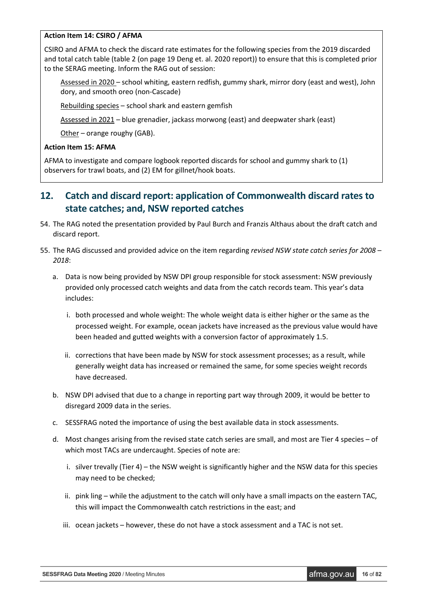# **Action Item 14: CSIRO / AFMA**

CSIRO and AFMA to check the discard rate estimates for the following species from the 2019 discarded and total catch table (table 2 (on page 19 Deng et. al. 2020 report)) to ensure that this is completed prior to the SERAG meeting. Inform the RAG out of session:

Assessed in 2020 – school whiting, eastern redfish, gummy shark, mirror dory (east and west), John dory, and smooth oreo (non-Cascade)

Rebuilding species – school shark and eastern gemfish

Assessed in 2021 – blue grenadier, jackass morwong (east) and deepwater shark (east)

Other – orange roughy (GAB).

# **Action Item 15: AFMA**

AFMA to investigate and compare logbook reported discards for school and gummy shark to (1) observers for trawl boats, and (2) EM for gillnet/hook boats.

# <span id="page-15-0"></span>**12. Catch and discard report: application of Commonwealth discard rates to state catches; and, NSW reported catches**

- 54. The RAG noted the presentation provided by Paul Burch and Franzis Althaus about the draft catch and discard report.
- 55. The RAG discussed and provided advice on the item regarding *revised NSW state catch series for 2008 – 2018*:
	- a. Data is now being provided by NSW DPI group responsible for stock assessment: NSW previously provided only processed catch weights and data from the catch records team. This year's data includes:
		- i. both processed and whole weight: The whole weight data is either higher or the same as the processed weight. For example, ocean jackets have increased as the previous value would have been headed and gutted weights with a conversion factor of approximately 1.5.
		- ii. corrections that have been made by NSW for stock assessment processes; as a result, while generally weight data has increased or remained the same, for some species weight records have decreased.
	- b. NSW DPI advised that due to a change in reporting part way through 2009, it would be better to disregard 2009 data in the series.
	- c. SESSFRAG noted the importance of using the best available data in stock assessments.
	- d. Most changes arising from the revised state catch series are small, and most are Tier 4 species of which most TACs are undercaught. Species of note are:
		- i. silver trevally (Tier 4) the NSW weight is significantly higher and the NSW data for this species may need to be checked;
		- ii. pink ling while the adjustment to the catch will only have a small impacts on the eastern TAC, this will impact the Commonwealth catch restrictions in the east; and
		- iii. ocean jackets however, these do not have a stock assessment and a TAC is not set.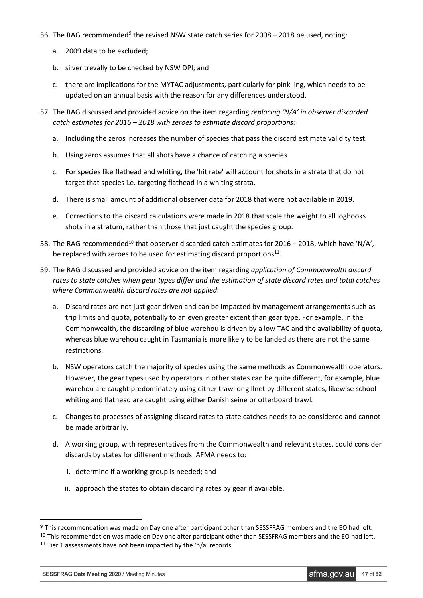- 56. The RAG recommended<sup>[9](#page-16-0)</sup> the revised NSW state catch series for 2008 2018 be used, noting:
	- a. 2009 data to be excluded;
	- b. silver trevally to be checked by NSW DPI; and
	- c. there are implications for the MYTAC adjustments, particularly for pink ling, which needs to be updated on an annual basis with the reason for any differences understood.
- 57. The RAG discussed and provided advice on the item regarding *replacing 'N/A' in observer discarded catch estimates for 2016 – 2018 with zeroes to estimate discard proportions:*
	- a. Including the zeros increases the number of species that pass the discard estimate validity test.
	- b. Using zeros assumes that all shots have a chance of catching a species.
	- c. For species like flathead and whiting, the 'hit rate' will account for shots in a strata that do not target that species i.e. targeting flathead in a whiting strata.
	- d. There is small amount of additional observer data for 2018 that were not available in 2019.
	- e. Corrections to the discard calculations were made in 2018 that scale the weight to all logbooks shots in a stratum, rather than those that just caught the species group.
- 58. The RAG recommended<sup>[10](#page-16-1)</sup> that observer discarded catch estimates for 2016 2018, which have 'N/A', be replaced with zeroes to be used for estimating discard proportions $11$ .
- 59. The RAG discussed and provided advice on the item regarding *application of Commonwealth discard rates to state catches when gear types differ and the estimation of state discard rates and total catches where Commonwealth discard rates are not applied*:
	- a. Discard rates are not just gear driven and can be impacted by management arrangements such as trip limits and quota, potentially to an even greater extent than gear type. For example, in the Commonwealth, the discarding of blue warehou is driven by a low TAC and the availability of quota, whereas blue warehou caught in Tasmania is more likely to be landed as there are not the same restrictions.
	- b. NSW operators catch the majority of species using the same methods as Commonwealth operators. However, the gear types used by operators in other states can be quite different, for example, blue warehou are caught predominately using either trawl or gillnet by different states, likewise school whiting and flathead are caught using either Danish seine or otterboard trawl.
	- c. Changes to processes of assigning discard rates to state catches needs to be considered and cannot be made arbitrarily.
	- d. A working group, with representatives from the Commonwealth and relevant states, could consider discards by states for different methods. AFMA needs to:
		- i. determine if a working group is needed; and
		- ii. approach the states to obtain discarding rates by gear if available.

<span id="page-16-0"></span><sup>&</sup>lt;sup>9</sup> This recommendation was made on Day one after participant other than SESSFRAG members and the EO had left.

<span id="page-16-1"></span><sup>&</sup>lt;sup>10</sup> This recommendation was made on Day one after participant other than SESSFRAG members and the EO had left.

<span id="page-16-2"></span><sup>&</sup>lt;sup>11</sup> Tier 1 assessments have not been impacted by the 'n/a' records.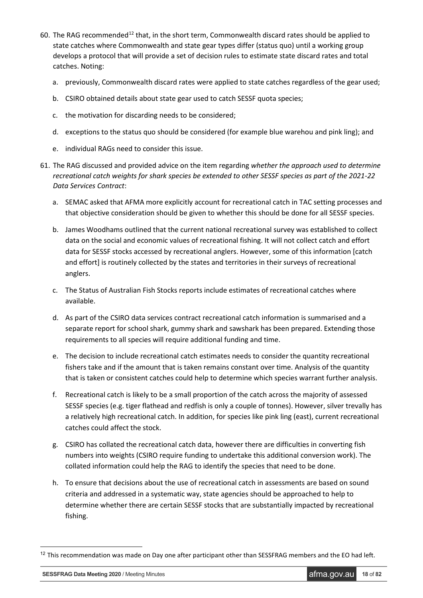- 60. The RAG recommended<sup>[12](#page-17-0)</sup> that, in the short term, Commonwealth discard rates should be applied to state catches where Commonwealth and state gear types differ (status quo) until a working group develops a protocol that will provide a set of decision rules to estimate state discard rates and total catches. Noting:
	- a. previously, Commonwealth discard rates were applied to state catches regardless of the gear used;
	- b. CSIRO obtained details about state gear used to catch SESSF quota species;
	- c. the motivation for discarding needs to be considered;
	- d. exceptions to the status quo should be considered (for example blue warehou and pink ling); and
	- e. individual RAGs need to consider this issue.
- 61. The RAG discussed and provided advice on the item regarding *whether the approach used to determine recreational catch weights for shark species be extended to other SESSF species as part of the 2021-22 Data Services Contract*:
	- a. SEMAC asked that AFMA more explicitly account for recreational catch in TAC setting processes and that objective consideration should be given to whether this should be done for all SESSF species.
	- b. James Woodhams outlined that the current national recreational survey was established to collect data on the social and economic values of recreational fishing. It will not collect catch and effort data for SESSF stocks accessed by recreational anglers. However, some of this information [catch and effort] is routinely collected by the states and territories in their surveys of recreational anglers.
	- c. The Status of Australian Fish Stocks reports include estimates of recreational catches where available.
	- d. As part of the CSIRO data services contract recreational catch information is summarised and a separate report for school shark, gummy shark and sawshark has been prepared. Extending those requirements to all species will require additional funding and time.
	- e. The decision to include recreational catch estimates needs to consider the quantity recreational fishers take and if the amount that is taken remains constant over time. Analysis of the quantity that is taken or consistent catches could help to determine which species warrant further analysis.
	- f. Recreational catch is likely to be a small proportion of the catch across the majority of assessed SESSF species (e.g. tiger flathead and redfish is only a couple of tonnes). However, silver trevally has a relatively high recreational catch. In addition, for species like pink ling (east), current recreational catches could affect the stock.
	- g. CSIRO has collated the recreational catch data, however there are difficulties in converting fish numbers into weights (CSIRO require funding to undertake this additional conversion work). The collated information could help the RAG to identify the species that need to be done.
	- h. To ensure that decisions about the use of recreational catch in assessments are based on sound criteria and addressed in a systematic way, state agencies should be approached to help to determine whether there are certain SESSF stocks that are substantially impacted by recreational fishing.

<span id="page-17-0"></span> $12$  This recommendation was made on Day one after participant other than SESSFRAG members and the EO had left.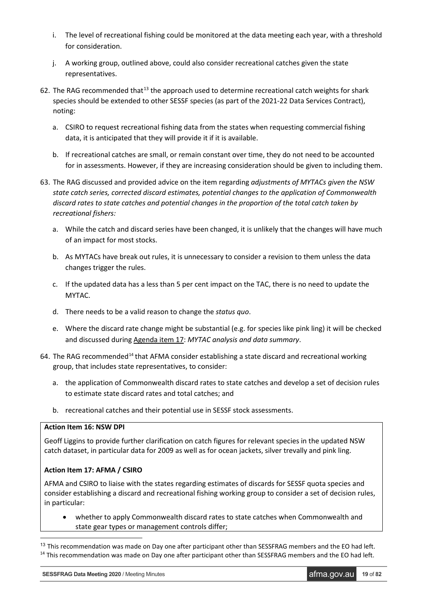- i. The level of recreational fishing could be monitored at the data meeting each year, with a threshold for consideration.
- j. A working group, outlined above, could also consider recreational catches given the state representatives.
- 62. The RAG recommended that<sup>[13](#page-18-0)</sup> the approach used to determine recreational catch weights for shark species should be extended to other SESSF species (as part of the 2021-22 Data Services Contract), noting:
	- a. CSIRO to request recreational fishing data from the states when requesting commercial fishing data, it is anticipated that they will provide it if it is available.
	- b. If recreational catches are small, or remain constant over time, they do not need to be accounted for in assessments. However, if they are increasing consideration should be given to including them.
- 63. The RAG discussed and provided advice on the item regarding *adjustments of MYTACs given the NSW state catch series, corrected discard estimates, potential changes to the application of Commonwealth discard rates to state catches and potential changes in the proportion of the total catch taken by recreational fishers:*
	- a. While the catch and discard series have been changed, it is unlikely that the changes will have much of an impact for most stocks.
	- b. As MYTACs have break out rules, it is unnecessary to consider a revision to them unless the data changes trigger the rules.
	- c. If the updated data has a less than 5 per cent impact on the TAC, there is no need to update the MYTAC.
	- d. There needs to be a valid reason to change the *status quo*.
	- e. Where the discard rate change might be substantial (e.g. for species like pink ling) it will be checked and discussed during Agenda item 17: *MYTAC analysis and data summary*.
- 64. The RAG recommended<sup>[14](#page-18-1)</sup> that AFMA consider establishing a state discard and recreational working group, that includes state representatives, to consider:
	- a. the application of Commonwealth discard rates to state catches and develop a set of decision rules to estimate state discard rates and total catches; and
	- b. recreational catches and their potential use in SESSF stock assessments.

#### **Action Item 16: NSW DPI**

Geoff Liggins to provide further clarification on catch figures for relevant species in the updated NSW catch dataset, in particular data for 2009 as well as for ocean jackets, silver trevally and pink ling.

# **Action Item 17: AFMA / CSIRO**

AFMA and CSIRO to liaise with the states regarding estimates of discards for SESSF quota species and consider establishing a discard and recreational fishing working group to consider a set of decision rules, in particular:

• whether to apply Commonwealth discard rates to state catches when Commonwealth and state gear types or management controls differ;

<span id="page-18-1"></span><span id="page-18-0"></span><sup>&</sup>lt;sup>13</sup> This recommendation was made on Day one after participant other than SESSFRAG members and the EO had left. <sup>14</sup> This recommendation was made on Day one after participant other than SESSFRAG members and the EO had left.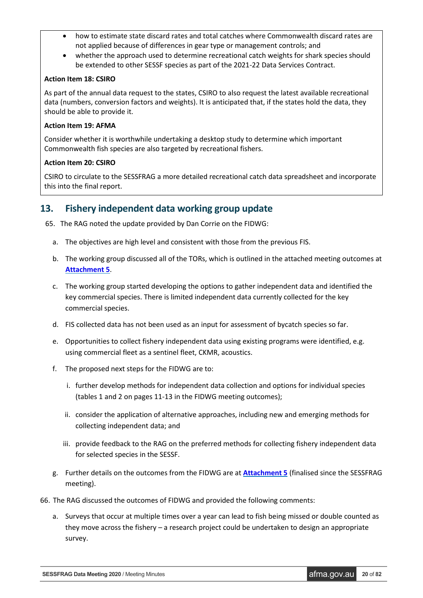- how to estimate state discard rates and total catches where Commonwealth discard rates are not applied because of differences in gear type or management controls; and
- whether the approach used to determine recreational catch weights for shark species should be extended to other SESSF species as part of the 2021-22 Data Services Contract.

# **Action Item 18: CSIRO**

As part of the annual data request to the states, CSIRO to also request the latest available recreational data (numbers, conversion factors and weights). It is anticipated that, if the states hold the data, they should be able to provide it.

# **Action Item 19: AFMA**

Consider whether it is worthwhile undertaking a desktop study to determine which important Commonwealth fish species are also targeted by recreational fishers.

# **Action Item 20: CSIRO**

CSIRO to circulate to the SESSFRAG a more detailed recreational catch data spreadsheet and incorporate this into the final report.

# <span id="page-19-0"></span>**13. Fishery independent data working group update**

- 65. The RAG noted the update provided by Dan Corrie on the FIDWG:
	- a. The objectives are high level and consistent with those from the previous FIS.
	- b. The working group discussed all of the TORs, which is outlined in the attached meeting outcomes at **[Attachment 5](#page-69-0)**.
	- c. The working group started developing the options to gather independent data and identified the key commercial species. There is limited independent data currently collected for the key commercial species.
	- d. FIS collected data has not been used as an input for assessment of bycatch species so far.
	- e. Opportunities to collect fishery independent data using existing programs were identified, e.g. using commercial fleet as a sentinel fleet, CKMR, acoustics.
	- f. The proposed next steps for the FIDWG are to:
		- i. further develop methods for independent data collection and options for individual species (tables 1 and 2 on pages 11-13 in the FIDWG meeting outcomes);
		- ii. consider the application of alternative approaches, including new and emerging methods for collecting independent data; and
		- iii. provide feedback to the RAG on the preferred methods for collecting fishery independent data for selected species in the SESSF.
	- g. Further details on the outcomes from the FIDWG are at **[Attachment](#page-69-0) 5** (finalised since the SESSFRAG meeting).
- 66. The RAG discussed the outcomes of FIDWG and provided the following comments:
	- a. Surveys that occur at multiple times over a year can lead to fish being missed or double counted as they move across the fishery – a research project could be undertaken to design an appropriate survey.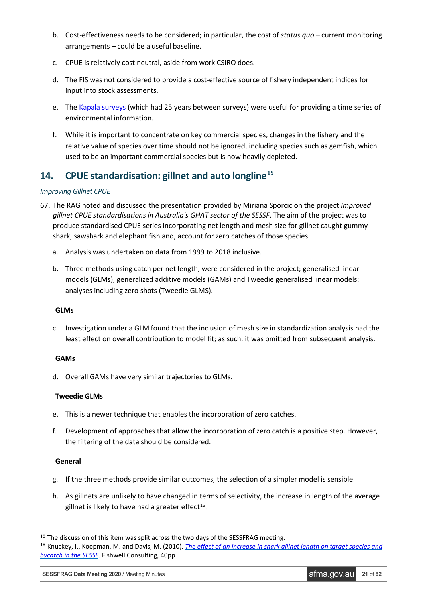- b. Cost-effectiveness needs to be considered; in particular, the cost of *status quo* current monitoring arrangements – could be a useful baseline.
- c. CPUE is relatively cost neutral, aside from work CSIRO does.
- d. The FIS was not considered to provide a cost-effective source of fishery independent indices for input into stock assessments.
- e. The [Kapala surveys](https://www.cmar.csiro.au/data/trawler/survey_details.cfm?survey=KAPALA) (which had 25 years between surveys) were useful for providing a time series of environmental information.
- f. While it is important to concentrate on key commercial species, changes in the fishery and the relative value of species over time should not be ignored, including species such as gemfish, which used to be an important commercial species but is now heavily depleted.

# <span id="page-20-0"></span>**14. CPUE standardisation: gillnet and auto longline[15](#page-20-1)**

# *Improving Gillnet CPUE*

- 67. The RAG noted and discussed the presentation provided by Miriana Sporcic on the project *Improved gillnet CPUE standardisations in Australia's GHAT sector of the SESSF*. The aim of the project was to produce standardised CPUE series incorporating net length and mesh size for gillnet caught gummy shark, sawshark and elephant fish and, account for zero catches of those species.
	- a. Analysis was undertaken on data from 1999 to 2018 inclusive.
	- b. Three methods using catch per net length, were considered in the project; generalised linear models (GLMs), generalized additive models (GAMs) and Tweedie generalised linear models: analyses including zero shots (Tweedie GLMS).

# **GLMs**

c. Investigation under a GLM found that the inclusion of mesh size in standardization analysis had the least effect on overall contribution to model fit; as such, it was omitted from subsequent analysis.

# **GAMs**

d. Overall GAMs have very similar trajectories to GLMs.

# **Tweedie GLMs**

- e. This is a newer technique that enables the incorporation of zero catches.
- f. Development of approaches that allow the incorporation of zero catch is a positive step. However, the filtering of the data should be considered.

# **General**

- g. If the three methods provide similar outcomes, the selection of a simpler model is sensible.
- h. As gillnets are unlikely to have changed in terms of selectivity, the increase in length of the average gillnet is likely to have had a greater effect<sup>16</sup>.

<span id="page-20-1"></span><sup>&</sup>lt;sup>15</sup> The discussion of this item was split across the two days of the SESSFRAG meeting.

<span id="page-20-2"></span><sup>16</sup> Knuckey, I., Koopman, M. and Davis, M. (2010). *[The effect of an increase in shark gillnet length on target species and](http://sophoswebproxy.afma.gov.au/cgi-bin/patience.cgi?id=544a4277-9162-4d1e-83ee-7231980602d0)  [bycatch in the SESSF](http://sophoswebproxy.afma.gov.au/cgi-bin/patience.cgi?id=544a4277-9162-4d1e-83ee-7231980602d0)*. Fishwell Consulting, 40pp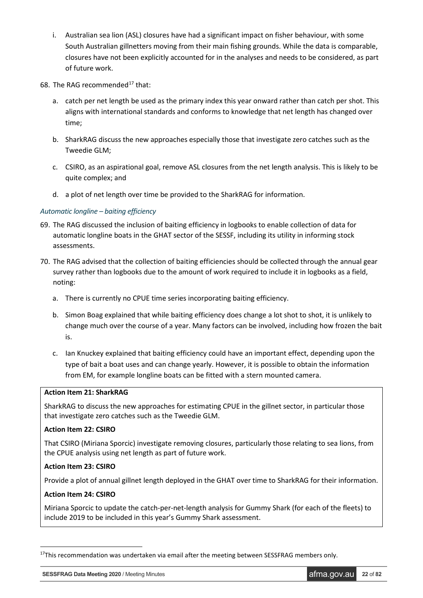- i. Australian sea lion (ASL) closures have had a significant impact on fisher behaviour, with some South Australian gillnetters moving from their main fishing grounds. While the data is comparable, closures have not been explicitly accounted for in the analyses and needs to be considered, as part of future work.
- 68. The RAG recommended $^{17}$  $^{17}$  $^{17}$  that:
	- a. catch per net length be used as the primary index this year onward rather than catch per shot. This aligns with international standards and conforms to knowledge that net length has changed over time;
	- b. SharkRAG discuss the new approaches especially those that investigate zero catches such as the Tweedie GLM;
	- c. CSIRO, as an aspirational goal, remove ASL closures from the net length analysis. This is likely to be quite complex; and
	- d. a plot of net length over time be provided to the SharkRAG for information.

# *Automatic longline – baiting efficiency*

- 69. The RAG discussed the inclusion of baiting efficiency in logbooks to enable collection of data for automatic longline boats in the GHAT sector of the SESSF, including its utility in informing stock assessments.
- 70. The RAG advised that the collection of baiting efficiencies should be collected through the annual gear survey rather than logbooks due to the amount of work required to include it in logbooks as a field, noting:
	- a. There is currently no CPUE time series incorporating baiting efficiency.
	- b. Simon Boag explained that while baiting efficiency does change a lot shot to shot, it is unlikely to change much over the course of a year. Many factors can be involved, including how frozen the bait is.
	- c. Ian Knuckey explained that baiting efficiency could have an important effect, depending upon the type of bait a boat uses and can change yearly. However, it is possible to obtain the information from EM, for example longline boats can be fitted with a stern mounted camera.

### **Action Item 21: SharkRAG**

SharkRAG to discuss the new approaches for estimating CPUE in the gillnet sector, in particular those that investigate zero catches such as the Tweedie GLM.

#### **Action Item 22: CSIRO**

That CSIRO (Miriana Sporcic) investigate removing closures, particularly those relating to sea lions, from the CPUE analysis using net length as part of future work.

# **Action Item 23: CSIRO**

Provide a plot of annual gillnet length deployed in the GHAT over time to SharkRAG for their information.

# **Action Item 24: CSIRO**

-

Miriana Sporcic to update the catch-per-net-length analysis for Gummy Shark (for each of the fleets) to include 2019 to be included in this year's Gummy Shark assessment.

<span id="page-21-0"></span><sup>&</sup>lt;sup>17</sup>This recommendation was undertaken via email after the meeting between SESSFRAG members only.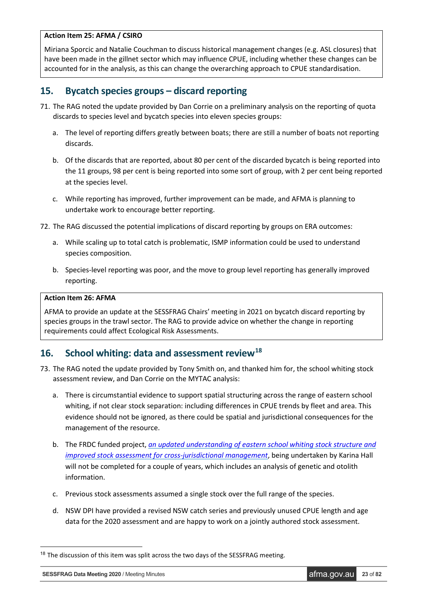# **Action Item 25: AFMA / CSIRO**

Miriana Sporcic and Natalie Couchman to discuss historical management changes (e.g. ASL closures) that have been made in the gillnet sector which may influence CPUE, including whether these changes can be accounted for in the analysis, as this can change the overarching approach to CPUE standardisation.

# <span id="page-22-0"></span>**15. Bycatch species groups – discard reporting**

- 71. The RAG noted the update provided by Dan Corrie on a preliminary analysis on the reporting of quota discards to species level and bycatch species into eleven species groups:
	- a. The level of reporting differs greatly between boats; there are still a number of boats not reporting discards.
	- b. Of the discards that are reported, about 80 per cent of the discarded bycatch is being reported into the 11 groups, 98 per cent is being reported into some sort of group, with 2 per cent being reported at the species level.
	- c. While reporting has improved, further improvement can be made, and AFMA is planning to undertake work to encourage better reporting.
- 72. The RAG discussed the potential implications of discard reporting by groups on ERA outcomes:
	- a. While scaling up to total catch is problematic, ISMP information could be used to understand species composition.
	- b. Species-level reporting was poor, and the move to group level reporting has generally improved reporting.

# **Action Item 26: AFMA**

AFMA to provide an update at the SESSFRAG Chairs' meeting in 2021 on bycatch discard reporting by species groups in the trawl sector. The RAG to provide advice on whether the change in reporting requirements could affect Ecological Risk Assessments.

# <span id="page-22-1"></span>**16. School whiting: data and assessment review[18](#page-22-2)**

- 73. The RAG noted the update provided by Tony Smith on, and thanked him for, the school whiting stock assessment review, and Dan Corrie on the MYTAC analysis:
	- a. There is circumstantial evidence to support spatial structuring across the range of eastern school whiting, if not clear stock separation: including differences in CPUE trends by fleet and area. This evidence should not be ignored, as there could be spatial and jurisdictional consequences for the management of the resource.
	- b. The FRDC funded project, *[an updated understanding of eastern school whiting stock structure and](http://www.frdc.com.au/project/2019-030)  [improved stock assessment for cross-jurisdictional management](http://www.frdc.com.au/project/2019-030)*, being undertaken by Karina Hall will not be completed for a couple of years, which includes an analysis of genetic and otolith information.
	- c. Previous stock assessments assumed a single stock over the full range of the species.
	- d. NSW DPI have provided a revised NSW catch series and previously unused CPUE length and age data for the 2020 assessment and are happy to work on a jointly authored stock assessment.

<span id="page-22-2"></span><sup>&</sup>lt;sup>18</sup> The discussion of this item was split across the two days of the SESSFRAG meeting.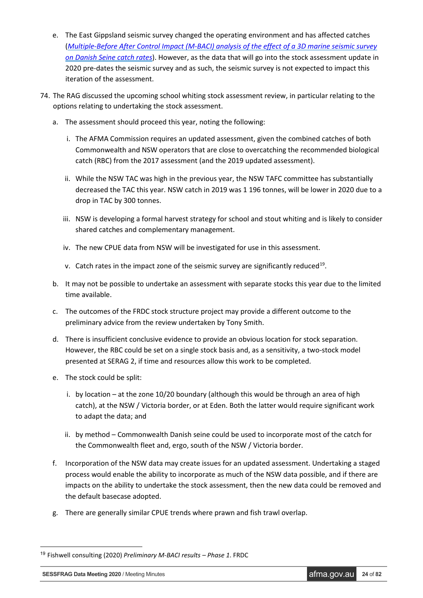- e. The East Gippsland seismic survey changed the operating environment and has affected catches (*Multiple-Before After [Control Impact \(M-BACI\) analysis of the effect of a 3D marine seismic survey](https://www.frdc.com.au/project/2019-072)  [on Danish Seine catch rates](https://www.frdc.com.au/project/2019-072)*). However, as the data that will go into the stock assessment update in 2020 pre-dates the seismic survey and as such, the seismic survey is not expected to impact this iteration of the assessment.
- 74. The RAG discussed the upcoming school whiting stock assessment review, in particular relating to the options relating to undertaking the stock assessment.
	- a. The assessment should proceed this year, noting the following:
		- i. The AFMA Commission requires an updated assessment, given the combined catches of both Commonwealth and NSW operators that are close to overcatching the recommended biological catch (RBC) from the 2017 assessment (and the 2019 updated assessment).
		- ii. While the NSW TAC was high in the previous year, the NSW TAFC committee has substantially decreased the TAC this year. NSW catch in 2019 was 1 196 tonnes, will be lower in 2020 due to a drop in TAC by 300 tonnes.
		- iii. NSW is developing a formal harvest strategy for school and stout whiting and is likely to consider shared catches and complementary management.
		- iv. The new CPUE data from NSW will be investigated for use in this assessment.
		- v. Catch rates in the impact zone of the seismic survey are significantly reduced<sup>[19](#page-23-0)</sup>.
	- b. It may not be possible to undertake an assessment with separate stocks this year due to the limited time available.
	- c. The outcomes of the FRDC stock structure project may provide a different outcome to the preliminary advice from the review undertaken by Tony Smith.
	- d. There is insufficient conclusive evidence to provide an obvious location for stock separation. However, the RBC could be set on a single stock basis and, as a sensitivity, a two-stock model presented at SERAG 2, if time and resources allow this work to be completed.
	- e. The stock could be split:
		- i. by location at the zone 10/20 boundary (although this would be through an area of high catch), at the NSW / Victoria border, or at Eden. Both the latter would require significant work to adapt the data; and
		- ii. by method Commonwealth Danish seine could be used to incorporate most of the catch for the Commonwealth fleet and, ergo, south of the NSW / Victoria border.
	- f. Incorporation of the NSW data may create issues for an updated assessment. Undertaking a staged process would enable the ability to incorporate as much of the NSW data possible, and if there are impacts on the ability to undertake the stock assessment, then the new data could be removed and the default basecase adopted.
	- g. There are generally similar CPUE trends where prawn and fish trawl overlap.

<span id="page-23-0"></span> <sup>19</sup> Fishwell consulting (2020) *Preliminary M-BACI results – Phase 1*. FRDC

**SESSFRAG Data Meeting 2020** / Meeting Minutes **and** *Afma.gov.au* **24** of 82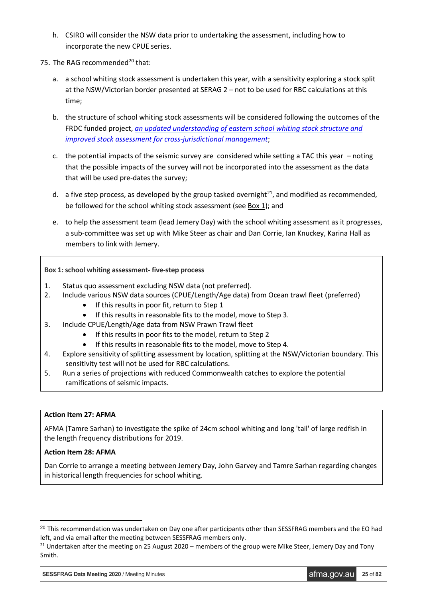- h. CSIRO will consider the NSW data prior to undertaking the assessment, including how to incorporate the new CPUE series.
- 75. The RAG recommended<sup>[20](#page-24-0)</sup> that:
	- a. a school whiting stock assessment is undertaken this year, with a sensitivity exploring a stock split at the NSW/Victorian border presented at SERAG 2 – not to be used for RBC calculations at this time;
	- b. the structure of school whiting stock assessments will be considered following the outcomes of the FRDC funded project, *[an updated understanding of eastern school whiting stock structure and](http://www.frdc.com.au/project/2019-030)  [improved stock assessment for cross-jurisdictional management](http://www.frdc.com.au/project/2019-030)*;
	- c. the potential impacts of the seismic survey are considered while setting a TAC this year noting that the possible impacts of the survey will not be incorporated into the assessment as the data that will be used pre-dates the survey;
	- d. a five step process, as developed by the group tasked overnight<sup>[21](#page-24-1)</sup>, and modified as recommended, be followed for the school whiting stock assessment (see Box 1); and
	- e. to help the assessment team (lead Jemery Day) with the school whiting assessment as it progresses, a sub-committee was set up with Mike Steer as chair and Dan Corrie, Ian Knuckey, Karina Hall as members to link with Jemery.

# **Box 1: school whiting assessment- five-step process**

- 1. Status quo assessment excluding NSW data (not preferred).
- 2. Include various NSW data sources (CPUE/Length/Age data) from Ocean trawl fleet (preferred)
	- If this results in poor fit, return to Step 1
	- If this results in reasonable fits to the model, move to Step 3.
- 3. Include CPUE/Length/Age data from NSW Prawn Trawl fleet
	- If this results in poor fits to the model, return to Step 2
	- If this results in reasonable fits to the model, move to Step 4.
- 4. Explore sensitivity of splitting assessment by location, splitting at the NSW/Victorian boundary. This sensitivity test will not be used for RBC calculations.
- 5. Run a series of projections with reduced Commonwealth catches to explore the potential ramifications of seismic impacts.

#### **Action Item 27: AFMA**

AFMA (Tamre Sarhan) to investigate the spike of 24cm school whiting and long 'tail' of large redfish in the length frequency distributions for 2019.

#### **Action Item 28: AFMA**

Dan Corrie to arrange a meeting between Jemery Day, John Garvey and Tamre Sarhan regarding changes in historical length frequencies for school whiting.

**SESSFRAG Data Meeting 2020** / Meeting Minutes **afma.gov.au 25** of 82

<span id="page-24-0"></span><sup>&</sup>lt;sup>20</sup> This recommendation was undertaken on Day one after participants other than SESSFRAG members and the EO had left, and via email after the meeting between SESSFRAG members only.<br><sup>21</sup> Undertaken after the meeting on 25 August 2020 – members of the group were Mike Steer, Jemery Day and Tony

<span id="page-24-1"></span>Smith.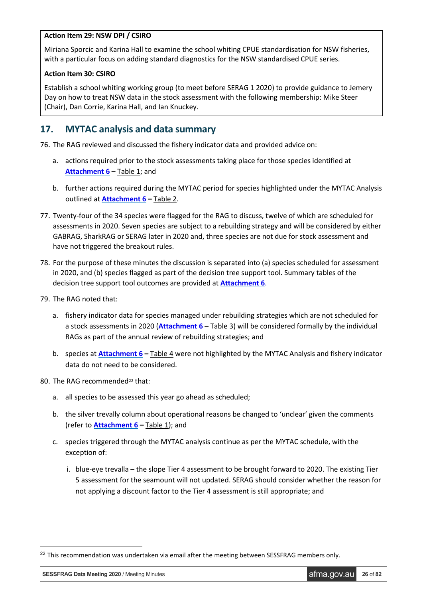# **Action Item 29: NSW DPI / CSIRO**

Miriana Sporcic and Karina Hall to examine the school whiting CPUE standardisation for NSW fisheries, with a particular focus on adding standard diagnostics for the NSW standardised CPUE series.

# **Action Item 30: CSIRO**

Establish a school whiting working group (to meet before SERAG 1 2020) to provide guidance to Jemery Day on how to treat NSW data in the stock assessment with the following membership: Mike Steer (Chair), Dan Corrie, Karina Hall, and Ian Knuckey.

# <span id="page-25-0"></span>**17. MYTAC analysis and data summary**

76. The RAG reviewed and discussed the fishery indicator data and provided advice on:

- a. actions required prior to the stock assessments taking place for those species identified at **[Attachment 6](#page-69-0) –** Table 1; and
- b. further actions required during the MYTAC period for species highlighted under the MYTAC Analysis outlined at **[Attachment 6](#page-69-0) –** Table 2.
- 77. Twenty-four of the 34 species were flagged for the RAG to discuss, twelve of which are scheduled for assessments in 2020. Seven species are subject to a rebuilding strategy and will be considered by either GABRAG, SharkRAG or SERAG later in 2020 and, three species are not due for stock assessment and have not triggered the breakout rules.
- 78. For the purpose of these minutes the discussion is separated into (a) species scheduled for assessment in 2020, and (b) species flagged as part of the decision tree support tool. Summary tables of the decision tree support tool outcomes are provided at **[Attachment 6](#page-69-0)**.
- 79. The RAG noted that:
	- a. fishery indicator data for species managed under rebuilding strategies which are not scheduled for a stock assessments in 2020 (**[Attachment 6](#page-69-0) –** Table 3) will be considered formally by the individual RAGs as part of the annual review of rebuilding strategies; and
	- b. species at **[Attachment 6](#page-69-0) –** Table 4 were not highlighted by the MYTAC Analysis and fishery indicator data do not need to be considered.
- 80. The RAG recommended<sup>[22](#page-25-1)</sup> that:
	- a. all species to be assessed this year go ahead as scheduled;
	- b. the silver trevally column about operational reasons be changed to 'unclear' given the comments (refer to **[Attachment 6](#page-69-0) –** Table 1); and
	- c. species triggered through the MYTAC analysis continue as per the MYTAC schedule, with the exception of:
		- i. blue-eye trevalla the slope Tier 4 assessment to be brought forward to 2020. The existing Tier 5 assessment for the seamount will not updated. SERAG should consider whether the reason for not applying a discount factor to the Tier 4 assessment is still appropriate; and

**SESSFRAG Data Meeting 2020** / Meeting Minutes **afma.gov.au <b>26** of 82

<span id="page-25-1"></span><sup>&</sup>lt;sup>22</sup> This recommendation was undertaken via email after the meeting between SESSFRAG members only.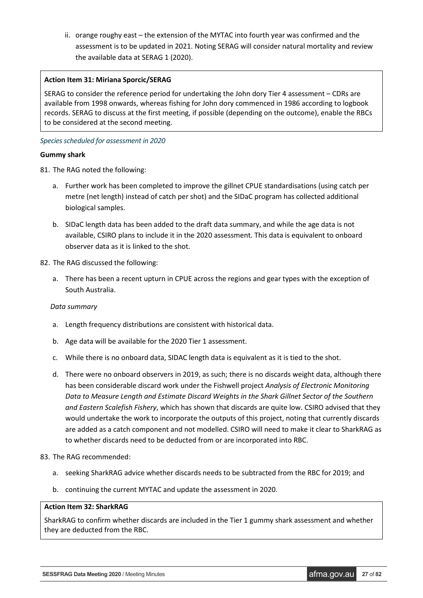ii. orange roughy east – the extension of the MYTAC into fourth year was confirmed and the assessment is to be updated in 2021. Noting SERAG will consider natural mortality and review the available data at SERAG 1 (2020).

# **Action Item 31: Miriana Sporcic/SERAG**

SERAG to consider the reference period for undertaking the John dory Tier 4 assessment – CDRs are available from 1998 onwards, whereas fishing for John dory commenced in 1986 according to logbook records. SERAG to discuss at the first meeting, if possible (depending on the outcome), enable the RBCs to be considered at the second meeting.

#### *Species scheduled for assessment in 2020*

#### **Gummy shark**

81. The RAG noted the following:

- a. Further work has been completed to improve the gillnet CPUE standardisations (using catch per metre (net length) instead of catch per shot) and the SIDaC program has collected additional biological samples.
- b. SIDaC length data has been added to the draft data summary, and while the age data is not available, CSIRO plans to include it in the 2020 assessment. This data is equivalent to onboard observer data as it is linked to the shot.

#### 82. The RAG discussed the following:

a. There has been a recent upturn in CPUE across the regions and gear types with the exception of South Australia.

#### *Data summary*

- a. Length frequency distributions are consistent with historical data.
- b. Age data will be available for the 2020 Tier 1 assessment.
- c. While there is no onboard data, SIDAC length data is equivalent as it is tied to the shot.
- d. There were no onboard observers in 2019, as such; there is no discards weight data, although there has been considerable discard work under the Fishwell project *Analysis of Electronic Monitoring Data to Measure Length and Estimate Discard Weights in the Shark Gillnet Sector of the Southern and Eastern Scalefish Fishery*, which has shown that discards are quite low. CSIRO advised that they would undertake the work to incorporate the outputs of this project, noting that currently discards are added as a catch component and not modelled. CSIRO will need to make it clear to SharkRAG as to whether discards need to be deducted from or are incorporated into RBC.

#### 83. The RAG recommended:

- a. seeking SharkRAG advice whether discards needs to be subtracted from the RBC for 2019; and
- b. continuing the current MYTAC and update the assessment in 2020.

#### **Action Item 32: SharkRAG**

SharkRAG to confirm whether discards are included in the Tier 1 gummy shark assessment and whether they are deducted from the RBC.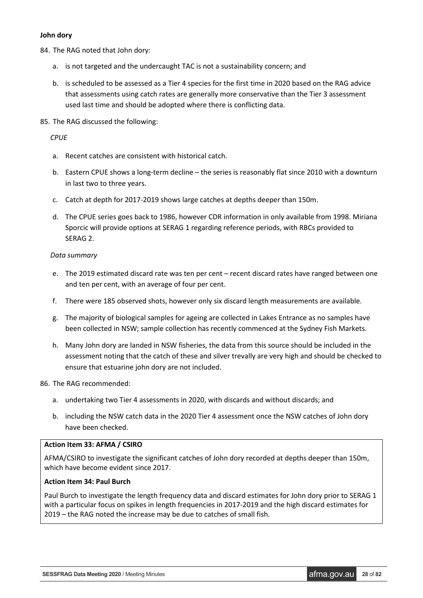#### **John dory**

- 84. The RAG noted that John dory:
	- a. is not targeted and the undercaught TAC is not a sustainability concern; and
	- b. is scheduled to be assessed as a Tier 4 species for the first time in 2020 based on the RAG advice that assessments using catch rates are generally more conservative than the Tier 3 assessment used last time and should be adopted where there is conflicting data.
- 85. The RAG discussed the following:

### *CPUE*

- a. Recent catches are consistent with historical catch.
- b. Eastern CPUE shows a long-term decline the series is reasonably flat since 2010 with a downturn in last two to three years.
- c. Catch at depth for 2017-2019 shows large catches at depths deeper than 150m.
- d. The CPUE series goes back to 1986, however CDR information in only available from 1998. Miriana Sporcic will provide options at SERAG 1 regarding reference periods, with RBCs provided to SERAG 2.

# *Data summary*

- e. The 2019 estimated discard rate was ten per cent recent discard rates have ranged between one and ten per cent, with an average of four per cent.
- f. There were 185 observed shots, however only six discard length measurements are available.
- g. The majority of biological samples for ageing are collected in Lakes Entrance as no samples have been collected in NSW; sample collection has recently commenced at the Sydney Fish Markets.
- h. Many John dory are landed in NSW fisheries, the data from this source should be included in the assessment noting that the catch of these and silver trevally are very high and should be checked to ensure that estuarine john dory are not included.
- 86. The RAG recommended:
	- a. undertaking two Tier 4 assessments in 2020, with discards and without discards; and
	- b. including the NSW catch data in the 2020 Tier 4 assessment once the NSW catches of John dory have been checked.

#### **Action Item 33: AFMA / CSIRO**

AFMA/CSIRO to investigate the significant catches of John dory recorded at depths deeper than 150m, which have become evident since 2017.

# **Action Item 34: Paul Burch**

Paul Burch to investigate the length frequency data and discard estimates for John dory prior to SERAG 1 with a particular focus on spikes in length frequencies in 2017-2019 and the high discard estimates for 2019 – the RAG noted the increase may be due to catches of small fish.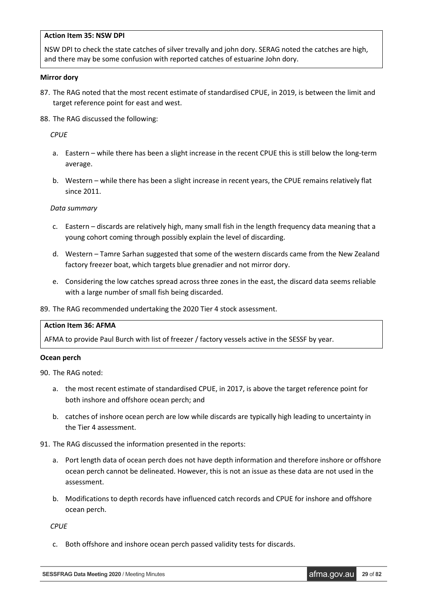#### **Action Item 35: NSW DPI**

NSW DPI to check the state catches of silver trevally and john dory. SERAG noted the catches are high, and there may be some confusion with reported catches of estuarine John dory.

#### **Mirror dory**

- 87. The RAG noted that the most recent estimate of standardised CPUE, in 2019, is between the limit and target reference point for east and west.
- 88. The RAG discussed the following:

*CPUE*

- a. Eastern while there has been a slight increase in the recent CPUE this is still below the long-term average.
- b. Western while there has been a slight increase in recent years, the CPUE remains relatively flat since 2011.

#### *Data summary*

- c. Eastern discards are relatively high, many small fish in the length frequency data meaning that a young cohort coming through possibly explain the level of discarding.
- d. Western Tamre Sarhan suggested that some of the western discards came from the New Zealand factory freezer boat, which targets blue grenadier and not mirror dory.
- e. Considering the low catches spread across three zones in the east, the discard data seems reliable with a large number of small fish being discarded.
- 89. The RAG recommended undertaking the 2020 Tier 4 stock assessment.

#### **Action Item 36: AFMA**

AFMA to provide Paul Burch with list of freezer / factory vessels active in the SESSF by year.

#### **Ocean perch**

90. The RAG noted:

- a. the most recent estimate of standardised CPUE, in 2017, is above the target reference point for both inshore and offshore ocean perch; and
- b. catches of inshore ocean perch are low while discards are typically high leading to uncertainty in the Tier 4 assessment.
- 91. The RAG discussed the information presented in the reports:
	- a. Port length data of ocean perch does not have depth information and therefore inshore or offshore ocean perch cannot be delineated. However, this is not an issue as these data are not used in the assessment.
	- b. Modifications to depth records have influenced catch records and CPUE for inshore and offshore ocean perch.

*CPUE*

c. Both offshore and inshore ocean perch passed validity tests for discards.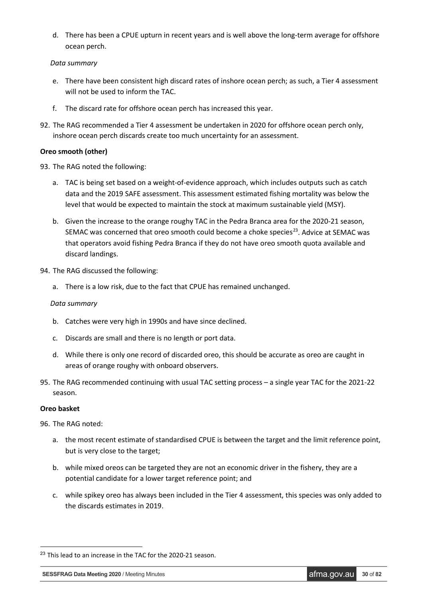d. There has been a CPUE upturn in recent years and is well above the long-term average for offshore ocean perch.

# *Data summary*

- e. There have been consistent high discard rates of inshore ocean perch; as such, a Tier 4 assessment will not be used to inform the TAC.
- f. The discard rate for offshore ocean perch has increased this year.
- 92. The RAG recommended a Tier 4 assessment be undertaken in 2020 for offshore ocean perch only, inshore ocean perch discards create too much uncertainty for an assessment.

# **Oreo smooth (other)**

- 93. The RAG noted the following:
	- a. TAC is being set based on a weight-of-evidence approach, which includes outputs such as catch data and the 2019 SAFE assessment. This assessment estimated fishing mortality was below the level that would be expected to maintain the stock at maximum sustainable yield (MSY).
	- b. Given the increase to the orange roughy TAC in the Pedra Branca area for the 2020-21 season, SEMAC was concerned that oreo smooth could become a choke species<sup>23</sup>. Advice at SEMAC was that operators avoid fishing Pedra Branca if they do not have oreo smooth quota available and discard landings.
- 94. The RAG discussed the following:
	- a. There is a low risk, due to the fact that CPUE has remained unchanged.

#### *Data summary*

- b. Catches were very high in 1990s and have since declined.
- c. Discards are small and there is no length or port data.
- d. While there is only one record of discarded oreo, this should be accurate as oreo are caught in areas of orange roughy with onboard observers.
- 95. The RAG recommended continuing with usual TAC setting process a single year TAC for the 2021-22 season.

#### **Oreo basket**

96. The RAG noted:

- a. the most recent estimate of standardised CPUE is between the target and the limit reference point, but is very close to the target;
- b. while mixed oreos can be targeted they are not an economic driver in the fishery, they are a potential candidate for a lower target reference point; and
- c. while spikey oreo has always been included in the Tier 4 assessment, this species was only added to the discards estimates in 2019.

<span id="page-29-0"></span><sup>&</sup>lt;sup>23</sup> This lead to an increase in the TAC for the 2020-21 season.

**SESSFRAG Data Meeting 2020** / Meeting Minutes **afma.gov.au 30 of 82**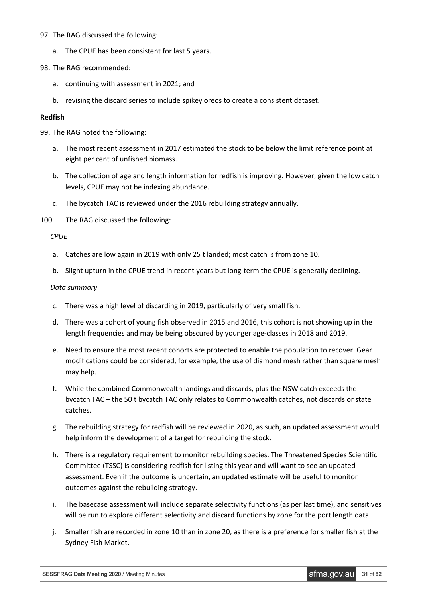#### 97. The RAG discussed the following:

- a. The CPUE has been consistent for last 5 years.
- 98. The RAG recommended:
	- a. continuing with assessment in 2021; and
	- b. revising the discard series to include spikey oreos to create a consistent dataset.

#### **Redfish**

99. The RAG noted the following:

- a. The most recent assessment in 2017 estimated the stock to be below the limit reference point at eight per cent of unfished biomass.
- b. The collection of age and length information for redfish is improving. However, given the low catch levels, CPUE may not be indexing abundance.
- c. The bycatch TAC is reviewed under the 2016 rebuilding strategy annually.

100. The RAG discussed the following:

*CPUE*

- a. Catches are low again in 2019 with only 25 t landed; most catch is from zone 10.
- b. Slight upturn in the CPUE trend in recent years but long-term the CPUE is generally declining.

#### *Data summary*

- c. There was a high level of discarding in 2019, particularly of very small fish.
- d. There was a cohort of young fish observed in 2015 and 2016, this cohort is not showing up in the length frequencies and may be being obscured by younger age-classes in 2018 and 2019.
- e. Need to ensure the most recent cohorts are protected to enable the population to recover. Gear modifications could be considered, for example, the use of diamond mesh rather than square mesh may help.
- f. While the combined Commonwealth landings and discards, plus the NSW catch exceeds the bycatch TAC – the 50 t bycatch TAC only relates to Commonwealth catches, not discards or state catches.
- g. The rebuilding strategy for redfish will be reviewed in 2020, as such, an updated assessment would help inform the development of a target for rebuilding the stock.
- h. There is a regulatory requirement to monitor rebuilding species. The Threatened Species Scientific Committee (TSSC) is considering redfish for listing this year and will want to see an updated assessment. Even if the outcome is uncertain, an updated estimate will be useful to monitor outcomes against the rebuilding strategy.
- i. The basecase assessment will include separate selectivity functions (as per last time), and sensitives will be run to explore different selectivity and discard functions by zone for the port length data.
- j. Smaller fish are recorded in zone 10 than in zone 20, as there is a preference for smaller fish at the Sydney Fish Market.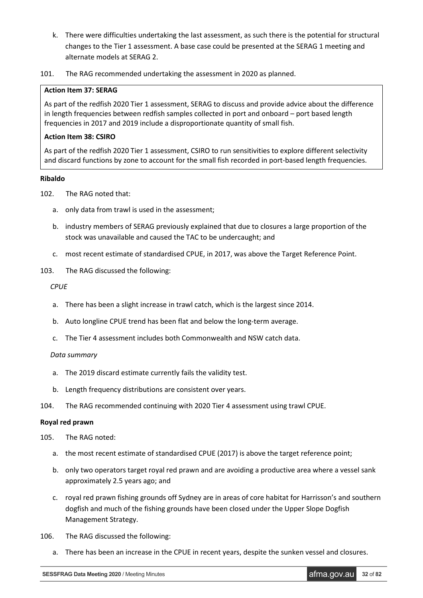- k. There were difficulties undertaking the last assessment, as such there is the potential for structural changes to the Tier 1 assessment. A base case could be presented at the SERAG 1 meeting and alternate models at SERAG 2.
- 101. The RAG recommended undertaking the assessment in 2020 as planned.

# **Action Item 37: SERAG**

As part of the redfish 2020 Tier 1 assessment, SERAG to discuss and provide advice about the difference in length frequencies between redfish samples collected in port and onboard – port based length frequencies in 2017 and 2019 include a disproportionate quantity of small fish.

# **Action Item 38: CSIRO**

As part of the redfish 2020 Tier 1 assessment, CSIRO to run sensitivities to explore different selectivity and discard functions by zone to account for the small fish recorded in port-based length frequencies.

# **Ribaldo**

- 102. The RAG noted that:
	- a. only data from trawl is used in the assessment;
	- b. industry members of SERAG previously explained that due to closures a large proportion of the stock was unavailable and caused the TAC to be undercaught; and
	- c. most recent estimate of standardised CPUE, in 2017, was above the Target Reference Point.
- 103. The RAG discussed the following:

# *CPUE*

- a. There has been a slight increase in trawl catch, which is the largest since 2014.
- b. Auto longline CPUE trend has been flat and below the long-term average.
- c. The Tier 4 assessment includes both Commonwealth and NSW catch data.

# *Data summary*

- a. The 2019 discard estimate currently fails the validity test.
- b. Length frequency distributions are consistent over years.
- 104. The RAG recommended continuing with 2020 Tier 4 assessment using trawl CPUE.

#### **Royal red prawn**

- 105. The RAG noted:
	- a. the most recent estimate of standardised CPUE (2017) is above the target reference point;
	- b. only two operators target royal red prawn and are avoiding a productive area where a vessel sank approximately 2.5 years ago; and
	- c. royal red prawn fishing grounds off Sydney are in areas of core habitat for Harrisson's and southern dogfish and much of the fishing grounds have been closed under the Upper Slope Dogfish Management Strategy.
- 106. The RAG discussed the following:
	- a. There has been an increase in the CPUE in recent years, despite the sunken vessel and closures.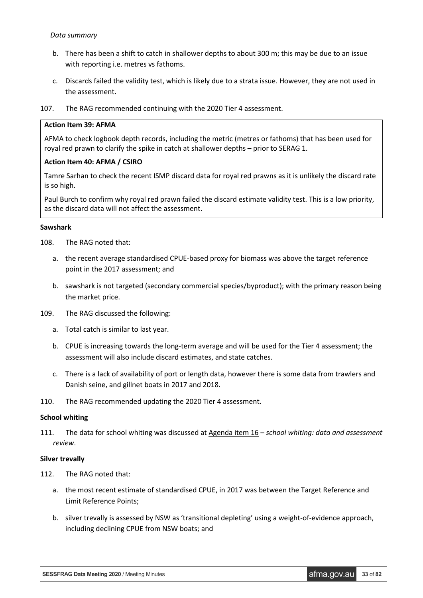#### *Data summary*

- b. There has been a shift to catch in shallower depths to about 300 m; this may be due to an issue with reporting i.e. metres vs fathoms.
- c. Discards failed the validity test, which is likely due to a strata issue. However, they are not used in the assessment.
- 107. The RAG recommended continuing with the 2020 Tier 4 assessment.

### **Action Item 39: AFMA**

AFMA to check logbook depth records, including the metric (metres or fathoms) that has been used for royal red prawn to clarify the spike in catch at shallower depths – prior to SERAG 1.

# **Action Item 40: AFMA / CSIRO**

Tamre Sarhan to check the recent ISMP discard data for royal red prawns as it is unlikely the discard rate is so high.

Paul Burch to confirm why royal red prawn failed the discard estimate validity test. This is a low priority, as the discard data will not affect the assessment.

#### **Sawshark**

- 108. The RAG noted that:
	- a. the recent average standardised CPUE-based proxy for biomass was above the target reference point in the 2017 assessment; and
	- b. sawshark is not targeted (secondary commercial species/byproduct); with the primary reason being the market price.
- 109. The RAG discussed the following:
	- a. Total catch is similar to last year.
	- b. CPUE is increasing towards the long-term average and will be used for the Tier 4 assessment; the assessment will also include discard estimates, and state catches.
	- c. There is a lack of availability of port or length data, however there is some data from trawlers and Danish seine, and gillnet boats in 2017 and 2018.
- 110. The RAG recommended updating the 2020 Tier 4 assessment.

#### **School whiting**

111. The data for school whiting was discussed at Agenda item 16 – *school whiting: data and assessment review*.

#### **Silver trevally**

- 112. The RAG noted that:
	- a. the most recent estimate of standardised CPUE, in 2017 was between the Target Reference and Limit Reference Points;
	- b. silver trevally is assessed by NSW as 'transitional depleting' using a weight-of-evidence approach, including declining CPUE from NSW boats; and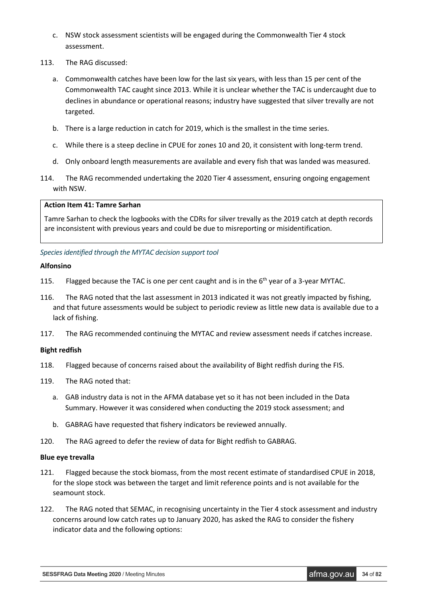- c. NSW stock assessment scientists will be engaged during the Commonwealth Tier 4 stock assessment.
- 113. The RAG discussed:
	- a. Commonwealth catches have been low for the last six years, with less than 15 per cent of the Commonwealth TAC caught since 2013. While it is unclear whether the TAC is undercaught due to declines in abundance or operational reasons; industry have suggested that silver trevally are not targeted.
	- b. There is a large reduction in catch for 2019, which is the smallest in the time series.
	- c. While there is a steep decline in CPUE for zones 10 and 20, it consistent with long-term trend.
	- d. Only onboard length measurements are available and every fish that was landed was measured.
- 114. The RAG recommended undertaking the 2020 Tier 4 assessment, ensuring ongoing engagement with NSW.

#### **Action Item 41: Tamre Sarhan**

Tamre Sarhan to check the logbooks with the CDRs for silver trevally as the 2019 catch at depth records are inconsistent with previous years and could be due to misreporting or misidentification.

# *Species identified through the MYTAC decision support tool*

#### **Alfonsino**

- 115. Flagged because the TAC is one per cent caught and is in the  $6<sup>th</sup>$  year of a 3-year MYTAC.
- 116. The RAG noted that the last assessment in 2013 indicated it was not greatly impacted by fishing, and that future assessments would be subject to periodic review as little new data is available due to a lack of fishing.
- 117. The RAG recommended continuing the MYTAC and review assessment needs if catches increase.

#### **Bight redfish**

- 118. Flagged because of concerns raised about the availability of Bight redfish during the FIS.
- 119. The RAG noted that:
	- a. GAB industry data is not in the AFMA database yet so it has not been included in the Data Summary. However it was considered when conducting the 2019 stock assessment; and
	- b. GABRAG have requested that fishery indicators be reviewed annually.
- 120. The RAG agreed to defer the review of data for Bight redfish to GABRAG.

#### **Blue eye trevalla**

- 121. Flagged because the stock biomass, from the most recent estimate of standardised CPUE in 2018, for the slope stock was between the target and limit reference points and is not available for the seamount stock.
- 122. The RAG noted that SEMAC, in recognising uncertainty in the Tier 4 stock assessment and industry concerns around low catch rates up to January 2020, has asked the RAG to consider the fishery indicator data and the following options: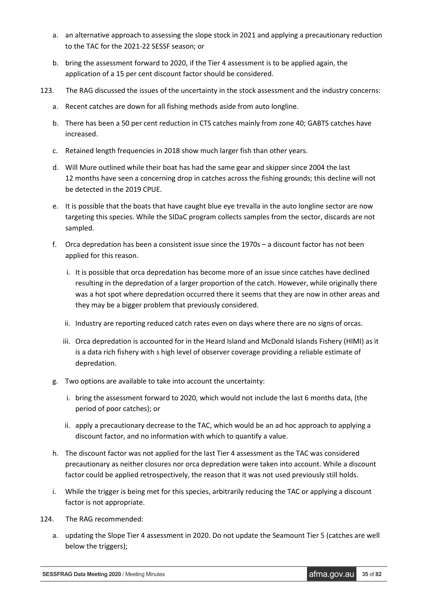- a. an alternative approach to assessing the slope stock in 2021 and applying a precautionary reduction to the TAC for the 2021-22 SESSF season; or
- b. bring the assessment forward to 2020, if the Tier 4 assessment is to be applied again, the application of a 15 per cent discount factor should be considered.
- 123. The RAG discussed the issues of the uncertainty in the stock assessment and the industry concerns:
	- a. Recent catches are down for all fishing methods aside from auto longline.
	- b. There has been a 50 per cent reduction in CTS catches mainly from zone 40; GABTS catches have increased.
	- c. Retained length frequencies in 2018 show much larger fish than other years.
	- d. Will Mure outlined while their boat has had the same gear and skipper since 2004 the last 12 months have seen a concerning drop in catches across the fishing grounds; this decline will not be detected in the 2019 CPUE.
	- e. It is possible that the boats that have caught blue eye trevalla in the auto longline sector are now targeting this species. While the SIDaC program collects samples from the sector, discards are not sampled.
	- f. Orca depredation has been a consistent issue since the 1970s a discount factor has not been applied for this reason.
		- i. It is possible that orca depredation has become more of an issue since catches have declined resulting in the depredation of a larger proportion of the catch. However, while originally there was a hot spot where depredation occurred there it seems that they are now in other areas and they may be a bigger problem that previously considered.
		- ii. Industry are reporting reduced catch rates even on days where there are no signs of orcas.
		- iii. Orca depredation is accounted for in the Heard Island and McDonald Islands Fishery (HIMI) as it is a data rich fishery with s high level of observer coverage providing a reliable estimate of depredation.
	- g. Two options are available to take into account the uncertainty:
		- i. bring the assessment forward to 2020, which would not include the last 6 months data, (the period of poor catches); or
		- ii. apply a precautionary decrease to the TAC, which would be an ad hoc approach to applying a discount factor, and no information with which to quantify a value.
	- h. The discount factor was not applied for the last Tier 4 assessment as the TAC was considered precautionary as neither closures nor orca depredation were taken into account. While a discount factor could be applied retrospectively, the reason that it was not used previously still holds.
	- i. While the trigger is being met for this species, arbitrarily reducing the TAC or applying a discount factor is not appropriate.
- 124. The RAG recommended:
	- a. updating the Slope Tier 4 assessment in 2020. Do not update the Seamount Tier 5 (catches are well below the triggers);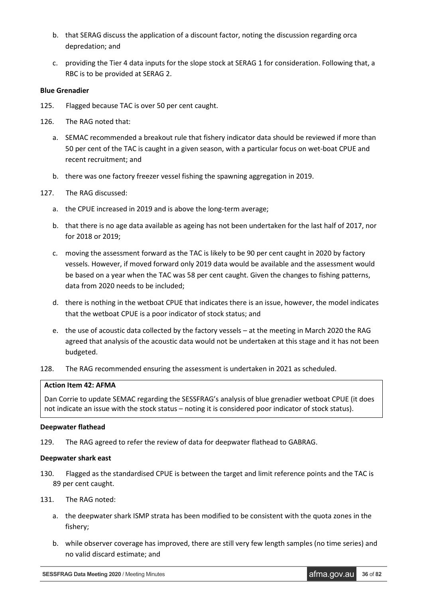- b. that SERAG discuss the application of a discount factor, noting the discussion regarding orca depredation; and
- c. providing the Tier 4 data inputs for the slope stock at SERAG 1 for consideration. Following that, a RBC is to be provided at SERAG 2.

#### **Blue Grenadier**

- 125. Flagged because TAC is over 50 per cent caught.
- 126. The RAG noted that:
	- a. SEMAC recommended a breakout rule that fishery indicator data should be reviewed if more than 50 per cent of the TAC is caught in a given season, with a particular focus on wet-boat CPUE and recent recruitment; and
	- b. there was one factory freezer vessel fishing the spawning aggregation in 2019.
- 127. The RAG discussed:
	- a. the CPUE increased in 2019 and is above the long-term average;
	- b. that there is no age data available as ageing has not been undertaken for the last half of 2017, nor for 2018 or 2019;
	- c. moving the assessment forward as the TAC is likely to be 90 per cent caught in 2020 by factory vessels. However, if moved forward only 2019 data would be available and the assessment would be based on a year when the TAC was 58 per cent caught. Given the changes to fishing patterns, data from 2020 needs to be included;
	- d. there is nothing in the wetboat CPUE that indicates there is an issue, however, the model indicates that the wetboat CPUE is a poor indicator of stock status; and
	- e. the use of acoustic data collected by the factory vessels at the meeting in March 2020 the RAG agreed that analysis of the acoustic data would not be undertaken at this stage and it has not been budgeted.
- 128. The RAG recommended ensuring the assessment is undertaken in 2021 as scheduled.

# **Action Item 42: AFMA**

Dan Corrie to update SEMAC regarding the SESSFRAG's analysis of blue grenadier wetboat CPUE (it does not indicate an issue with the stock status – noting it is considered poor indicator of stock status).

#### **Deepwater flathead**

129. The RAG agreed to refer the review of data for deepwater flathead to GABRAG.

#### **Deepwater shark east**

- 130. Flagged as the standardised CPUE is between the target and limit reference points and the TAC is 89 per cent caught.
- 131. The RAG noted:
	- a. the deepwater shark ISMP strata has been modified to be consistent with the quota zones in the fishery;
	- b. while observer coverage has improved, there are still very few length samples (no time series) and no valid discard estimate; and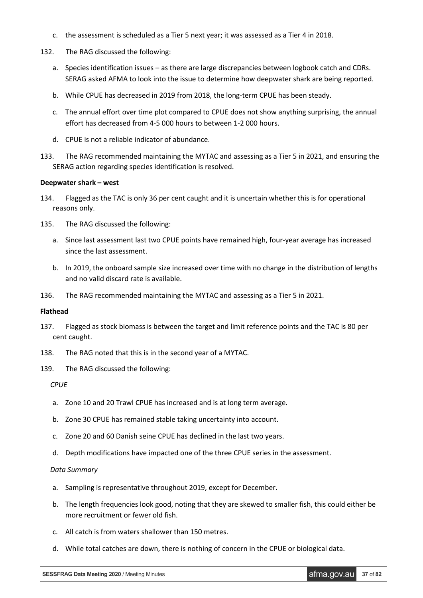- c. the assessment is scheduled as a Tier 5 next year; it was assessed as a Tier 4 in 2018.
- 132. The RAG discussed the following:
	- a. Species identification issues as there are large discrepancies between logbook catch and CDRs. SERAG asked AFMA to look into the issue to determine how deepwater shark are being reported.
	- b. While CPUE has decreased in 2019 from 2018, the long-term CPUE has been steady.
	- c. The annual effort over time plot compared to CPUE does not show anything surprising, the annual effort has decreased from 4-5 000 hours to between 1-2 000 hours.
	- d. CPUE is not a reliable indicator of abundance.
- 133. The RAG recommended maintaining the MYTAC and assessing as a Tier 5 in 2021, and ensuring the SERAG action regarding species identification is resolved.

### **Deepwater shark – west**

- 134. Flagged as the TAC is only 36 per cent caught and it is uncertain whether this is for operational reasons only.
- 135. The RAG discussed the following:
	- a. Since last assessment last two CPUE points have remained high, four-year average has increased since the last assessment.
	- b. In 2019, the onboard sample size increased over time with no change in the distribution of lengths and no valid discard rate is available.
- 136. The RAG recommended maintaining the MYTAC and assessing as a Tier 5 in 2021.

### **Flathead**

- 137. Flagged as stock biomass is between the target and limit reference points and the TAC is 80 per cent caught.
- 138. The RAG noted that this is in the second year of a MYTAC.
- 139. The RAG discussed the following:

*CPUE*

- a. Zone 10 and 20 Trawl CPUE has increased and is at long term average.
- b. Zone 30 CPUE has remained stable taking uncertainty into account.
- c. Zone 20 and 60 Danish seine CPUE has declined in the last two years.
- d. Depth modifications have impacted one of the three CPUE series in the assessment.

### *Data Summary*

- a. Sampling is representative throughout 2019, except for December.
- b. The length frequencies look good, noting that they are skewed to smaller fish, this could either be more recruitment or fewer old fish.
- c. All catch is from waters shallower than 150 metres.
- d. While total catches are down, there is nothing of concern in the CPUE or biological data.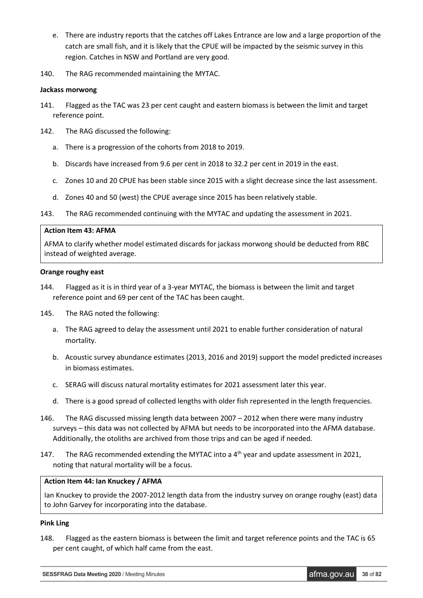- e. There are industry reports that the catches off Lakes Entrance are low and a large proportion of the catch are small fish, and it is likely that the CPUE will be impacted by the seismic survey in this region. Catches in NSW and Portland are very good.
- 140. The RAG recommended maintaining the MYTAC.

#### **Jackass morwong**

- 141. Flagged as the TAC was 23 per cent caught and eastern biomass is between the limit and target reference point.
- 142. The RAG discussed the following:
	- a. There is a progression of the cohorts from 2018 to 2019.
	- b. Discards have increased from 9.6 per cent in 2018 to 32.2 per cent in 2019 in the east.
	- c. Zones 10 and 20 CPUE has been stable since 2015 with a slight decrease since the last assessment.
	- d. Zones 40 and 50 (west) the CPUE average since 2015 has been relatively stable.
- 143. The RAG recommended continuing with the MYTAC and updating the assessment in 2021.

### **Action Item 43: AFMA**

AFMA to clarify whether model estimated discards for jackass morwong should be deducted from RBC instead of weighted average.

### **Orange roughy east**

- 144. Flagged as it is in third year of a 3-year MYTAC, the biomass is between the limit and target reference point and 69 per cent of the TAC has been caught.
- 145. The RAG noted the following:
	- a. The RAG agreed to delay the assessment until 2021 to enable further consideration of natural mortality.
	- b. Acoustic survey abundance estimates (2013, 2016 and 2019) support the model predicted increases in biomass estimates.
	- c. SERAG will discuss natural mortality estimates for 2021 assessment later this year.
	- d. There is a good spread of collected lengths with older fish represented in the length frequencies.
- 146. The RAG discussed missing length data between 2007 2012 when there were many industry surveys – this data was not collected by AFMA but needs to be incorporated into the AFMA database. Additionally, the otoliths are archived from those trips and can be aged if needed.
- 147. The RAG recommended extending the MYTAC into a 4<sup>th</sup> year and update assessment in 2021, noting that natural mortality will be a focus.

### **Action Item 44: Ian Knuckey / AFMA**

Ian Knuckey to provide the 2007-2012 length data from the industry survey on orange roughy (east) data to John Garvey for incorporating into the database.

### **Pink Ling**

148. Flagged as the eastern biomass is between the limit and target reference points and the TAC is 65 per cent caught, of which half came from the east.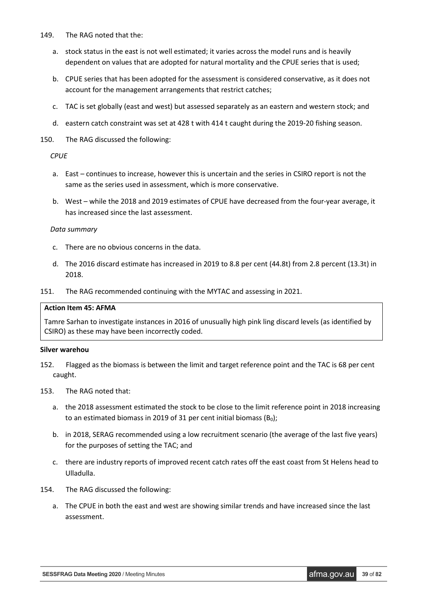- 149. The RAG noted that the:
	- a. stock status in the east is not well estimated; it varies across the model runs and is heavily dependent on values that are adopted for natural mortality and the CPUE series that is used;
	- b. CPUE series that has been adopted for the assessment is considered conservative, as it does not account for the management arrangements that restrict catches;
	- c. TAC is set globally (east and west) but assessed separately as an eastern and western stock; and
	- d. eastern catch constraint was set at 428 t with 414 t caught during the 2019-20 fishing season.
- 150. The RAG discussed the following:

### *CPUE*

- a. East continues to increase, however this is uncertain and the series in CSIRO report is not the same as the series used in assessment, which is more conservative.
- b. West while the 2018 and 2019 estimates of CPUE have decreased from the four-year average, it has increased since the last assessment.

### *Data summary*

- c. There are no obvious concerns in the data.
- d. The 2016 discard estimate has increased in 2019 to 8.8 per cent (44.8t) from 2.8 percent (13.3t) in 2018.
- 151. The RAG recommended continuing with the MYTAC and assessing in 2021.

#### **Action Item 45: AFMA**

Tamre Sarhan to investigate instances in 2016 of unusually high pink ling discard levels (as identified by CSIRO) as these may have been incorrectly coded.

#### **Silver warehou**

- 152. Flagged as the biomass is between the limit and target reference point and the TAC is 68 per cent caught.
- 153. The RAG noted that:
	- a. the 2018 assessment estimated the stock to be close to the limit reference point in 2018 increasing to an estimated biomass in 2019 of 31 per cent initial biomass  $(B_0)$ ;
	- b. in 2018, SERAG recommended using a low recruitment scenario (the average of the last five years) for the purposes of setting the TAC; and
	- c. there are industry reports of improved recent catch rates off the east coast from St Helens head to Ulladulla.
- 154. The RAG discussed the following:
	- a. The CPUE in both the east and west are showing similar trends and have increased since the last assessment.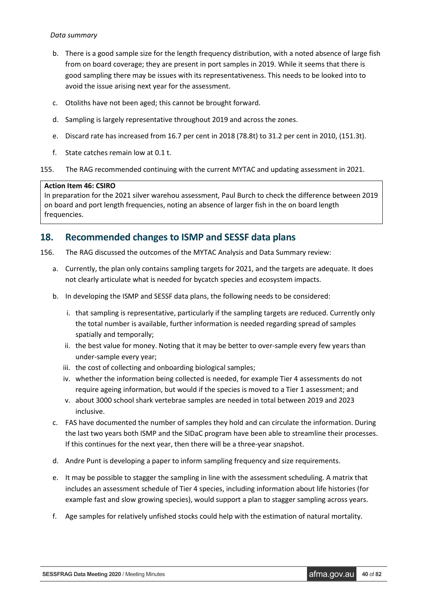### *Data summary*

- b. There is a good sample size for the length frequency distribution, with a noted absence of large fish from on board coverage; they are present in port samples in 2019. While it seems that there is good sampling there may be issues with its representativeness. This needs to be looked into to avoid the issue arising next year for the assessment.
- c. Otoliths have not been aged; this cannot be brought forward.
- d. Sampling is largely representative throughout 2019 and across the zones.
- e. Discard rate has increased from 16.7 per cent in 2018 (78.8t) to 31.2 per cent in 2010, (151.3t).
- f. State catches remain low at 0.1 t.

155. The RAG recommended continuing with the current MYTAC and updating assessment in 2021.

### **Action Item 46: CSIRO**

In preparation for the 2021 silver warehou assessment, Paul Burch to check the difference between 2019 on board and port length frequencies, noting an absence of larger fish in the on board length frequencies.

### **18. Recommended changes to ISMP and SESSF data plans**

156. The RAG discussed the outcomes of the MYTAC Analysis and Data Summary review:

- a. Currently, the plan only contains sampling targets for 2021, and the targets are adequate. It does not clearly articulate what is needed for bycatch species and ecosystem impacts.
- b. In developing the ISMP and SESSF data plans, the following needs to be considered:
	- i. that sampling is representative, particularly if the sampling targets are reduced. Currently only the total number is available, further information is needed regarding spread of samples spatially and temporally;
	- ii. the best value for money. Noting that it may be better to over-sample every few years than under-sample every year;
	- iii. the cost of collecting and onboarding biological samples;
	- iv. whether the information being collected is needed, for example Tier 4 assessments do not require ageing information, but would if the species is moved to a Tier 1 assessment; and
	- v. about 3000 school shark vertebrae samples are needed in total between 2019 and 2023 inclusive.
- c. FAS have documented the number of samples they hold and can circulate the information. During the last two years both ISMP and the SIDaC program have been able to streamline their processes. If this continues for the next year, then there will be a three-year snapshot.
- d. Andre Punt is developing a paper to inform sampling frequency and size requirements.
- e. It may be possible to stagger the sampling in line with the assessment scheduling. A matrix that includes an assessment schedule of Tier 4 species, including information about life histories (for example fast and slow growing species), would support a plan to stagger sampling across years.
- f. Age samples for relatively unfished stocks could help with the estimation of natural mortality.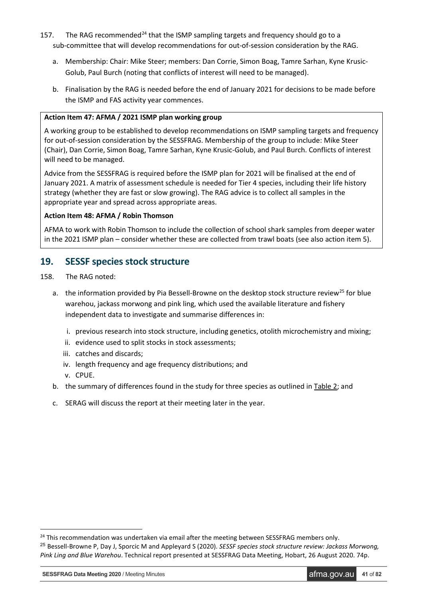- 157. The RAG recommended<sup>[24](#page-40-0)</sup> that the ISMP sampling targets and frequency should go to a sub-committee that will develop recommendations for out-of-session consideration by the RAG.
	- a. Membership: Chair: Mike Steer; members: Dan Corrie, Simon Boag, Tamre Sarhan, Kyne Krusic-Golub, Paul Burch (noting that conflicts of interest will need to be managed).
	- b. Finalisation by the RAG is needed before the end of January 2021 for decisions to be made before the ISMP and FAS activity year commences.

### **Action Item 47: AFMA / 2021 ISMP plan working group**

A working group to be established to develop recommendations on ISMP sampling targets and frequency for out-of-session consideration by the SESSFRAG. Membership of the group to include: Mike Steer (Chair), Dan Corrie, Simon Boag, Tamre Sarhan, Kyne Krusic-Golub, and Paul Burch. Conflicts of interest will need to be managed.

Advice from the SESSFRAG is required before the ISMP plan for 2021 will be finalised at the end of January 2021. A matrix of assessment schedule is needed for Tier 4 species, including their life history strategy (whether they are fast or slow growing). The RAG advice is to collect all samples in the appropriate year and spread across appropriate areas.

### **Action Item 48: AFMA / Robin Thomson**

AFMA to work with Robin Thomson to include the collection of school shark samples from deeper water in the 2021 ISMP plan – consider whether these are collected from trawl boats (see also action item 5).

## **19. SESSF species stock structure**

- 158. The RAG noted:
	- a. the information provided by Pia Bessell-Browne on the desktop stock structure review<sup>[25](#page-40-1)</sup> for blue warehou, jackass morwong and pink ling, which used the available literature and fishery independent data to investigate and summarise differences in:
		- i. previous research into stock structure, including genetics, otolith microchemistry and mixing;
		- ii. evidence used to split stocks in stock assessments;
		- iii. catches and discards;
		- iv. length frequency and age frequency distributions; and
		- v. CPUE.

-

- b. the summary of differences found in the study for three species as outlined in Table 2; and
- c. SERAG will discuss the report at their meeting later in the year.

**SESSFRAG Data Meeting 2020** / Meeting Minutes **afma.gov.au <b>41** of 82

<span id="page-40-1"></span><span id="page-40-0"></span><sup>&</sup>lt;sup>24</sup> This recommendation was undertaken via email after the meeting between SESSFRAG members only. <sup>25</sup> Bessell-Browne P, Day J, Sporcic M and Appleyard S (2020). *SESSF species stock structure review: Jackass Morwong, Pink Ling and Blue Warehou*. Technical report presented at SESSFRAG Data Meeting, Hobart, 26 August 2020. 74p.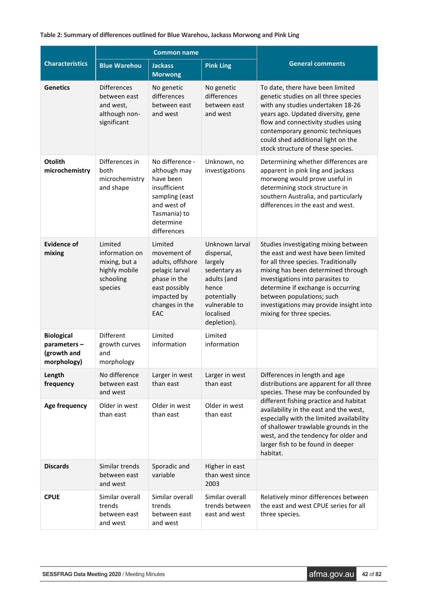### **Table 2: Summary of differences outlined for Blue Warehou, Jackass Morwong and Pink Ling**

|                                                                |                                                                                     | <b>Common name</b>                                                                                                                        |                                                                                                                                             |                                                                                                                                                                                                                                                                                                                                          |
|----------------------------------------------------------------|-------------------------------------------------------------------------------------|-------------------------------------------------------------------------------------------------------------------------------------------|---------------------------------------------------------------------------------------------------------------------------------------------|------------------------------------------------------------------------------------------------------------------------------------------------------------------------------------------------------------------------------------------------------------------------------------------------------------------------------------------|
| <b>Characteristics</b>                                         | <b>Blue Warehou</b>                                                                 | <b>Jackass</b><br><b>Morwong</b>                                                                                                          | <b>Pink Ling</b>                                                                                                                            | <b>General comments</b>                                                                                                                                                                                                                                                                                                                  |
| <b>Genetics</b>                                                | <b>Differences</b><br>between east<br>and west,<br>although non-<br>significant     | No genetic<br>differences<br>between east<br>and west                                                                                     | No genetic<br>differences<br>between east<br>and west                                                                                       | To date, there have been limited<br>genetic studies on all three species<br>with any studies undertaken 18-26<br>years ago. Updated diversity, gene<br>flow and connectivity studies using<br>contemporary genomic techniques<br>could shed additional light on the<br>stock structure of these species.                                 |
| <b>Otolith</b><br>microchemistry                               | Differences in<br>both<br>microchemistry<br>and shape                               | No difference -<br>although may<br>have been<br>insufficient<br>sampling (east<br>and west of<br>Tasmania) to<br>determine<br>differences | Unknown, no<br>investigations                                                                                                               | Determining whether differences are<br>apparent in pink ling and jackass<br>morwong would prove useful in<br>determining stock structure in<br>southern Australia, and particularly<br>differences in the east and west.                                                                                                                 |
| <b>Evidence of</b><br>mixing                                   | Limited<br>information on<br>mixing, but a<br>highly mobile<br>schooling<br>species | Limited<br>movement of<br>adults, offshore<br>pelagic larval<br>phase in the<br>east possibly<br>impacted by<br>changes in the<br>EAC     | Unknown larval<br>dispersal,<br>largely<br>sedentary as<br>adults (and<br>hence<br>potentially<br>vulnerable to<br>localised<br>depletion). | Studies investigating mixing between<br>the east and west have been limited<br>for all three species. Traditionally<br>mixing has been determined through<br>investigations into parasites to<br>determine if exchange is occurring<br>between populations; such<br>investigations may provide insight into<br>mixing for three species. |
| <b>Biological</b><br>parameters-<br>(growth and<br>morphology) | Different<br>growth curves<br>and<br>morphology                                     | Limited<br>information                                                                                                                    | Limited<br>information                                                                                                                      |                                                                                                                                                                                                                                                                                                                                          |
| Length<br>frequency                                            | Larger in west<br>No difference<br>than east<br>between east<br>and west            |                                                                                                                                           | Larger in west<br>than east                                                                                                                 | Differences in length and age<br>distributions are apparent for all three<br>species. These may be confounded by                                                                                                                                                                                                                         |
| Age frequency                                                  | Older in west<br>than east                                                          | Older in west<br>than east                                                                                                                | Older in west<br>than east                                                                                                                  | different fishing practice and habitat<br>availability in the east and the west,<br>especially with the limited availability<br>of shallower trawlable grounds in the<br>west, and the tendency for older and<br>larger fish to be found in deeper<br>habitat.                                                                           |
| <b>Discards</b>                                                | Similar trends<br>between east<br>and west                                          | Sporadic and<br>variable                                                                                                                  | Higher in east<br>than west since<br>2003                                                                                                   |                                                                                                                                                                                                                                                                                                                                          |
| <b>CPUE</b>                                                    | Similar overall<br>trends<br>between east<br>and west                               | Similar overall<br>trends<br>between east<br>and west                                                                                     | Similar overall<br>trends between<br>east and west                                                                                          | Relatively minor differences between<br>the east and west CPUE series for all<br>three species.                                                                                                                                                                                                                                          |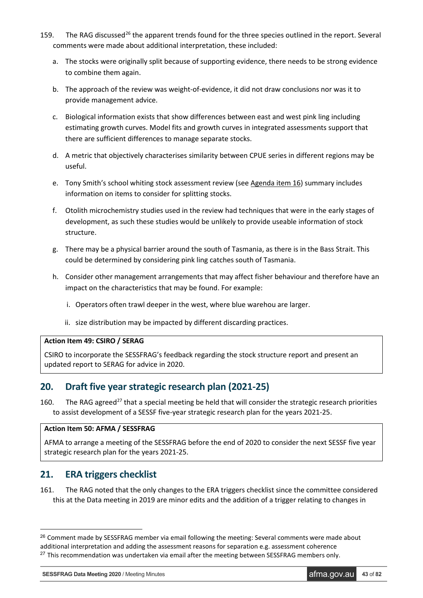- 159. The RAG discussed<sup>[26](#page-42-0)</sup> the apparent trends found for the three species outlined in the report. Several comments were made about additional interpretation, these included:
	- a. The stocks were originally split because of supporting evidence, there needs to be strong evidence to combine them again.
	- b. The approach of the review was weight-of-evidence, it did not draw conclusions nor was it to provide management advice.
	- c. Biological information exists that show differences between east and west pink ling including estimating growth curves. Model fits and growth curves in integrated assessments support that there are sufficient differences to manage separate stocks.
	- d. A metric that objectively characterises similarity between CPUE series in different regions may be useful.
	- e. Tony Smith's school whiting stock assessment review (see Agenda item 16) summary includes information on items to consider for splitting stocks.
	- f. Otolith microchemistry studies used in the review had techniques that were in the early stages of development, as such these studies would be unlikely to provide useable information of stock structure.
	- g. There may be a physical barrier around the south of Tasmania, as there is in the Bass Strait. This could be determined by considering pink ling catches south of Tasmania.
	- h. Consider other management arrangements that may affect fisher behaviour and therefore have an impact on the characteristics that may be found. For example:
		- i. Operators often trawl deeper in the west, where blue warehou are larger.
		- ii. size distribution may be impacted by different discarding practices.

### **Action Item 49: CSIRO / SERAG**

CSIRO to incorporate the SESSFRAG's feedback regarding the stock structure report and present an updated report to SERAG for advice in 2020.

## **20. Draft five year strategic research plan (2021-25)**

160. The RAG agreed<sup>[27](#page-42-1)</sup> that a special meeting be held that will consider the strategic research priorities to assist development of a SESSF five-year strategic research plan for the years 2021-25.

### **Action Item 50: AFMA / SESSFRAG**

AFMA to arrange a meeting of the SESSFRAG before the end of 2020 to consider the next SESSF five year strategic research plan for the years 2021-25.

## **21. ERA triggers checklist**

161. The RAG noted that the only changes to the ERA triggers checklist since the committee considered this at the Data meeting in 2019 are minor edits and the addition of a trigger relating to changes in

**SESSFRAG Data Meeting 2020** / Meeting Minutes **afma.gov.au <b>43** of 82

<span id="page-42-1"></span><span id="page-42-0"></span><sup>&</sup>lt;sup>26</sup> Comment made by SESSFRAG member via email following the meeting: Several comments were made about additional interpretation and adding the assessment reasons for separation e.g. assessment coherence  $27$  This recommendation was undertaken via email after the meeting between SESSFRAG members only.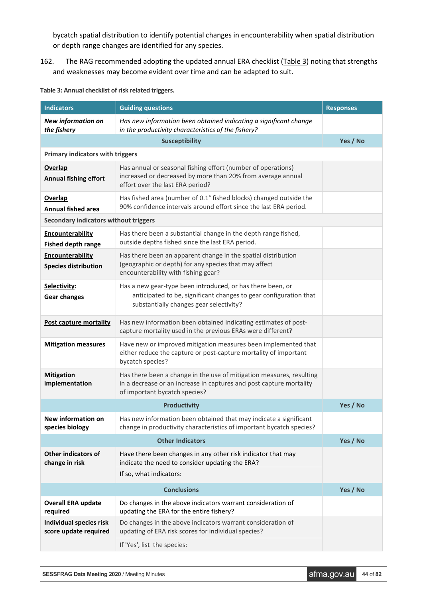bycatch spatial distribution to identify potential changes in encounterability when spatial distribution or depth range changes are identified for any species.

162. The RAG recommended adopting the updated annual ERA checklist (Table 3) noting that strengths and weaknesses may become evident over time and can be adapted to suit.

| <b>Indicators</b>                                       | <b>Guiding questions</b>                                                                                                                                                     | <b>Responses</b> |
|---------------------------------------------------------|------------------------------------------------------------------------------------------------------------------------------------------------------------------------------|------------------|
| <b>New information on</b><br>the fishery                | Has new information been obtained indicating a significant change<br>in the productivity characteristics of the fishery?                                                     |                  |
|                                                         | <b>Susceptibility</b>                                                                                                                                                        | Yes / No         |
| <b>Primary indicators with triggers</b>                 |                                                                                                                                                                              |                  |
| <b>Overlap</b><br><b>Annual fishing effort</b>          | Has annual or seasonal fishing effort (number of operations)<br>increased or decreased by more than 20% from average annual<br>effort over the last ERA period?              |                  |
| <b>Overlap</b><br><b>Annual fished area</b>             | Has fished area (number of 0.1° fished blocks) changed outside the<br>90% confidence intervals around effort since the last ERA period.                                      |                  |
| Secondary indicators without triggers                   |                                                                                                                                                                              |                  |
| Encounterability<br><b>Fished depth range</b>           | Has there been a substantial change in the depth range fished,<br>outside depths fished since the last ERA period.                                                           |                  |
| Encounterability<br><b>Species distribution</b>         | Has there been an apparent change in the spatial distribution<br>(geographic or depth) for any species that may affect<br>encounterability with fishing gear?                |                  |
| Selectivity:<br><b>Gear changes</b>                     | Has a new gear-type been introduced, or has there been, or<br>anticipated to be, significant changes to gear configuration that<br>substantially changes gear selectivity?   |                  |
| <b>Post capture mortality</b>                           | Has new information been obtained indicating estimates of post-<br>capture mortality used in the previous ERAs were different?                                               |                  |
| <b>Mitigation measures</b>                              | Have new or improved mitigation measures been implemented that<br>either reduce the capture or post-capture mortality of important<br>bycatch species?                       |                  |
| <b>Mitigation</b><br>implementation                     | Has there been a change in the use of mitigation measures, resulting<br>in a decrease or an increase in captures and post capture mortality<br>of important bycatch species? |                  |
|                                                         | <b>Productivity</b>                                                                                                                                                          | Yes / No         |
| New information on<br>species biology                   | Has new information been obtained that may indicate a significant<br>change in productivity characteristics of important bycatch species?                                    |                  |
|                                                         | <b>Other Indicators</b>                                                                                                                                                      | Yes / No         |
| <b>Other indicators of</b><br>change in risk            | Have there been changes in any other risk indicator that may<br>indicate the need to consider updating the ERA?                                                              |                  |
|                                                         | If so, what indicators:                                                                                                                                                      |                  |
|                                                         | <b>Conclusions</b>                                                                                                                                                           | Yes / No         |
| <b>Overall ERA update</b><br>required                   | Do changes in the above indicators warrant consideration of<br>updating the ERA for the entire fishery?                                                                      |                  |
| <b>Individual species risk</b><br>score update required | Do changes in the above indicators warrant consideration of<br>updating of ERA risk scores for individual species?                                                           |                  |
|                                                         | If 'Yes', list the species:                                                                                                                                                  |                  |

**Table 3: Annual checklist of risk related triggers.**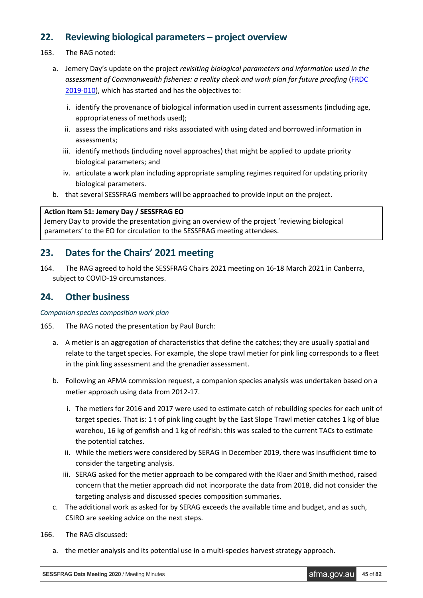## **22. Reviewing biological parameters – project overview**

- 163. The RAG noted:
	- a. Jemery Day's update on the project *revisiting biological parameters and information used in the assessment of Commonwealth fisheries: a reality check and work plan for future proofing* [\(FRDC](https://www.frdc.com.au/project/2019-010)  [2019-010\)](https://www.frdc.com.au/project/2019-010), which has started and has the objectives to:
		- i. identify the provenance of biological information used in current assessments (including age, appropriateness of methods used);
		- ii. assess the implications and risks associated with using dated and borrowed information in assessments;
		- iii. identify methods (including novel approaches) that might be applied to update priority biological parameters; and
		- iv. articulate a work plan including appropriate sampling regimes required for updating priority biological parameters.
	- b. that several SESSFRAG members will be approached to provide input on the project.

### **Action Item 51: Jemery Day / SESSFRAG EO**

Jemery Day to provide the presentation giving an overview of the project 'reviewing biological parameters' to the EO for circulation to the SESSFRAG meeting attendees.

## **23. Dates for the Chairs' 2021 meeting**

164. The RAG agreed to hold the SESSFRAG Chairs 2021 meeting on 16-18 March 2021 in Canberra, subject to COVID-19 circumstances.

### **24. Other business**

### *Companion species composition work plan*

- 165. The RAG noted the presentation by Paul Burch:
	- a. A metier is an aggregation of characteristics that define the catches; they are usually spatial and relate to the target species. For example, the slope trawl metier for pink ling corresponds to a fleet in the pink ling assessment and the grenadier assessment.
	- b. Following an AFMA commission request, a companion species analysis was undertaken based on a metier approach using data from 2012-17.
		- i. The metiers for 2016 and 2017 were used to estimate catch of rebuilding species for each unit of target species. That is: 1 t of pink ling caught by the East Slope Trawl metier catches 1 kg of blue warehou, 16 kg of gemfish and 1 kg of redfish: this was scaled to the current TACs to estimate the potential catches.
		- ii. While the metiers were considered by SERAG in December 2019, there was insufficient time to consider the targeting analysis.
		- iii. SERAG asked for the metier approach to be compared with the Klaer and Smith method, raised concern that the metier approach did not incorporate the data from 2018, did not consider the targeting analysis and discussed species composition summaries.
	- c. The additional work as asked for by SERAG exceeds the available time and budget, and as such, CSIRO are seeking advice on the next steps.
- 166. The RAG discussed:
	- a. the metier analysis and its potential use in a multi-species harvest strategy approach.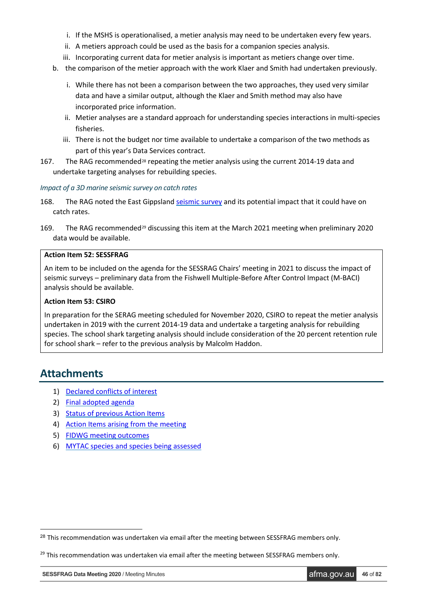- i. If the MSHS is operationalised, a metier analysis may need to be undertaken every few years.
- ii. A metiers approach could be used as the basis for a companion species analysis.
- iii. Incorporating current data for metier analysis is important as metiers change over time.
- b. the comparison of the metier approach with the work Klaer and Smith had undertaken previously.
	- i. While there has not been a comparison between the two approaches, they used very similar data and have a similar output, although the Klaer and Smith method may also have incorporated price information.
	- ii. Metier analyses are a standard approach for understanding species interactions in multi-species fisheries.
	- iii. There is not the budget nor time available to undertake a comparison of the two methods as part of this year's Data Services contract.
- 167. The RAG recommended<sup>[28](#page-45-0)</sup> repeating the metier analysis using the current 2014-19 data and undertake targeting analyses for rebuilding species.

### *Impact of a 3D marine seismic survey on catch rates*

- 168. The RAG noted the East Gippsland [seismic survey](http://www.frdc.com.au/Archived-Reports/FRDC%20Projects/2019-072-Phase1-Summary-31-07-2020.pdf) and its potential impact that it could have on catch rates.
- 169. The RAG recommended<sup>[29](#page-45-1)</sup> discussing this item at the March 2021 meeting when preliminary 2020 data would be available.

### **Action Item 52: SESSFRAG**

An item to be included on the agenda for the SESSRAG Chairs' meeting in 2021 to discuss the impact of seismic surveys – preliminary data from the Fishwell Multiple-Before After Control Impact (M-BACI) analysis should be available.

### **Action Item 53: CSIRO**

In preparation for the SERAG meeting scheduled for November 2020, CSIRO to repeat the metier analysis undertaken in 2019 with the current 2014-19 data and undertake a targeting analysis for rebuilding species. The school shark targeting analysis should include consideration of the 20 percent retention rule for school shark – refer to the previous analysis by Malcolm Haddon.

## **Attachments**

- 1) [Declared conflicts of interest](#page-46-0)
- 2) [Final adopted agenda](#page-50-0)
- 3) [Status of previous Action Items](#page-52-0)
- 4) [Action Items arising from the](#page-61-0) meeting
- 5) [FIDWG meeting outcomes](#page-69-0)
- 6) [MYTAC species and species being assessed](#page-81-0)

<span id="page-45-0"></span><sup>&</sup>lt;sup>28</sup> This recommendation was undertaken via email after the meeting between SESSFRAG members only.

<span id="page-45-1"></span> $29$  This recommendation was undertaken via email after the meeting between SESSFRAG members only.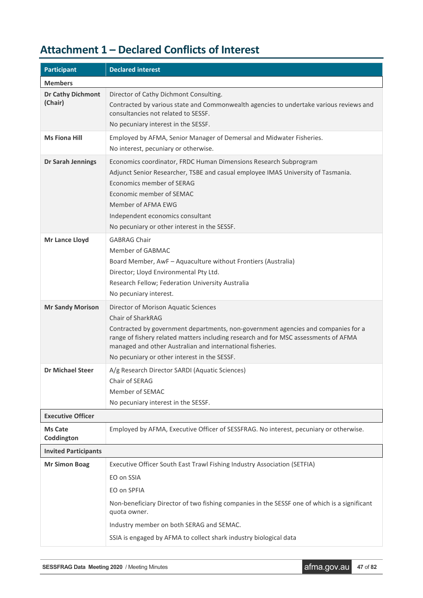# <span id="page-46-0"></span>**Attachment 1 – Declared Conflicts of Interest**

| <b>Participant</b>                  | <b>Declared interest</b>                                                                                                                                                                                                                                                                                                                           |
|-------------------------------------|----------------------------------------------------------------------------------------------------------------------------------------------------------------------------------------------------------------------------------------------------------------------------------------------------------------------------------------------------|
| <b>Members</b>                      |                                                                                                                                                                                                                                                                                                                                                    |
| <b>Dr Cathy Dichmont</b><br>(Chair) | Director of Cathy Dichmont Consulting.<br>Contracted by various state and Commonwealth agencies to undertake various reviews and<br>consultancies not related to SESSF.<br>No pecuniary interest in the SESSF.                                                                                                                                     |
| <b>Ms Fiona Hill</b>                | Employed by AFMA, Senior Manager of Demersal and Midwater Fisheries.<br>No interest, pecuniary or otherwise.                                                                                                                                                                                                                                       |
| Dr Sarah Jennings                   | Economics coordinator, FRDC Human Dimensions Research Subprogram<br>Adjunct Senior Researcher, TSBE and casual employee IMAS University of Tasmania.<br>Economics member of SERAG<br>Economic member of SEMAC<br>Member of AFMA EWG<br>Independent economics consultant<br>No pecuniary or other interest in the SESSF.                            |
| Mr Lance Lloyd                      | <b>GABRAG Chair</b><br>Member of GABMAC<br>Board Member, AwF - Aquaculture without Frontiers (Australia)<br>Director; Lloyd Environmental Pty Ltd.<br>Research Fellow; Federation University Australia<br>No pecuniary interest.                                                                                                                   |
| <b>Mr Sandy Morison</b>             | Director of Morison Aquatic Sciences<br>Chair of SharkRAG<br>Contracted by government departments, non-government agencies and companies for a<br>range of fishery related matters including research and for MSC assessments of AFMA<br>managed and other Australian and international fisheries.<br>No pecuniary or other interest in the SESSF. |
| <b>Dr Michael Steer</b>             | A/g Research Director SARDI (Aquatic Sciences)<br>Chair of SERAG<br>Member of SEMAC<br>No pecuniary interest in the SESSF.                                                                                                                                                                                                                         |
| <b>Executive Officer</b>            |                                                                                                                                                                                                                                                                                                                                                    |
| <b>Ms Cate</b><br>Coddington        | Employed by AFMA, Executive Officer of SESSFRAG. No interest, pecuniary or otherwise.                                                                                                                                                                                                                                                              |
| <b>Invited Participants</b>         |                                                                                                                                                                                                                                                                                                                                                    |
| <b>Mr Simon Boag</b>                | Executive Officer South East Trawl Fishing Industry Association (SETFIA)<br>EO on SSIA<br>EO on SPFIA<br>Non-beneficiary Director of two fishing companies in the SESSF one of which is a significant<br>quota owner.<br>Industry member on both SERAG and SEMAC.<br>SSIA is engaged by AFMA to collect shark industry biological data             |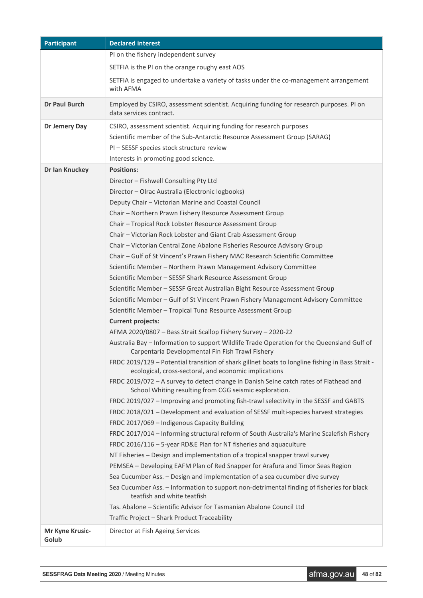| <b>Participant</b>       | <b>Declared interest</b>                                                                                                                                                                                                                                                                                                                                                                                                                                                                                                                                                                                                                                                                                                                                                                                                                                                                                                                                                                                                                                                                                                                                                                                                                                                                                                                                                                                                                                                                                                                                                                                                                                                                                                                                                                                                                                                                                                                                                                                                                                                                                                                                                                                                                                                                                             |
|--------------------------|----------------------------------------------------------------------------------------------------------------------------------------------------------------------------------------------------------------------------------------------------------------------------------------------------------------------------------------------------------------------------------------------------------------------------------------------------------------------------------------------------------------------------------------------------------------------------------------------------------------------------------------------------------------------------------------------------------------------------------------------------------------------------------------------------------------------------------------------------------------------------------------------------------------------------------------------------------------------------------------------------------------------------------------------------------------------------------------------------------------------------------------------------------------------------------------------------------------------------------------------------------------------------------------------------------------------------------------------------------------------------------------------------------------------------------------------------------------------------------------------------------------------------------------------------------------------------------------------------------------------------------------------------------------------------------------------------------------------------------------------------------------------------------------------------------------------------------------------------------------------------------------------------------------------------------------------------------------------------------------------------------------------------------------------------------------------------------------------------------------------------------------------------------------------------------------------------------------------------------------------------------------------------------------------------------------------|
|                          | PI on the fishery independent survey                                                                                                                                                                                                                                                                                                                                                                                                                                                                                                                                                                                                                                                                                                                                                                                                                                                                                                                                                                                                                                                                                                                                                                                                                                                                                                                                                                                                                                                                                                                                                                                                                                                                                                                                                                                                                                                                                                                                                                                                                                                                                                                                                                                                                                                                                 |
|                          | SETFIA is the PI on the orange roughy east AOS                                                                                                                                                                                                                                                                                                                                                                                                                                                                                                                                                                                                                                                                                                                                                                                                                                                                                                                                                                                                                                                                                                                                                                                                                                                                                                                                                                                                                                                                                                                                                                                                                                                                                                                                                                                                                                                                                                                                                                                                                                                                                                                                                                                                                                                                       |
|                          | SETFIA is engaged to undertake a variety of tasks under the co-management arrangement<br>with AFMA                                                                                                                                                                                                                                                                                                                                                                                                                                                                                                                                                                                                                                                                                                                                                                                                                                                                                                                                                                                                                                                                                                                                                                                                                                                                                                                                                                                                                                                                                                                                                                                                                                                                                                                                                                                                                                                                                                                                                                                                                                                                                                                                                                                                                   |
| <b>Dr Paul Burch</b>     | Employed by CSIRO, assessment scientist. Acquiring funding for research purposes. PI on<br>data services contract.                                                                                                                                                                                                                                                                                                                                                                                                                                                                                                                                                                                                                                                                                                                                                                                                                                                                                                                                                                                                                                                                                                                                                                                                                                                                                                                                                                                                                                                                                                                                                                                                                                                                                                                                                                                                                                                                                                                                                                                                                                                                                                                                                                                                   |
| Dr Jemery Day            | CSIRO, assessment scientist. Acquiring funding for research purposes<br>Scientific member of the Sub-Antarctic Resource Assessment Group (SARAG)<br>PI - SESSF species stock structure review<br>Interests in promoting good science.                                                                                                                                                                                                                                                                                                                                                                                                                                                                                                                                                                                                                                                                                                                                                                                                                                                                                                                                                                                                                                                                                                                                                                                                                                                                                                                                                                                                                                                                                                                                                                                                                                                                                                                                                                                                                                                                                                                                                                                                                                                                                |
| Dr Ian Knuckey           | <b>Positions:</b><br>Director - Fishwell Consulting Pty Ltd<br>Director - Olrac Australia (Electronic logbooks)<br>Deputy Chair - Victorian Marine and Coastal Council<br>Chair - Northern Prawn Fishery Resource Assessment Group<br>Chair - Tropical Rock Lobster Resource Assessment Group<br>Chair - Victorian Rock Lobster and Giant Crab Assessment Group<br>Chair - Victorian Central Zone Abalone Fisheries Resource Advisory Group<br>Chair - Gulf of St Vincent's Prawn Fishery MAC Research Scientific Committee<br>Scientific Member - Northern Prawn Management Advisory Committee<br>Scientific Member - SESSF Shark Resource Assessment Group<br>Scientific Member - SESSF Great Australian Bight Resource Assessment Group<br>Scientific Member - Gulf of St Vincent Prawn Fishery Management Advisory Committee<br>Scientific Member - Tropical Tuna Resource Assessment Group<br><b>Current projects:</b><br>AFMA 2020/0807 - Bass Strait Scallop Fishery Survey - 2020-22<br>Australia Bay - Information to support Wildlife Trade Operation for the Queensland Gulf of<br>Carpentaria Developmental Fin Fish Trawl Fishery<br>FRDC 2019/129 - Potential transition of shark gillnet boats to longline fishing in Bass Strait -<br>ecological, cross-sectoral, and economic implications<br>FRDC 2019/072 - A survey to detect change in Danish Seine catch rates of Flathead and<br>School Whiting resulting from CGG seismic exploration.<br>FRDC 2019/027 - Improving and promoting fish-trawl selectivity in the SESSF and GABTS<br>FRDC 2018/021 - Development and evaluation of SESSF multi-species harvest strategies<br>FRDC 2017/069 - Indigenous Capacity Building<br>FRDC 2017/014 - Informing structural reform of South Australia's Marine Scalefish Fishery<br>FRDC 2016/116 - 5-year RD&E Plan for NT fisheries and aquaculture<br>NT Fisheries - Design and implementation of a tropical snapper trawl survey<br>PEMSEA - Developing EAFM Plan of Red Snapper for Arafura and Timor Seas Region<br>Sea Cucumber Ass. - Design and implementation of a sea cucumber dive survey<br>Sea Cucumber Ass. - Information to support non-detrimental finding of fisheries for black<br>teatfish and white teatfish<br>Tas. Abalone - Scientific Advisor for Tasmanian Abalone Council Ltd |
|                          | Traffic Project - Shark Product Traceability                                                                                                                                                                                                                                                                                                                                                                                                                                                                                                                                                                                                                                                                                                                                                                                                                                                                                                                                                                                                                                                                                                                                                                                                                                                                                                                                                                                                                                                                                                                                                                                                                                                                                                                                                                                                                                                                                                                                                                                                                                                                                                                                                                                                                                                                         |
| Mr Kyne Krusic-<br>Golub | Director at Fish Ageing Services                                                                                                                                                                                                                                                                                                                                                                                                                                                                                                                                                                                                                                                                                                                                                                                                                                                                                                                                                                                                                                                                                                                                                                                                                                                                                                                                                                                                                                                                                                                                                                                                                                                                                                                                                                                                                                                                                                                                                                                                                                                                                                                                                                                                                                                                                     |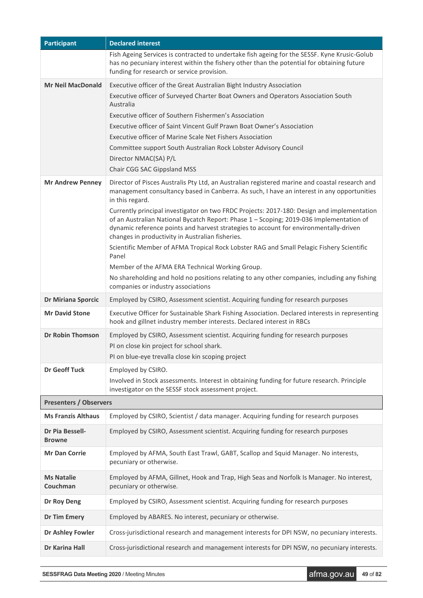| <b>Participant</b>                                                                                            | <b>Declared interest</b>                                                                                                                                                                                                                                                                                                                                                                                                                                                                                                                                                                                                                                                                                                                                                                                      |
|---------------------------------------------------------------------------------------------------------------|---------------------------------------------------------------------------------------------------------------------------------------------------------------------------------------------------------------------------------------------------------------------------------------------------------------------------------------------------------------------------------------------------------------------------------------------------------------------------------------------------------------------------------------------------------------------------------------------------------------------------------------------------------------------------------------------------------------------------------------------------------------------------------------------------------------|
|                                                                                                               | Fish Ageing Services is contracted to undertake fish ageing for the SESSF. Kyne Krusic-Golub<br>has no pecuniary interest within the fishery other than the potential for obtaining future<br>funding for research or service provision.                                                                                                                                                                                                                                                                                                                                                                                                                                                                                                                                                                      |
| <b>Mr Neil MacDonald</b>                                                                                      | Executive officer of the Great Australian Bight Industry Association<br>Executive officer of Surveyed Charter Boat Owners and Operators Association South<br>Australia<br>Executive officer of Southern Fishermen's Association<br>Executive officer of Saint Vincent Gulf Prawn Boat Owner's Association<br>Executive officer of Marine Scale Net Fishers Association<br>Committee support South Australian Rock Lobster Advisory Council                                                                                                                                                                                                                                                                                                                                                                    |
|                                                                                                               | Director NMAC(SA) P/L<br>Chair CGG SAC Gippsland MSS                                                                                                                                                                                                                                                                                                                                                                                                                                                                                                                                                                                                                                                                                                                                                          |
| <b>Mr Andrew Penney</b>                                                                                       | Director of Pisces Australis Pty Ltd, an Australian registered marine and coastal research and<br>management consultancy based in Canberra. As such, I have an interest in any opportunities<br>in this regard.<br>Currently principal investigator on two FRDC Projects: 2017-180: Design and implementation<br>of an Australian National Bycatch Report: Phase 1 - Scoping; 2019-036 Implementation of<br>dynamic reference points and harvest strategies to account for environmentally-driven<br>changes in productivity in Australian fisheries.<br>Scientific Member of AFMA Tropical Rock Lobster RAG and Small Pelagic Fishery Scientific<br>Panel<br>Member of the AFMA ERA Technical Working Group.<br>No shareholding and hold no positions relating to any other companies, including any fishing |
|                                                                                                               | companies or industry associations                                                                                                                                                                                                                                                                                                                                                                                                                                                                                                                                                                                                                                                                                                                                                                            |
| Employed by CSIRO, Assessment scientist. Acquiring funding for research purposes<br><b>Dr Miriana Sporcic</b> |                                                                                                                                                                                                                                                                                                                                                                                                                                                                                                                                                                                                                                                                                                                                                                                                               |
| <b>Mr David Stone</b>                                                                                         | Executive Officer for Sustainable Shark Fishing Association. Declared interests in representing<br>hook and gillnet industry member interests. Declared interest in RBCs                                                                                                                                                                                                                                                                                                                                                                                                                                                                                                                                                                                                                                      |
| <b>Dr Robin Thomson</b>                                                                                       | Employed by CSIRO, Assessment scientist. Acquiring funding for research purposes<br>PI on close kin project for school shark.<br>PI on blue-eye trevalla close kin scoping project                                                                                                                                                                                                                                                                                                                                                                                                                                                                                                                                                                                                                            |
| <b>Dr Geoff Tuck</b>                                                                                          | Employed by CSIRO.<br>Involved in Stock assessments. Interest in obtaining funding for future research. Principle<br>investigator on the SESSF stock assessment project.                                                                                                                                                                                                                                                                                                                                                                                                                                                                                                                                                                                                                                      |
| <b>Presenters / Observers</b>                                                                                 |                                                                                                                                                                                                                                                                                                                                                                                                                                                                                                                                                                                                                                                                                                                                                                                                               |
| <b>Ms Franzis Althaus</b>                                                                                     | Employed by CSIRO, Scientist / data manager. Acquiring funding for research purposes                                                                                                                                                                                                                                                                                                                                                                                                                                                                                                                                                                                                                                                                                                                          |
| Dr Pia Bessell-<br><b>Browne</b>                                                                              | Employed by CSIRO, Assessment scientist. Acquiring funding for research purposes                                                                                                                                                                                                                                                                                                                                                                                                                                                                                                                                                                                                                                                                                                                              |
| <b>Mr Dan Corrie</b>                                                                                          | Employed by AFMA, South East Trawl, GABT, Scallop and Squid Manager. No interests,<br>pecuniary or otherwise.                                                                                                                                                                                                                                                                                                                                                                                                                                                                                                                                                                                                                                                                                                 |
| <b>Ms Natalie</b><br>Couchman                                                                                 | Employed by AFMA, Gillnet, Hook and Trap, High Seas and Norfolk Is Manager. No interest,<br>pecuniary or otherwise.                                                                                                                                                                                                                                                                                                                                                                                                                                                                                                                                                                                                                                                                                           |
| Dr Roy Deng                                                                                                   | Employed by CSIRO, Assessment scientist. Acquiring funding for research purposes                                                                                                                                                                                                                                                                                                                                                                                                                                                                                                                                                                                                                                                                                                                              |
| <b>Dr Tim Emery</b>                                                                                           | Employed by ABARES. No interest, pecuniary or otherwise.                                                                                                                                                                                                                                                                                                                                                                                                                                                                                                                                                                                                                                                                                                                                                      |
| Dr Ashley Fowler                                                                                              | Cross-jurisdictional research and management interests for DPI NSW, no pecuniary interests.                                                                                                                                                                                                                                                                                                                                                                                                                                                                                                                                                                                                                                                                                                                   |
| Dr Karina Hall                                                                                                | Cross-jurisdictional research and management interests for DPI NSW, no pecuniary interests.                                                                                                                                                                                                                                                                                                                                                                                                                                                                                                                                                                                                                                                                                                                   |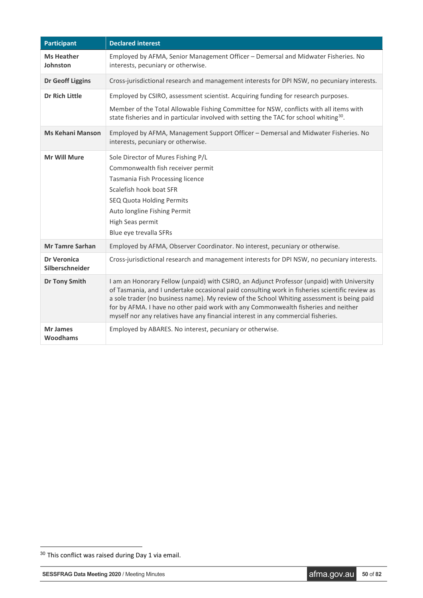| <b>Participant</b>                    | <b>Declared interest</b>                                                                                                                                                                                                                                                                                                                                                                                                                                              |
|---------------------------------------|-----------------------------------------------------------------------------------------------------------------------------------------------------------------------------------------------------------------------------------------------------------------------------------------------------------------------------------------------------------------------------------------------------------------------------------------------------------------------|
| <b>Ms Heather</b><br>Johnston         | Employed by AFMA, Senior Management Officer - Demersal and Midwater Fisheries. No<br>interests, pecuniary or otherwise.                                                                                                                                                                                                                                                                                                                                               |
| <b>Dr Geoff Liggins</b>               | Cross-jurisdictional research and management interests for DPI NSW, no pecuniary interests.                                                                                                                                                                                                                                                                                                                                                                           |
| <b>Dr Rich Little</b>                 | Employed by CSIRO, assessment scientist. Acquiring funding for research purposes.<br>Member of the Total Allowable Fishing Committee for NSW, conflicts with all items with<br>state fisheries and in particular involved with setting the TAC for school whiting <sup>30</sup> .                                                                                                                                                                                     |
| <b>Ms Kehani Manson</b>               | Employed by AFMA, Management Support Officer - Demersal and Midwater Fisheries. No<br>interests, pecuniary or otherwise.                                                                                                                                                                                                                                                                                                                                              |
| <b>Mr Will Mure</b>                   | Sole Director of Mures Fishing P/L<br>Commonwealth fish receiver permit<br>Tasmania Fish Processing licence<br>Scalefish hook boat SFR<br>SEQ Quota Holding Permits<br>Auto longline Fishing Permit<br>High Seas permit<br>Blue eye trevalla SFRs                                                                                                                                                                                                                     |
| <b>Mr Tamre Sarhan</b>                | Employed by AFMA, Observer Coordinator. No interest, pecuniary or otherwise.                                                                                                                                                                                                                                                                                                                                                                                          |
| <b>Dr Veronica</b><br>Silberschneider | Cross-jurisdictional research and management interests for DPI NSW, no pecuniary interests.                                                                                                                                                                                                                                                                                                                                                                           |
| <b>Dr Tony Smith</b>                  | I am an Honorary Fellow (unpaid) with CSIRO, an Adjunct Professor (unpaid) with University<br>of Tasmania, and I undertake occasional paid consulting work in fisheries scientific review as<br>a sole trader (no business name). My review of the School Whiting assessment is being paid<br>for by AFMA. I have no other paid work with any Commonwealth fisheries and neither<br>myself nor any relatives have any financial interest in any commercial fisheries. |
| <b>Mr James</b><br><b>Woodhams</b>    | Employed by ABARES. No interest, pecuniary or otherwise.                                                                                                                                                                                                                                                                                                                                                                                                              |

<span id="page-49-0"></span> <sup>30</sup> This conflict was raised during Day 1 via email.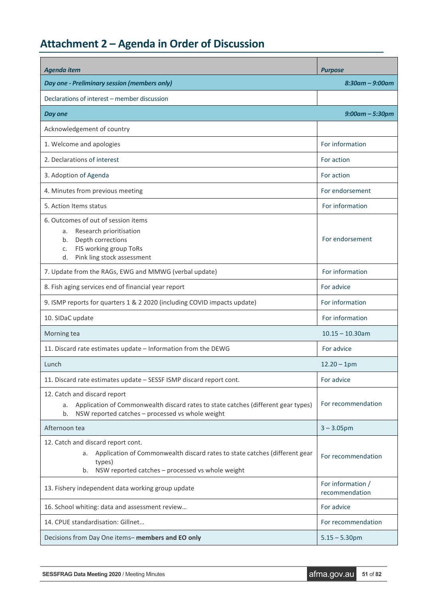# <span id="page-50-0"></span>**Attachment 2 – Agenda in Order of Discussion**

| <b>Agenda item</b>                                                                                                                                                                         | <b>Purpose</b>                      |  |
|--------------------------------------------------------------------------------------------------------------------------------------------------------------------------------------------|-------------------------------------|--|
| Day one - Preliminary session (members only)                                                                                                                                               | $8:30$ am – $9:00$ am               |  |
| Declarations of interest - member discussion                                                                                                                                               |                                     |  |
| Day one                                                                                                                                                                                    | $9:00$ am – 5:30pm                  |  |
| Acknowledgement of country                                                                                                                                                                 |                                     |  |
| 1. Welcome and apologies                                                                                                                                                                   | For information                     |  |
| 2. Declarations of interest                                                                                                                                                                | For action                          |  |
| 3. Adoption of Agenda                                                                                                                                                                      | For action                          |  |
| 4. Minutes from previous meeting                                                                                                                                                           | For endorsement                     |  |
| 5. Action Items status                                                                                                                                                                     | For information                     |  |
| 6. Outcomes of out of session items<br>Research prioritisation<br>a.<br>Depth corrections<br>b.<br>FIS working group ToRs<br>c.<br>Pink ling stock assessment<br>d.                        | For endorsement                     |  |
| 7. Update from the RAGs, EWG and MMWG (verbal update)                                                                                                                                      | For information                     |  |
| 8. Fish aging services end of financial year report                                                                                                                                        | For advice                          |  |
| 9. ISMP reports for quarters 1 & 2 2020 (including COVID impacts update)                                                                                                                   | For information                     |  |
| 10. SIDaC update                                                                                                                                                                           | For information                     |  |
| Morning tea                                                                                                                                                                                | $10.15 - 10.30$ am                  |  |
| 11. Discard rate estimates update - Information from the DEWG                                                                                                                              | For advice                          |  |
| Lunch                                                                                                                                                                                      | $12.20 - 1$ pm                      |  |
| 11. Discard rate estimates update - SESSF ISMP discard report cont.                                                                                                                        | For advice                          |  |
| 12. Catch and discard report<br>a. Application of Commonwealth discard rates to state catches (different gear types)<br>NSW reported catches - processed vs whole weight<br>b.             | For recommendation                  |  |
| Afternoon tea                                                                                                                                                                              | $3 - 3.05$ pm                       |  |
| 12. Catch and discard report cont.<br>Application of Commonwealth discard rates to state catches (different gear<br>а.<br>types)<br>NSW reported catches - processed vs whole weight<br>b. | For recommendation                  |  |
| 13. Fishery independent data working group update                                                                                                                                          | For information /<br>recommendation |  |
| 16. School whiting: data and assessment review                                                                                                                                             | For advice                          |  |
| 14. CPUE standardisation: Gillnet                                                                                                                                                          | For recommendation                  |  |
| Decisions from Day One items- members and EO only                                                                                                                                          | $5.15 - 5.30$ pm                    |  |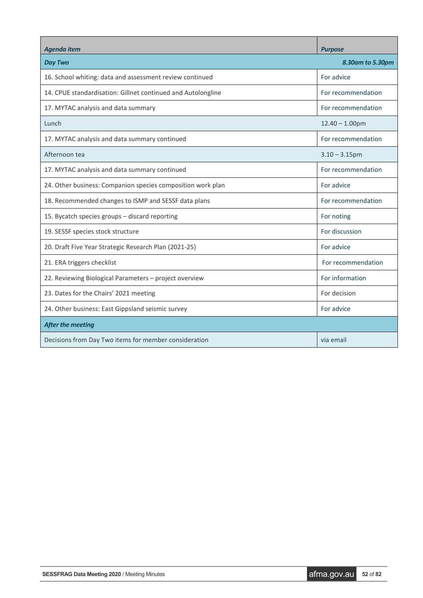| <b>Agenda item</b>                                           | <b>Purpose</b>     |
|--------------------------------------------------------------|--------------------|
| <b>Day Two</b>                                               | 8.30am to 5.30pm   |
| 16. School whiting: data and assessment review continued     | For advice         |
| 14. CPUE standardisation: Gillnet continued and Autolongline | For recommendation |
| 17. MYTAC analysis and data summary                          | For recommendation |
| Lunch                                                        | $12.40 - 1.00$ pm  |
| 17. MYTAC analysis and data summary continued                | For recommendation |
| Afternoon tea                                                | $3.10 - 3.15$ pm   |
| 17. MYTAC analysis and data summary continued                | For recommendation |
| 24. Other business: Companion species composition work plan  | For advice         |
| 18. Recommended changes to ISMP and SESSF data plans         | For recommendation |
| 15. Bycatch species groups - discard reporting               | For noting         |
| 19. SESSF species stock structure                            | For discussion     |
| 20. Draft Five Year Strategic Research Plan (2021-25)        | For advice         |
| 21. ERA triggers checklist                                   | For recommendation |
| 22. Reviewing Biological Parameters – project overview       | For information    |
| 23. Dates for the Chairs' 2021 meeting                       | For decision       |
| 24. Other business: East Gippsland seismic survey            | For advice         |
| <b>After the meeting</b>                                     |                    |
| Decisions from Day Two items for member consideration        | via email          |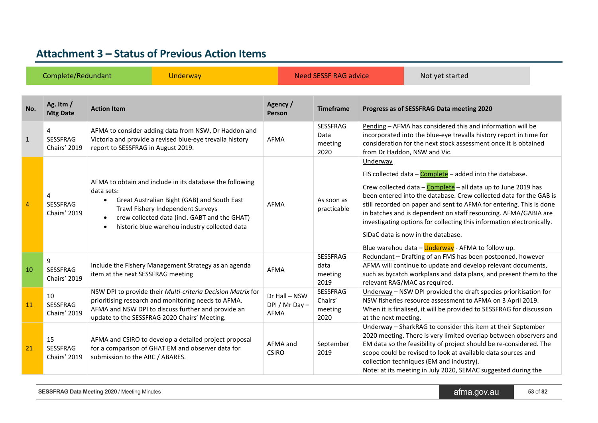# **Attachment 3 – Status of Previous Action Items**

<span id="page-52-0"></span>

|                | Complete/Redundant<br><b>Underway</b> |                                                                                                                                                                                                                                                                                                     |                                        | Need SESSF RAG advice                      |                      | Not yet started                                                                                                                                                                                                                                                                                                                                                                                                                                                                                                       |  |
|----------------|---------------------------------------|-----------------------------------------------------------------------------------------------------------------------------------------------------------------------------------------------------------------------------------------------------------------------------------------------------|----------------------------------------|--------------------------------------------|----------------------|-----------------------------------------------------------------------------------------------------------------------------------------------------------------------------------------------------------------------------------------------------------------------------------------------------------------------------------------------------------------------------------------------------------------------------------------------------------------------------------------------------------------------|--|
| No.            | Ag. Itm /<br><b>Mtg Date</b>          | <b>Action Item</b>                                                                                                                                                                                                                                                                                  | Agency /<br>Person                     | <b>Timeframe</b>                           |                      | Progress as of SESSFRAG Data meeting 2020                                                                                                                                                                                                                                                                                                                                                                                                                                                                             |  |
| $\mathbf{1}$   | 4<br><b>SESSFRAG</b><br>Chairs' 2019  | AFMA to consider adding data from NSW, Dr Haddon and<br>Victoria and provide a revised blue-eye trevalla history<br>report to SESSFRAG in August 2019.                                                                                                                                              | AFMA                                   | SESSFRAG<br>Data<br>meeting<br>2020        |                      | Pending - AFMA has considered this and information will be<br>incorporated into the blue-eye trevalla history report in time for<br>consideration for the next stock assessment once it is obtained<br>from Dr Haddon, NSW and Vic.                                                                                                                                                                                                                                                                                   |  |
| $\overline{4}$ | 4<br><b>SESSFRAG</b><br>Chairs' 2019  | AFMA to obtain and include in its database the following<br>data sets:<br>Great Australian Bight (GAB) and South East<br>$\bullet$<br>Trawl Fishery Independent Surveys<br>crew collected data (incl. GABT and the GHAT)<br>$\bullet$<br>historic blue warehou industry collected data<br>$\bullet$ | <b>AFMA</b>                            | As soon as<br>practicable                  | Underway             | FIS collected data $-\text{Complete}$ – added into the database.<br>Crew collected data - Complete - all data up to June 2019 has<br>been entered into the database. Crew collected data for the GAB is<br>still recorded on paper and sent to AFMA for entering. This is done<br>in batches and is dependent on staff resourcing. AFMA/GABIA are<br>investigating options for collecting this information electronically.<br>SIDaC data is now in the database.<br>Blue warehou data - Underway - AFMA to follow up. |  |
| 10             | 9<br><b>SESSFRAG</b><br>Chairs' 2019  | Include the Fishery Management Strategy as an agenda<br>item at the next SESSFRAG meeting                                                                                                                                                                                                           | AFMA                                   | <b>SESSFRAG</b><br>data<br>meeting<br>2019 |                      | Redundant - Drafting of an FMS has been postponed, however<br>AFMA will continue to update and develop relevant documents,<br>such as bycatch workplans and data plans, and present them to the<br>relevant RAG/MAC as required.                                                                                                                                                                                                                                                                                      |  |
| 11             | 10<br><b>SESSFRAG</b><br>Chairs' 2019 | NSW DPI to provide their Multi-criteria Decision Matrix for<br>prioritising research and monitoring needs to AFMA.<br>AFMA and NSW DPI to discuss further and provide an<br>update to the SESSFRAG 2020 Chairs' Meeting.                                                                            | Dr Hall - NSW<br>DPI / Mr Day-<br>AFMA | SESSFRAG<br>Chairs'<br>meeting<br>2020     | at the next meeting. | Underway - NSW DPI provided the draft species prioritisation for<br>NSW fisheries resource assessment to AFMA on 3 April 2019.<br>When it is finalised, it will be provided to SESSFRAG for discussion                                                                                                                                                                                                                                                                                                                |  |
| 21             | 15<br>SESSFRAG<br>Chairs' 2019        | AFMA and CSIRO to develop a detailed project proposal<br>for a comparison of GHAT EM and observer data for<br>submission to the ARC / ABARES.                                                                                                                                                       | AFMA and<br><b>CSIRO</b>               | September<br>2019                          |                      | Underway - SharkRAG to consider this item at their September<br>2020 meeting. There is very limited overlap between observers and<br>EM data so the feasibility of project should be re-considered. The<br>scope could be revised to look at available data sources and<br>collection techniques (EM and industry).<br>Note: at its meeting in July 2020, SEMAC suggested during the                                                                                                                                  |  |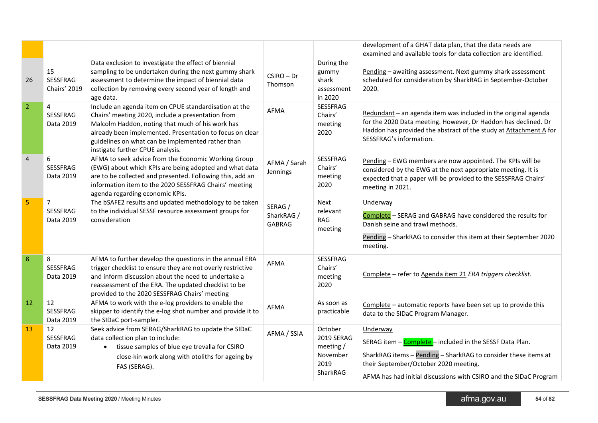|                |                                         |                                                                                                                                                                                                                                                                                                                     |                                        |                                                                          | development of a GHAT data plan, that the data needs are<br>examined and available tools for data collection are identified.                                                                                                                         |
|----------------|-----------------------------------------|---------------------------------------------------------------------------------------------------------------------------------------------------------------------------------------------------------------------------------------------------------------------------------------------------------------------|----------------------------------------|--------------------------------------------------------------------------|------------------------------------------------------------------------------------------------------------------------------------------------------------------------------------------------------------------------------------------------------|
| 26             | 15<br>SESSFRAG<br>Chairs' 2019          | Data exclusion to investigate the effect of biennial<br>sampling to be undertaken during the next gummy shark<br>assessment to determine the impact of biennial data<br>collection by removing every second year of length and<br>age data.                                                                         | $CSIRO - Dr$<br>Thomson                | During the<br>gummy<br>shark<br>assessment<br>in 2020                    | Pending - awaiting assessment. Next gummy shark assessment<br>scheduled for consideration by SharkRAG in September-October<br>2020.                                                                                                                  |
| $\overline{2}$ | 4<br>SESSFRAG<br>Data 2019              | Include an agenda item on CPUE standardisation at the<br>Chairs' meeting 2020, include a presentation from<br>Malcolm Haddon, noting that much of his work has<br>already been implemented. Presentation to focus on clear<br>guidelines on what can be implemented rather than<br>instigate further CPUE analysis. | AFMA                                   | SESSFRAG<br>Chairs'<br>meeting<br>2020                                   | Redundant - an agenda item was included in the original agenda<br>for the 2020 Data meeting. However, Dr Haddon has declined. Dr<br>Haddon has provided the abstract of the study at Attachment A for<br>SESSFRAG's information.                     |
| $\overline{4}$ | 6<br><b>SESSFRAG</b><br>Data 2019       | AFMA to seek advice from the Economic Working Group<br>(EWG) about which KPIs are being adopted and what data<br>are to be collected and presented. Following this, add an<br>information item to the 2020 SESSFRAG Chairs' meeting<br>agenda regarding economic KPIs.                                              | AFMA / Sarah<br>Jennings               | SESSFRAG<br>Chairs'<br>meeting<br>2020                                   | Pending - EWG members are now appointed. The KPIs will be<br>considered by the EWG at the next appropriate meeting. It is<br>expected that a paper will be provided to the SESSFRAG Chairs'<br>meeting in 2021.                                      |
| 5              | $\overline{7}$<br>SESSFRAG<br>Data 2019 | The bSAFE2 results and updated methodology to be taken<br>to the individual SESSF resource assessment groups for<br>consideration                                                                                                                                                                                   | SERAG /<br>SharkRAG /<br><b>GABRAG</b> | <b>Next</b><br>relevant<br><b>RAG</b><br>meeting                         | Underway<br>Complete - SERAG and GABRAG have considered the results for<br>Danish seine and trawl methods.<br>Pending - SharkRAG to consider this item at their September 2020<br>meeting.                                                           |
| 8              | 8<br>SESSFRAG<br>Data 2019              | AFMA to further develop the questions in the annual ERA<br>trigger checklist to ensure they are not overly restrictive<br>and inform discussion about the need to undertake a<br>reassessment of the ERA. The updated checklist to be<br>provided to the 2020 SESSFRAG Chairs' meeting                              | AFMA                                   | SESSFRAG<br>Chairs'<br>meeting<br>2020                                   | Complete - refer to Agenda item 21 ERA triggers checklist.                                                                                                                                                                                           |
| 12             | 12<br>SESSFRAG<br>Data 2019             | AFMA to work with the e-log providers to enable the<br>skipper to identify the e-log shot number and provide it to<br>the SIDaC port-sampler.                                                                                                                                                                       | <b>AFMA</b>                            | As soon as<br>practicable                                                | Complete - automatic reports have been set up to provide this<br>data to the SIDaC Program Manager.                                                                                                                                                  |
| 13             | 12<br><b>SESSFRAG</b><br>Data 2019      | Seek advice from SERAG/SharkRAG to update the SIDaC<br>data collection plan to include:<br>tissue samples of blue eye trevalla for CSIRO<br>$\bullet$<br>close-kin work along with otoliths for ageing by<br>FAS (SERAG).                                                                                           | AFMA / SSIA                            | October<br><b>2019 SERAG</b><br>meeting/<br>November<br>2019<br>SharkRAG | Underway<br>SERAG item - Complete - included in the SESSF Data Plan.<br>SharkRAG items - Pending - SharkRAG to consider these items at<br>their September/October 2020 meeting.<br>AFMA has had initial discussions with CSIRO and the SIDaC Program |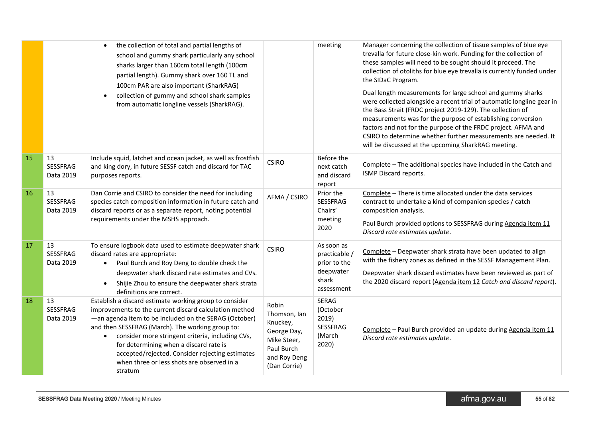|    |                             | the collection of total and partial lengths of<br>$\bullet$<br>school and gummy shark particularly any school<br>sharks larger than 160cm total length (100cm<br>partial length). Gummy shark over 160 TL and<br>100cm PAR are also important (SharkRAG)<br>collection of gummy and school shark samples<br>$\bullet$<br>from automatic longline vessels (SharkRAG).                                                                                 |                                                                                                               | meeting                                                                         | Manager concerning the collection of tissue samples of blue eye<br>trevalla for future close-kin work. Funding for the collection of<br>these samples will need to be sought should it proceed. The<br>collection of otoliths for blue eye trevalla is currently funded under<br>the SIDaC Program.<br>Dual length measurements for large school and gummy sharks<br>were collected alongside a recent trial of automatic longline gear in<br>the Bass Strait (FRDC project 2019-129). The collection of<br>measurements was for the purpose of establishing conversion<br>factors and not for the purpose of the FRDC project. AFMA and<br>CSIRO to determine whether further measurements are needed. It<br>will be discussed at the upcoming SharkRAG meeting. |
|----|-----------------------------|------------------------------------------------------------------------------------------------------------------------------------------------------------------------------------------------------------------------------------------------------------------------------------------------------------------------------------------------------------------------------------------------------------------------------------------------------|---------------------------------------------------------------------------------------------------------------|---------------------------------------------------------------------------------|-------------------------------------------------------------------------------------------------------------------------------------------------------------------------------------------------------------------------------------------------------------------------------------------------------------------------------------------------------------------------------------------------------------------------------------------------------------------------------------------------------------------------------------------------------------------------------------------------------------------------------------------------------------------------------------------------------------------------------------------------------------------|
| 15 | 13<br>SESSFRAG<br>Data 2019 | Include squid, latchet and ocean jacket, as well as frostfish<br>and king dory, in future SESSF catch and discard for TAC<br>purposes reports.                                                                                                                                                                                                                                                                                                       | <b>CSIRO</b>                                                                                                  | Before the<br>next catch<br>and discard<br>report                               | Complete - The additional species have included in the Catch and<br>ISMP Discard reports.                                                                                                                                                                                                                                                                                                                                                                                                                                                                                                                                                                                                                                                                         |
| 16 | 13<br>SESSFRAG<br>Data 2019 | Dan Corrie and CSIRO to consider the need for including<br>species catch composition information in future catch and<br>discard reports or as a separate report, noting potential<br>requirements under the MSHS approach.                                                                                                                                                                                                                           | AFMA / CSIRO                                                                                                  | Prior the<br>SESSFRAG<br>Chairs'<br>meeting<br>2020                             | Complete - There is time allocated under the data services<br>contract to undertake a kind of companion species / catch<br>composition analysis.<br>Paul Burch provided options to SESSFRAG during Agenda item 11<br>Discard rate estimates update.                                                                                                                                                                                                                                                                                                                                                                                                                                                                                                               |
| 17 | 13<br>SESSFRAG<br>Data 2019 | To ensure logbook data used to estimate deepwater shark<br>discard rates are appropriate:<br>Paul Burch and Roy Deng to double check the<br>$\bullet$<br>deepwater shark discard rate estimates and CVs.<br>Shijie Zhou to ensure the deepwater shark strata<br>$\bullet$<br>definitions are correct.                                                                                                                                                | <b>CSIRO</b>                                                                                                  | As soon as<br>practicable /<br>prior to the<br>deepwater<br>shark<br>assessment | Complete - Deepwater shark strata have been updated to align<br>with the fishery zones as defined in the SESSF Management Plan.<br>Deepwater shark discard estimates have been reviewed as part of<br>the 2020 discard report (Agenda item 12 Catch and discard report).                                                                                                                                                                                                                                                                                                                                                                                                                                                                                          |
| 18 | 13<br>SESSFRAG<br>Data 2019 | Establish a discard estimate working group to consider<br>improvements to the current discard calculation method<br>-an agenda item to be included on the SERAG (October)<br>and then SESSFRAG (March). The working group to:<br>consider more stringent criteria, including CVs,<br>$\bullet$<br>for determining when a discard rate is<br>accepted/rejected. Consider rejecting estimates<br>when three or less shots are observed in a<br>stratum | Robin<br>Thomson, Ian<br>Knuckey,<br>George Day,<br>Mike Steer,<br>Paul Burch<br>and Roy Deng<br>(Dan Corrie) | SERAG<br>(October<br>2019)<br>SESSFRAG<br>(March<br>2020)                       | Complete - Paul Burch provided an update during Agenda Item 11<br>Discard rate estimates update.                                                                                                                                                                                                                                                                                                                                                                                                                                                                                                                                                                                                                                                                  |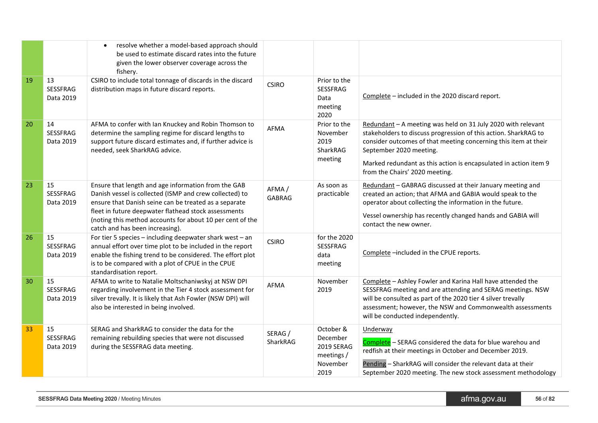|    |                             | resolve whether a model-based approach should<br>$\bullet$<br>be used to estimate discard rates into the future<br>given the lower observer coverage across the<br>fishery.                                                                                                                                                     |                        |                                                                       |                                                                                                                                                                                                                                                                                                                                     |
|----|-----------------------------|---------------------------------------------------------------------------------------------------------------------------------------------------------------------------------------------------------------------------------------------------------------------------------------------------------------------------------|------------------------|-----------------------------------------------------------------------|-------------------------------------------------------------------------------------------------------------------------------------------------------------------------------------------------------------------------------------------------------------------------------------------------------------------------------------|
| 19 | 13<br>SESSFRAG<br>Data 2019 | CSIRO to include total tonnage of discards in the discard<br>distribution maps in future discard reports.                                                                                                                                                                                                                       | <b>CSIRO</b>           | Prior to the<br><b>SESSFRAG</b><br>Data<br>meeting<br>2020            | Complete - included in the 2020 discard report.                                                                                                                                                                                                                                                                                     |
| 20 | 14<br>SESSFRAG<br>Data 2019 | AFMA to confer with Ian Knuckey and Robin Thomson to<br>determine the sampling regime for discard lengths to<br>support future discard estimates and, if further advice is<br>needed, seek SharkRAG advice.                                                                                                                     | AFMA                   | Prior to the<br>November<br>2019<br>SharkRAG<br>meeting               | Redundant - A meeting was held on 31 July 2020 with relevant<br>stakeholders to discuss progression of this action. SharkRAG to<br>consider outcomes of that meeting concerning this item at their<br>September 2020 meeting.<br>Marked redundant as this action is encapsulated in action item 9<br>from the Chairs' 2020 meeting. |
| 23 | 15<br>SESSFRAG<br>Data 2019 | Ensure that length and age information from the GAB<br>Danish vessel is collected (ISMP and crew collected) to<br>ensure that Danish seine can be treated as a separate<br>fleet in future deepwater flathead stock assessments<br>(noting this method accounts for about 10 per cent of the<br>catch and has been increasing). | AFMA/<br><b>GABRAG</b> | As soon as<br>practicable                                             | Redundant - GABRAG discussed at their January meeting and<br>created an action; that AFMA and GABIA would speak to the<br>operator about collecting the information in the future.<br>Vessel ownership has recently changed hands and GABIA will<br>contact the new owner.                                                          |
| 26 | 15<br>SESSFRAG<br>Data 2019 | For tier 5 species - including deepwater shark west - an<br>annual effort over time plot to be included in the report<br>enable the fishing trend to be considered. The effort plot<br>is to be compared with a plot of CPUE in the CPUE<br>standardisation report.                                                             | <b>CSIRO</b>           | for the 2020<br>SESSFRAG<br>data<br>meeting                           | Complete -included in the CPUE reports.                                                                                                                                                                                                                                                                                             |
| 30 | 15<br>SESSFRAG<br>Data 2019 | AFMA to write to Natalie Moltschaniwskyj at NSW DPI<br>regarding involvement in the Tier 4 stock assessment for<br>silver trevally. It is likely that Ash Fowler (NSW DPI) will<br>also be interested in being involved.                                                                                                        | <b>AFMA</b>            | November<br>2019                                                      | Complete - Ashley Fowler and Karina Hall have attended the<br>SESSFRAG meeting and are attending and SERAG meetings. NSW<br>will be consulted as part of the 2020 tier 4 silver trevally<br>assessment; however, the NSW and Commonwealth assessments<br>will be conducted independently.                                           |
| 33 | 15<br>SESSFRAG<br>Data 2019 | SERAG and SharkRAG to consider the data for the<br>remaining rebuilding species that were not discussed<br>during the SESSFRAG data meeting.                                                                                                                                                                                    | SERAG /<br>SharkRAG    | October &<br>December<br>2019 SERAG<br>meetings /<br>November<br>2019 | Underway<br>Complete - SERAG considered the data for blue warehou and<br>redfish at their meetings in October and December 2019.<br>Pending - SharkRAG will consider the relevant data at their<br>September 2020 meeting. The new stock assessment methodology                                                                     |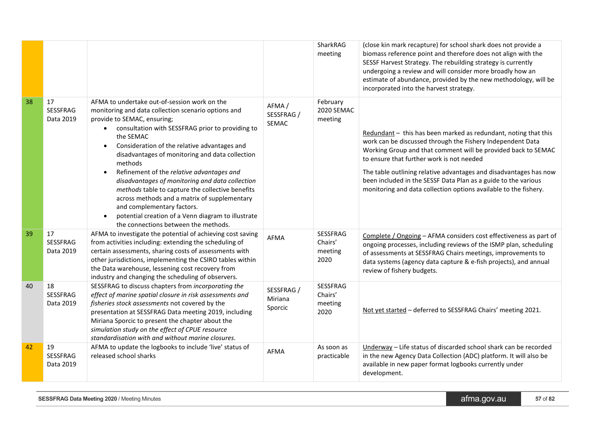|    |                             |                                                                                                                                                                                                                                                                                                                                                                                                                                                                                                                                                                                                                                                                               |                                  | SharkRAG<br>meeting                           | (close kin mark recapture) for school shark does not provide a<br>biomass reference point and therefore does not align with the<br>SESSF Harvest Strategy. The rebuilding strategy is currently<br>undergoing a review and will consider more broadly how an<br>estimate of abundance, provided by the new methodology, will be<br>incorporated into the harvest strategy.                                                                             |
|----|-----------------------------|-------------------------------------------------------------------------------------------------------------------------------------------------------------------------------------------------------------------------------------------------------------------------------------------------------------------------------------------------------------------------------------------------------------------------------------------------------------------------------------------------------------------------------------------------------------------------------------------------------------------------------------------------------------------------------|----------------------------------|-----------------------------------------------|--------------------------------------------------------------------------------------------------------------------------------------------------------------------------------------------------------------------------------------------------------------------------------------------------------------------------------------------------------------------------------------------------------------------------------------------------------|
| 38 | 17<br>SESSFRAG<br>Data 2019 | AFMA to undertake out-of-session work on the<br>monitoring and data collection scenario options and<br>provide to SEMAC, ensuring;<br>• consultation with SESSFRAG prior to providing to<br>the SEMAC<br>Consideration of the relative advantages and<br>$\bullet$<br>disadvantages of monitoring and data collection<br>methods<br>Refinement of the relative advantages and<br>$\bullet$<br>disadvantages of monitoring and data collection<br>methods table to capture the collective benefits<br>across methods and a matrix of supplementary<br>and complementary factors.<br>potential creation of a Venn diagram to illustrate<br>the connections between the methods. | AFMA/<br>SESSFRAG /<br>SEMAC     | February<br>2020 SEMAC<br>meeting             | Redundant - this has been marked as redundant, noting that this<br>work can be discussed through the Fishery Independent Data<br>Working Group and that comment will be provided back to SEMAC<br>to ensure that further work is not needed<br>The table outlining relative advantages and disadvantages has now<br>been included in the SESSF Data Plan as a guide to the various<br>monitoring and data collection options available to the fishery. |
| 39 | 17<br>SESSFRAG<br>Data 2019 | AFMA to investigate the potential of achieving cost saving<br>from activities including: extending the scheduling of<br>certain assessments, sharing costs of assessments with<br>other jurisdictions, implementing the CSIRO tables within<br>the Data warehouse, lessening cost recovery from<br>industry and changing the scheduling of observers.                                                                                                                                                                                                                                                                                                                         | AFMA                             | <b>SESSFRAG</b><br>Chairs'<br>meeting<br>2020 | Complete / Ongoing - AFMA considers cost effectiveness as part of<br>ongoing processes, including reviews of the ISMP plan, scheduling<br>of assessments at SESSFRAG Chairs meetings, improvements to<br>data systems (agency data capture & e-fish projects), and annual<br>review of fishery budgets.                                                                                                                                                |
| 40 | 18<br>SESSFRAG<br>Data 2019 | SESSFRAG to discuss chapters from incorporating the<br>effect of marine spatial closure in risk assessments and<br>fisheries stock assessments not covered by the<br>presentation at SESSFRAG Data meeting 2019, including<br>Miriana Sporcic to present the chapter about the<br>simulation study on the effect of CPUE resource<br>standardisation with and without marine closures.                                                                                                                                                                                                                                                                                        | SESSFRAG /<br>Miriana<br>Sporcic | SESSFRAG<br>Chairs'<br>meeting<br>2020        | Not yet started - deferred to SESSFRAG Chairs' meeting 2021.                                                                                                                                                                                                                                                                                                                                                                                           |
| 42 | 19<br>SESSFRAG<br>Data 2019 | AFMA to update the logbooks to include 'live' status of<br>released school sharks                                                                                                                                                                                                                                                                                                                                                                                                                                                                                                                                                                                             | <b>AFMA</b>                      | As soon as<br>practicable                     | Underway - Life status of discarded school shark can be recorded<br>in the new Agency Data Collection (ADC) platform. It will also be<br>available in new paper format logbooks currently under<br>development.                                                                                                                                                                                                                                        |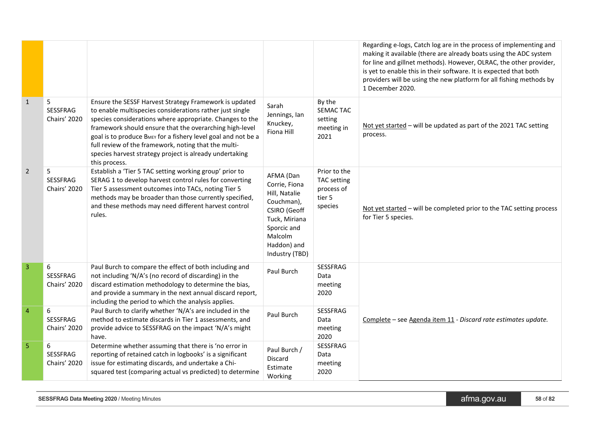|                |                               |                                                                                                                                                                                                                                                                                                                                                                                                                                                |                                                                                                                                                       |                                                                | Regarding e-logs, Catch log are in the process of implementing and<br>making it available (there are already boats using the ADC system<br>for line and gillnet methods). However, OLRAC, the other provider,<br>is yet to enable this in their software. It is expected that both<br>providers will be using the new platform for all fishing methods by<br>1 December 2020. |
|----------------|-------------------------------|------------------------------------------------------------------------------------------------------------------------------------------------------------------------------------------------------------------------------------------------------------------------------------------------------------------------------------------------------------------------------------------------------------------------------------------------|-------------------------------------------------------------------------------------------------------------------------------------------------------|----------------------------------------------------------------|-------------------------------------------------------------------------------------------------------------------------------------------------------------------------------------------------------------------------------------------------------------------------------------------------------------------------------------------------------------------------------|
| $\mathbf{1}$   | 5<br>SESSFRAG<br>Chairs' 2020 | Ensure the SESSF Harvest Strategy Framework is updated<br>to enable multispecies considerations rather just single<br>species considerations where appropriate. Changes to the<br>framework should ensure that the overarching high-level<br>goal is to produce BMEY for a fishery level goal and not be a<br>full review of the framework, noting that the multi-<br>species harvest strategy project is already undertaking<br>this process. | Sarah<br>Jennings, lan<br>Knuckey,<br>Fiona Hill                                                                                                      | By the<br>SEMAC TAC<br>setting<br>meeting in<br>2021           | Not yet started - will be updated as part of the 2021 TAC setting<br>process.                                                                                                                                                                                                                                                                                                 |
| $\overline{2}$ | 5<br>SESSFRAG<br>Chairs' 2020 | Establish a 'Tier 5 TAC setting working group' prior to<br>SERAG 1 to develop harvest control rules for converting<br>Tier 5 assessment outcomes into TACs, noting Tier 5<br>methods may be broader than those currently specified,<br>and these methods may need different harvest control<br>rules.                                                                                                                                          | AFMA (Dan<br>Corrie, Fiona<br>Hill, Natalie<br>Couchman),<br>CSIRO (Geoff<br>Tuck, Miriana<br>Sporcic and<br>Malcolm<br>Haddon) and<br>Industry (TBD) | Prior to the<br>TAC setting<br>process of<br>tier 5<br>species | Not yet started - will be completed prior to the TAC setting process<br>for Tier 5 species.                                                                                                                                                                                                                                                                                   |
| 3              | 6<br>SESSFRAG<br>Chairs' 2020 | Paul Burch to compare the effect of both including and<br>not including 'N/A's (no record of discarding) in the<br>discard estimation methodology to determine the bias,<br>and provide a summary in the next annual discard report,<br>including the period to which the analysis applies.                                                                                                                                                    | Paul Burch                                                                                                                                            | SESSFRAG<br>Data<br>meeting<br>2020                            |                                                                                                                                                                                                                                                                                                                                                                               |
| $\overline{4}$ | 6<br>SESSFRAG<br>Chairs' 2020 | Paul Burch to clarify whether 'N/A's are included in the<br>method to estimate discards in Tier 1 assessments, and<br>provide advice to SESSFRAG on the impact 'N/A's might<br>have.                                                                                                                                                                                                                                                           | Paul Burch                                                                                                                                            | SESSFRAG<br>Data<br>meeting<br>2020                            | Complete - see Agenda item 11 - Discard rate estimates update.                                                                                                                                                                                                                                                                                                                |
| 5              | 6<br>SESSFRAG<br>Chairs' 2020 | Determine whether assuming that there is 'no error in<br>reporting of retained catch in logbooks' is a significant<br>issue for estimating discards, and undertake a Chi-<br>squared test (comparing actual vs predicted) to determine                                                                                                                                                                                                         | Paul Burch /<br>Discard<br>Estimate<br>Working                                                                                                        | SESSFRAG<br>Data<br>meeting<br>2020                            |                                                                                                                                                                                                                                                                                                                                                                               |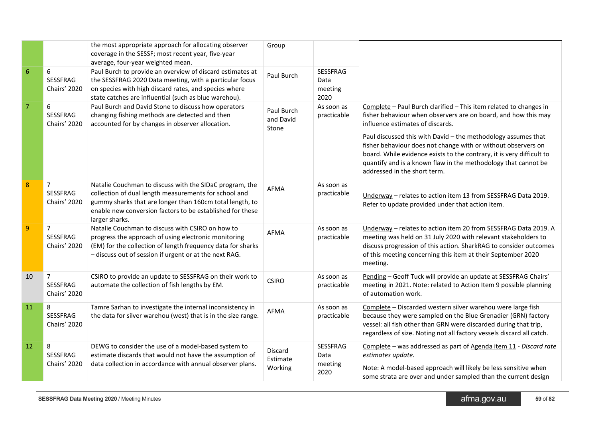|                |                                                   | the most appropriate approach for allocating observer<br>coverage in the SESSF; most recent year, five-year<br>average, four-year weighted mean.                                                                                                            | Group                            |                                            |                                                                                                                                                                                                                                                                                                                                                                                                                                                                                      |
|----------------|---------------------------------------------------|-------------------------------------------------------------------------------------------------------------------------------------------------------------------------------------------------------------------------------------------------------------|----------------------------------|--------------------------------------------|--------------------------------------------------------------------------------------------------------------------------------------------------------------------------------------------------------------------------------------------------------------------------------------------------------------------------------------------------------------------------------------------------------------------------------------------------------------------------------------|
| 6              | 6<br>SESSFRAG<br>Chairs' 2020                     | Paul Burch to provide an overview of discard estimates at<br>the SESSFRAG 2020 Data meeting, with a particular focus<br>on species with high discard rates, and species where<br>state catches are influential (such as blue warehou).                      | Paul Burch                       | SESSFRAG<br>Data<br>meeting<br>2020        |                                                                                                                                                                                                                                                                                                                                                                                                                                                                                      |
| $\overline{7}$ | 6<br>SESSFRAG<br>Chairs' 2020                     | Paul Burch and David Stone to discuss how operators<br>changing fishing methods are detected and then<br>accounted for by changes in observer allocation.                                                                                                   | Paul Burch<br>and David<br>Stone | As soon as<br>practicable                  | Complete - Paul Burch clarified - This item related to changes in<br>fisher behaviour when observers are on board, and how this may<br>influence estimates of discards.<br>Paul discussed this with David - the methodology assumes that<br>fisher behaviour does not change with or without observers on<br>board. While evidence exists to the contrary, it is very difficult to<br>quantify and is a known flaw in the methodology that cannot be<br>addressed in the short term. |
| 8              | $\overline{7}$<br>SESSFRAG<br>Chairs' 2020        | Natalie Couchman to discuss with the SIDaC program, the<br>collection of dual length measurements for school and<br>gummy sharks that are longer than 160cm total length, to<br>enable new conversion factors to be established for these<br>larger sharks. | AFMA                             | As soon as<br>practicable                  | Underway - relates to action item 13 from SESSFRAG Data 2019.<br>Refer to update provided under that action item.                                                                                                                                                                                                                                                                                                                                                                    |
| $\overline{9}$ | $\overline{7}$<br>SESSFRAG<br>Chairs' 2020        | Natalie Couchman to discuss with CSIRO on how to<br>progress the approach of using electronic monitoring<br>(EM) for the collection of length frequency data for sharks<br>- discuss out of session if urgent or at the next RAG.                           | <b>AFMA</b>                      | As soon as<br>practicable                  | Underway - relates to action item 20 from SESSFRAG Data 2019. A<br>meeting was held on 31 July 2020 with relevant stakeholders to<br>discuss progression of this action. SharkRAG to consider outcomes<br>of this meeting concerning this item at their September 2020<br>meeting.                                                                                                                                                                                                   |
| 10             | $\overline{7}$<br>SESSFRAG<br><b>Chairs' 2020</b> | CSIRO to provide an update to SESSFRAG on their work to<br>automate the collection of fish lengths by EM.                                                                                                                                                   | <b>CSIRO</b>                     | As soon as<br>practicable                  | Pending - Geoff Tuck will provide an update at SESSFRAG Chairs'<br>meeting in 2021. Note: related to Action Item 9 possible planning<br>of automation work.                                                                                                                                                                                                                                                                                                                          |
| 11             | 8<br><b>SESSFRAG</b><br>Chairs' 2020              | Tamre Sarhan to investigate the internal inconsistency in<br>the data for silver warehou (west) that is in the size range.                                                                                                                                  | AFMA                             | As soon as<br>practicable                  | Complete - Discarded western silver warehou were large fish<br>because they were sampled on the Blue Grenadier (GRN) factory<br>vessel: all fish other than GRN were discarded during that trip,<br>regardless of size. Noting not all factory vessels discard all catch.                                                                                                                                                                                                            |
| 12             | 8<br>SESSFRAG<br>Chairs' 2020                     | DEWG to consider the use of a model-based system to<br>estimate discards that would not have the assumption of<br>data collection in accordance with annual observer plans.                                                                                 | Discard<br>Estimate<br>Working   | <b>SESSFRAG</b><br>Data<br>meeting<br>2020 | Complete - was addressed as part of Agenda item 11 - Discard rate<br>estimates update.<br>Note: A model-based approach will likely be less sensitive when<br>some strata are over and under sampled than the current design                                                                                                                                                                                                                                                          |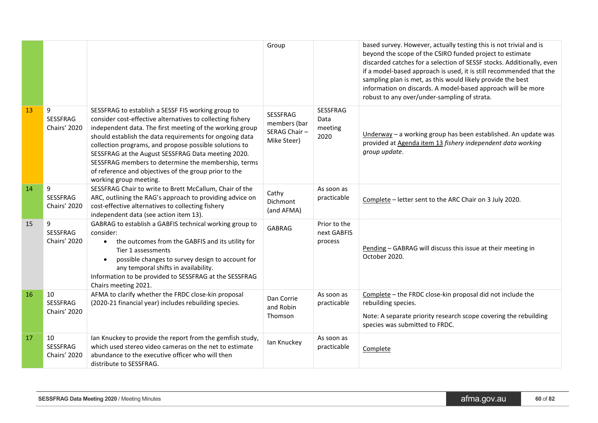|    |                                       |                                                                                                                                                                                                                                                                                                                                                                                                                                                                                                   | Group                                                   |                                        | based survey. However, actually testing this is not trivial and is<br>beyond the scope of the CSIRO funded project to estimate<br>discarded catches for a selection of SESSF stocks. Additionally, even<br>if a model-based approach is used, it is still recommended that the<br>sampling plan is met, as this would likely provide the best<br>information on discards. A model-based approach will be more<br>robust to any over/under-sampling of strata. |
|----|---------------------------------------|---------------------------------------------------------------------------------------------------------------------------------------------------------------------------------------------------------------------------------------------------------------------------------------------------------------------------------------------------------------------------------------------------------------------------------------------------------------------------------------------------|---------------------------------------------------------|----------------------------------------|---------------------------------------------------------------------------------------------------------------------------------------------------------------------------------------------------------------------------------------------------------------------------------------------------------------------------------------------------------------------------------------------------------------------------------------------------------------|
| 13 | 9<br>SESSFRAG<br>Chairs' 2020         | SESSFRAG to establish a SESSF FIS working group to<br>consider cost-effective alternatives to collecting fishery<br>independent data. The first meeting of the working group<br>should establish the data requirements for ongoing data<br>collection programs, and propose possible solutions to<br>SESSFRAG at the August SESSFRAG Data meeting 2020.<br>SESSFRAG members to determine the membership, terms<br>of reference and objectives of the group prior to the<br>working group meeting. | SESSFRAG<br>members (bar<br>SERAG Chair-<br>Mike Steer) | SESSFRAG<br>Data<br>meeting<br>2020    | $Underway – a working group has been established. An update was$<br>provided at Agenda item 13 fishery independent data working<br>group update.                                                                                                                                                                                                                                                                                                              |
| 14 | 9<br><b>SESSFRAG</b><br>Chairs' 2020  | SESSFRAG Chair to write to Brett McCallum, Chair of the<br>ARC, outlining the RAG's approach to providing advice on<br>cost-effective alternatives to collecting fishery<br>independent data (see action item 13).                                                                                                                                                                                                                                                                                | Cathy<br>Dichmont<br>(and AFMA)                         | As soon as<br>practicable              | Complete - letter sent to the ARC Chair on 3 July 2020.                                                                                                                                                                                                                                                                                                                                                                                                       |
| 15 | 9<br><b>SESSFRAG</b><br>Chairs' 2020  | GABRAG to establish a GABFIS technical working group to<br>consider:<br>the outcomes from the GABFIS and its utility for<br>$\bullet$<br>Tier 1 assessments<br>possible changes to survey design to account for<br>$\bullet$<br>any temporal shifts in availability.<br>Information to be provided to SESSFRAG at the SESSFRAG<br>Chairs meeting 2021.                                                                                                                                            | <b>GABRAG</b>                                           | Prior to the<br>next GABFIS<br>process | Pending - GABRAG will discuss this issue at their meeting in<br>October 2020.                                                                                                                                                                                                                                                                                                                                                                                 |
| 16 | 10<br><b>SESSFRAG</b><br>Chairs' 2020 | AFMA to clarify whether the FRDC close-kin proposal<br>(2020-21 financial year) includes rebuilding species.                                                                                                                                                                                                                                                                                                                                                                                      | Dan Corrie<br>and Robin<br>Thomson                      | As soon as<br>practicable              | Complete - the FRDC close-kin proposal did not include the<br>rebuilding species.<br>Note: A separate priority research scope covering the rebuilding<br>species was submitted to FRDC.                                                                                                                                                                                                                                                                       |
| 17 | 10<br>SESSFRAG<br>Chairs' 2020        | Ian Knuckey to provide the report from the gemfish study,<br>which used stereo video cameras on the net to estimate<br>abundance to the executive officer who will then<br>distribute to SESSFRAG.                                                                                                                                                                                                                                                                                                | lan Knuckey                                             | As soon as<br>practicable              | Complete                                                                                                                                                                                                                                                                                                                                                                                                                                                      |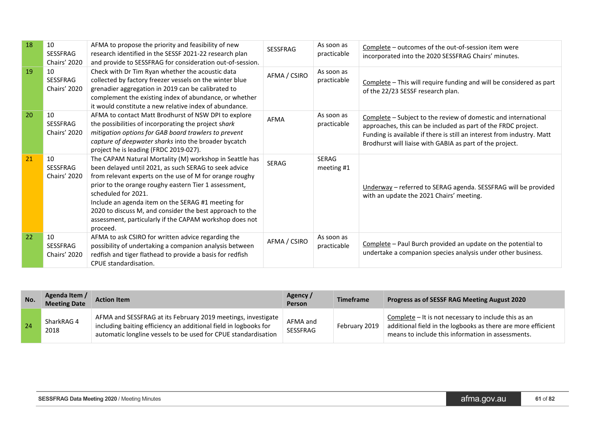| 18 | 10<br><b>SESSFRAG</b><br>Chairs' 2020        | AFMA to propose the priority and feasibility of new<br>research identified in the SESSF 2021-22 research plan<br>and provide to SESSFRAG for consideration out-of-session.                                                                                                                                                                                                                                                                           | <b>SESSFRAG</b> | As soon as<br>practicable | Complete – outcomes of the out-of-session item were<br>incorporated into the 2020 SESSFRAG Chairs' minutes.                                                                                                                                                           |
|----|----------------------------------------------|------------------------------------------------------------------------------------------------------------------------------------------------------------------------------------------------------------------------------------------------------------------------------------------------------------------------------------------------------------------------------------------------------------------------------------------------------|-----------------|---------------------------|-----------------------------------------------------------------------------------------------------------------------------------------------------------------------------------------------------------------------------------------------------------------------|
| 19 | 10<br><b>SESSFRAG</b><br>Chairs' 2020        | Check with Dr Tim Ryan whether the acoustic data<br>collected by factory freezer vessels on the winter blue<br>grenadier aggregation in 2019 can be calibrated to<br>complement the existing index of abundance, or whether<br>it would constitute a new relative index of abundance.                                                                                                                                                                | AFMA / CSIRO    | As soon as<br>practicable | Complete - This will require funding and will be considered as part<br>of the 22/23 SESSF research plan.                                                                                                                                                              |
| 20 | 10<br><b>SESSFRAG</b><br>Chairs' 2020        | AFMA to contact Matt Brodhurst of NSW DPI to explore<br>the possibilities of incorporating the project shark<br>mitigation options for GAB board trawlers to prevent<br>capture of deepwater sharks into the broader bycatch<br>project he is leading (FRDC 2019-027).                                                                                                                                                                               | <b>AFMA</b>     | As soon as<br>practicable | Complete - Subject to the review of domestic and international<br>approaches, this can be included as part of the FRDC project.<br>Funding is available if there is still an interest from industry. Matt<br>Brodhurst will liaise with GABIA as part of the project. |
| 21 | 10<br><b>SESSFRAG</b><br><b>Chairs' 2020</b> | The CAPAM Natural Mortality (M) workshop in Seattle has<br>been delayed until 2021, as such SERAG to seek advice<br>from relevant experts on the use of M for orange roughy<br>prior to the orange roughy eastern Tier 1 assessment,<br>scheduled for 2021.<br>Include an agenda item on the SERAG #1 meeting for<br>2020 to discuss M, and consider the best approach to the<br>assessment, particularly if the CAPAM workshop does not<br>proceed. | <b>SERAG</b>    | SERAG<br>meeting #1       | Underway - referred to SERAG agenda. SESSFRAG will be provided<br>with an update the 2021 Chairs' meeting.                                                                                                                                                            |
| 22 | 10<br><b>SESSFRAG</b><br>Chairs' 2020        | AFMA to ask CSIRO for written advice regarding the<br>possibility of undertaking a companion analysis between<br>redfish and tiger flathead to provide a basis for redfish<br>CPUE standardisation.                                                                                                                                                                                                                                                  | AFMA / CSIRO    | As soon as<br>practicable | Complete - Paul Burch provided an update on the potential to<br>undertake a companion species analysis under other business.                                                                                                                                          |

| No. | Agenda Item /<br><b>Meeting Date</b> | <b>Action Item</b>                                                                                                                                                                                 | Agency /<br><b>Person</b>   | <b>Timeframe</b> | Progress as of SESSF RAG Meeting August 2020                                                                                                                              |
|-----|--------------------------------------|----------------------------------------------------------------------------------------------------------------------------------------------------------------------------------------------------|-----------------------------|------------------|---------------------------------------------------------------------------------------------------------------------------------------------------------------------------|
| 24  | SharkRAG 4<br>2018                   | AFMA and SESSFRAG at its February 2019 meetings, investigate<br>including baiting efficiency an additional field in logbooks for<br>automatic longline vessels to be used for CPUE standardisation | AFMA and<br><b>SESSFRAG</b> | February 2019    | Complete - It is not necessary to include this as an<br>additional field in the logbooks as there are more efficient<br>means to include this information in assessments. |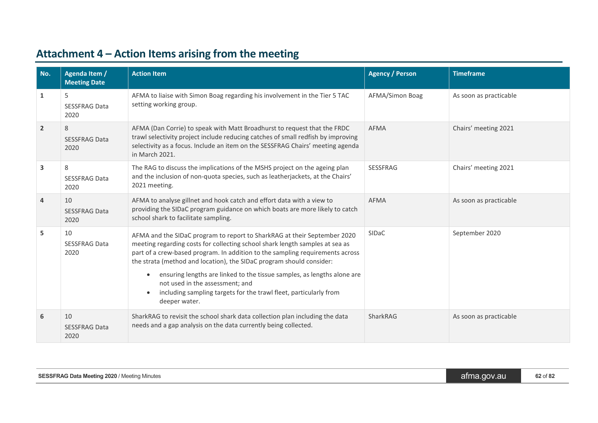<span id="page-61-0"></span>

| No.            | Agenda Item /<br><b>Meeting Date</b> | <b>Action Item</b>                                                                                                                                                                                                                                                                                                                                                                                                                                                                                                    | <b>Agency / Person</b> | <b>Timeframe</b>       |
|----------------|--------------------------------------|-----------------------------------------------------------------------------------------------------------------------------------------------------------------------------------------------------------------------------------------------------------------------------------------------------------------------------------------------------------------------------------------------------------------------------------------------------------------------------------------------------------------------|------------------------|------------------------|
| 1              | 5<br><b>SESSFRAG Data</b><br>2020    | AFMA to liaise with Simon Boag regarding his involvement in the Tier 5 TAC<br>setting working group.                                                                                                                                                                                                                                                                                                                                                                                                                  | AFMA/Simon Boag        | As soon as practicable |
| $\overline{2}$ | 8<br><b>SESSFRAG Data</b><br>2020    | AFMA (Dan Corrie) to speak with Matt Broadhurst to request that the FRDC<br>trawl selectivity project include reducing catches of small redfish by improving<br>selectivity as a focus. Include an item on the SESSFRAG Chairs' meeting agenda<br>in March 2021.                                                                                                                                                                                                                                                      | <b>AFMA</b>            | Chairs' meeting 2021   |
| 3              | 8<br><b>SESSFRAG Data</b><br>2020    | The RAG to discuss the implications of the MSHS project on the ageing plan<br>and the inclusion of non-quota species, such as leatherjackets, at the Chairs'<br>2021 meeting.                                                                                                                                                                                                                                                                                                                                         | SESSFRAG               | Chairs' meeting 2021   |
| 4              | 10<br><b>SESSFRAG Data</b><br>2020   | AFMA to analyse gillnet and hook catch and effort data with a view to<br>providing the SIDaC program guidance on which boats are more likely to catch<br>school shark to facilitate sampling.                                                                                                                                                                                                                                                                                                                         | <b>AFMA</b>            | As soon as practicable |
| 5              | 10<br><b>SESSFRAG Data</b><br>2020   | AFMA and the SIDaC program to report to SharkRAG at their September 2020<br>meeting regarding costs for collecting school shark length samples at sea as<br>part of a crew-based program. In addition to the sampling requirements across<br>the strata (method and location), the SIDaC program should consider:<br>ensuring lengths are linked to the tissue samples, as lengths alone are<br>not used in the assessment; and<br>including sampling targets for the trawl fleet, particularly from<br>deeper water. | <b>SIDaC</b>           | September 2020         |
| 6              | 10<br><b>SESSFRAG Data</b><br>2020   | SharkRAG to revisit the school shark data collection plan including the data<br>needs and a gap analysis on the data currently being collected.                                                                                                                                                                                                                                                                                                                                                                       | SharkRAG               | As soon as practicable |

# **Attachment 4 – Action Items arising from the meeting**

| <b>SESSFRAG Data Meeting 2020 / Meeting Minutes</b> | atma.qov.au | 62 of 82 |
|-----------------------------------------------------|-------------|----------|
|-----------------------------------------------------|-------------|----------|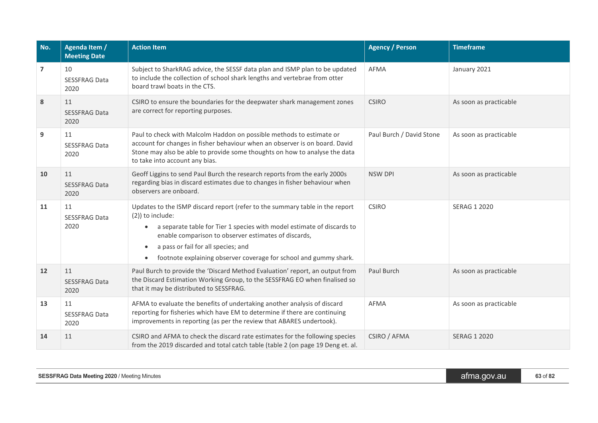| No.               | Agenda Item /<br><b>Meeting Date</b> | <b>Action Item</b>                                                                                                                                                                                                                                                                                                                                                       | <b>Agency / Person</b>   | <b>Timeframe</b>       |
|-------------------|--------------------------------------|--------------------------------------------------------------------------------------------------------------------------------------------------------------------------------------------------------------------------------------------------------------------------------------------------------------------------------------------------------------------------|--------------------------|------------------------|
| $\overline{7}$    | 10<br><b>SESSFRAG Data</b><br>2020   | Subject to SharkRAG advice, the SESSF data plan and ISMP plan to be updated<br>to include the collection of school shark lengths and vertebrae from otter<br>board trawl boats in the CTS.                                                                                                                                                                               | <b>AFMA</b>              | January 2021           |
| ${\bf 8}$         | 11<br><b>SESSFRAG Data</b><br>2020   | CSIRO to ensure the boundaries for the deepwater shark management zones<br>are correct for reporting purposes.                                                                                                                                                                                                                                                           | <b>CSIRO</b>             | As soon as practicable |
| 9                 | 11<br><b>SESSFRAG Data</b><br>2020   | Paul to check with Malcolm Haddon on possible methods to estimate or<br>account for changes in fisher behaviour when an observer is on board. David<br>Stone may also be able to provide some thoughts on how to analyse the data<br>to take into account any bias.                                                                                                      | Paul Burch / David Stone | As soon as practicable |
| 10                | 11<br><b>SESSFRAG Data</b><br>2020   | Geoff Liggins to send Paul Burch the research reports from the early 2000s<br>regarding bias in discard estimates due to changes in fisher behaviour when<br>observers are onboard.                                                                                                                                                                                      | <b>NSW DPI</b>           | As soon as practicable |
| 11                | 11<br><b>SESSFRAG Data</b><br>2020   | Updates to the ISMP discard report (refer to the summary table in the report<br>(2)) to include:<br>a separate table for Tier 1 species with model estimate of discards to<br>enable comparison to observer estimates of discards,<br>a pass or fail for all species; and<br>$\bullet$<br>footnote explaining observer coverage for school and gummy shark.<br>$\bullet$ | <b>CSIRO</b>             | <b>SERAG 1 2020</b>    |
| $12 \overline{ }$ | 11<br><b>SESSFRAG Data</b><br>2020   | Paul Burch to provide the 'Discard Method Evaluation' report, an output from<br>the Discard Estimation Working Group, to the SESSFRAG EO when finalised so<br>that it may be distributed to SESSFRAG.                                                                                                                                                                    | Paul Burch               | As soon as practicable |
| 13                | 11<br><b>SESSFRAG Data</b><br>2020   | AFMA to evaluate the benefits of undertaking another analysis of discard<br>reporting for fisheries which have EM to determine if there are continuing<br>improvements in reporting (as per the review that ABARES undertook).                                                                                                                                           | <b>AFMA</b>              | As soon as practicable |
| 14                | 11                                   | CSIRO and AFMA to check the discard rate estimates for the following species<br>from the 2019 discarded and total catch table (table 2 (on page 19 Deng et. al.                                                                                                                                                                                                          | CSIRO / AFMA             | <b>SERAG 1 2020</b>    |

| SESSFRAG Data Meeting 2020 / | .gov.au | $ -$     |
|------------------------------|---------|----------|
| ' Meetina Minutes .          | atma.c  | 63 of 82 |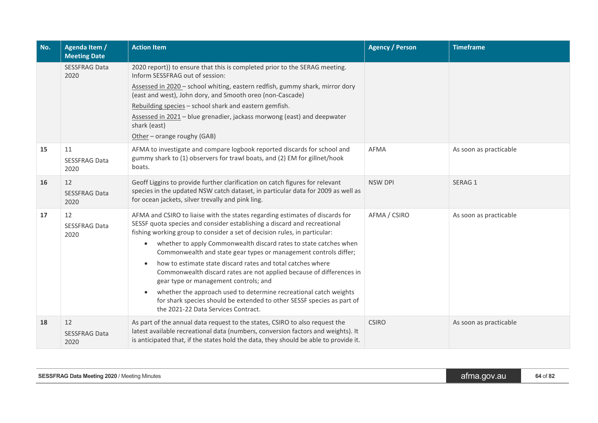| No. | Agenda Item /<br><b>Meeting Date</b> | <b>Action Item</b>                                                                                                                                                                                                                                                                                                                                                                                                                                                                                                                                                                                                                                                                                                                                                | <b>Agency / Person</b> | <b>Timeframe</b>       |
|-----|--------------------------------------|-------------------------------------------------------------------------------------------------------------------------------------------------------------------------------------------------------------------------------------------------------------------------------------------------------------------------------------------------------------------------------------------------------------------------------------------------------------------------------------------------------------------------------------------------------------------------------------------------------------------------------------------------------------------------------------------------------------------------------------------------------------------|------------------------|------------------------|
|     | <b>SESSFRAG Data</b><br>2020         | 2020 report)) to ensure that this is completed prior to the SERAG meeting.<br>Inform SESSFRAG out of session:<br>Assessed in 2020 - school whiting, eastern redfish, gummy shark, mirror dory<br>(east and west), John dory, and Smooth oreo (non-Cascade)                                                                                                                                                                                                                                                                                                                                                                                                                                                                                                        |                        |                        |
|     |                                      | Rebuilding species - school shark and eastern gemfish.<br>Assessed in 2021 - blue grenadier, jackass morwong (east) and deepwater<br>shark (east)<br>Other - orange roughy (GAB)                                                                                                                                                                                                                                                                                                                                                                                                                                                                                                                                                                                  |                        |                        |
| 15  | 11<br><b>SESSFRAG Data</b><br>2020   | AFMA to investigate and compare logbook reported discards for school and<br>gummy shark to (1) observers for trawl boats, and (2) EM for gillnet/hook<br>boats.                                                                                                                                                                                                                                                                                                                                                                                                                                                                                                                                                                                                   | <b>AFMA</b>            | As soon as practicable |
| 16  | 12<br><b>SESSFRAG Data</b><br>2020   | Geoff Liggins to provide further clarification on catch figures for relevant<br>species in the updated NSW catch dataset, in particular data for 2009 as well as<br>for ocean jackets, silver trevally and pink ling.                                                                                                                                                                                                                                                                                                                                                                                                                                                                                                                                             | <b>NSW DPI</b>         | SERAG 1                |
| 17  | 12<br><b>SESSFRAG Data</b><br>2020   | AFMA and CSIRO to liaise with the states regarding estimates of discards for<br>SESSF quota species and consider establishing a discard and recreational<br>fishing working group to consider a set of decision rules, in particular:<br>whether to apply Commonwealth discard rates to state catches when<br>$\bullet$<br>Commonwealth and state gear types or management controls differ;<br>how to estimate state discard rates and total catches where<br>Commonwealth discard rates are not applied because of differences in<br>gear type or management controls; and<br>whether the approach used to determine recreational catch weights<br>for shark species should be extended to other SESSF species as part of<br>the 2021-22 Data Services Contract. | AFMA / CSIRO           | As soon as practicable |
| 18  | 12<br><b>SESSFRAG Data</b><br>2020   | As part of the annual data request to the states, CSIRO to also request the<br>latest available recreational data (numbers, conversion factors and weights). It<br>is anticipated that, if the states hold the data, they should be able to provide it.                                                                                                                                                                                                                                                                                                                                                                                                                                                                                                           | <b>CSIRO</b>           | As soon as practicable |

| <b>SESSFRAG Data Meeting 2020 / Meeting Minutes</b> | afma.gov.au' | $64$ of $82$ |
|-----------------------------------------------------|--------------|--------------|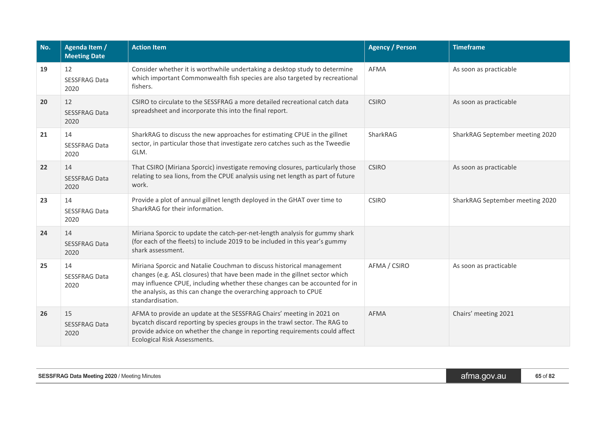| No. | <b>Agenda Item /</b><br><b>Meeting Date</b> | <b>Action Item</b>                                                                                                                                                                                                                                                                                                           | <b>Agency / Person</b> | <b>Timeframe</b>                |
|-----|---------------------------------------------|------------------------------------------------------------------------------------------------------------------------------------------------------------------------------------------------------------------------------------------------------------------------------------------------------------------------------|------------------------|---------------------------------|
| 19  | 12<br><b>SESSFRAG Data</b><br>2020          | Consider whether it is worthwhile undertaking a desktop study to determine<br>which important Commonwealth fish species are also targeted by recreational<br>fishers.                                                                                                                                                        | <b>AFMA</b>            | As soon as practicable          |
| 20  | 12<br><b>SESSFRAG Data</b><br>2020          | CSIRO to circulate to the SESSFRAG a more detailed recreational catch data<br>spreadsheet and incorporate this into the final report.                                                                                                                                                                                        | <b>CSIRO</b>           | As soon as practicable          |
| 21  | 14<br><b>SESSFRAG Data</b><br>2020          | SharkRAG to discuss the new approaches for estimating CPUE in the gillnet<br>sector, in particular those that investigate zero catches such as the Tweedie<br>GLM.                                                                                                                                                           | SharkRAG               | SharkRAG September meeting 2020 |
| 22  | 14<br><b>SESSFRAG Data</b><br>2020          | That CSIRO (Miriana Sporcic) investigate removing closures, particularly those<br>relating to sea lions, from the CPUE analysis using net length as part of future<br>work.                                                                                                                                                  | <b>CSIRO</b>           | As soon as practicable          |
| 23  | 14<br><b>SESSFRAG Data</b><br>2020          | Provide a plot of annual gillnet length deployed in the GHAT over time to<br>SharkRAG for their information.                                                                                                                                                                                                                 | <b>CSIRO</b>           | SharkRAG September meeting 2020 |
| 24  | 14<br><b>SESSFRAG Data</b><br>2020          | Miriana Sporcic to update the catch-per-net-length analysis for gummy shark<br>(for each of the fleets) to include 2019 to be included in this year's gummy<br>shark assessment.                                                                                                                                             |                        |                                 |
| 25  | 14<br><b>SESSFRAG Data</b><br>2020          | Miriana Sporcic and Natalie Couchman to discuss historical management<br>changes (e.g. ASL closures) that have been made in the gillnet sector which<br>may influence CPUE, including whether these changes can be accounted for in<br>the analysis, as this can change the overarching approach to CPUE<br>standardisation. |                        | As soon as practicable          |
| 26  | 15<br><b>SESSFRAG Data</b><br>2020          | AFMA to provide an update at the SESSFRAG Chairs' meeting in 2021 on<br>bycatch discard reporting by species groups in the trawl sector. The RAG to<br>provide advice on whether the change in reporting requirements could affect<br>Ecological Risk Assessments.                                                           |                        | Chairs' meeting 2021            |

| SESSFRAG Data Meeting 2020 /<br>' Meeting Minutes | gov.au<br>aīma. | 65 of 82 |
|---------------------------------------------------|-----------------|----------|
|                                                   |                 |          |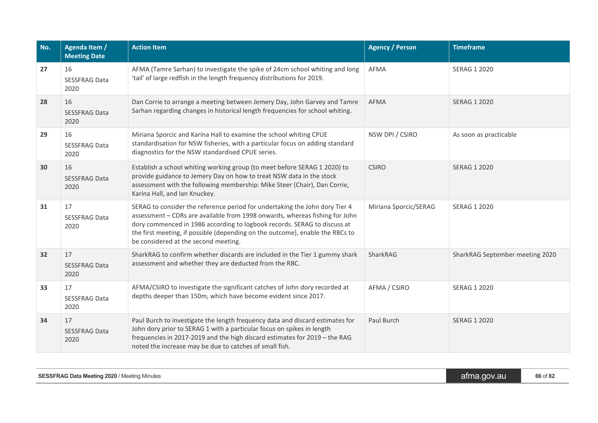| No.             | Agenda Item /<br><b>Meeting Date</b> | <b>Action Item</b>                                                                                                                                                                                                                                                                                                                                              | <b>Agency / Person</b> | <b>Timeframe</b>                |
|-----------------|--------------------------------------|-----------------------------------------------------------------------------------------------------------------------------------------------------------------------------------------------------------------------------------------------------------------------------------------------------------------------------------------------------------------|------------------------|---------------------------------|
| 27              | 16<br><b>SESSFRAG Data</b><br>2020   | AFMA (Tamre Sarhan) to investigate the spike of 24cm school whiting and long<br>'tail' of large redfish in the length frequency distributions for 2019.                                                                                                                                                                                                         | AFMA                   | SERAG 1 2020                    |
| 28              | 16<br><b>SESSFRAG Data</b><br>2020   | Dan Corrie to arrange a meeting between Jemery Day, John Garvey and Tamre<br>Sarhan regarding changes in historical length frequencies for school whiting.                                                                                                                                                                                                      | <b>AFMA</b>            | <b>SERAG 1 2020</b>             |
| 29              | 16<br><b>SESSFRAG Data</b><br>2020   | Miriana Sporcic and Karina Hall to examine the school whiting CPUE<br>standardisation for NSW fisheries, with a particular focus on adding standard<br>diagnostics for the NSW standardised CPUE series.                                                                                                                                                        | NSW DPI / CSIRO        | As soon as practicable          |
| 30              | 16<br><b>SESSFRAG Data</b><br>2020   | Establish a school whiting working group (to meet before SERAG 1 2020) to<br>provide guidance to Jemery Day on how to treat NSW data in the stock<br>assessment with the following membership: Mike Steer (Chair), Dan Corrie,<br>Karina Hall, and Ian Knuckey.                                                                                                 | <b>CSIRO</b>           | <b>SERAG 1 2020</b>             |
| 31              | 17<br><b>SESSFRAG Data</b><br>2020   | SERAG to consider the reference period for undertaking the John dory Tier 4<br>assessment - CDRs are available from 1998 onwards, whereas fishing for John<br>dory commenced in 1986 according to logbook records. SERAG to discuss at<br>the first meeting, if possible (depending on the outcome), enable the RBCs to<br>be considered at the second meeting. | Miriana Sporcic/SERAG  | <b>SERAG 1 2020</b>             |
| 32 <sub>2</sub> | 17<br><b>SESSFRAG Data</b><br>2020   | SharkRAG to confirm whether discards are included in the Tier 1 gummy shark<br>assessment and whether they are deducted from the RBC.                                                                                                                                                                                                                           | SharkRAG               | SharkRAG September meeting 2020 |
| 33              | 17<br><b>SESSFRAG Data</b><br>2020   | AFMA/CSIRO to investigate the significant catches of John dory recorded at<br>depths deeper than 150m, which have become evident since 2017.                                                                                                                                                                                                                    | AFMA / CSIRO           | SERAG 1 2020                    |
| 34              | 17<br><b>SESSFRAG Data</b><br>2020   | Paul Burch to investigate the length frequency data and discard estimates for<br>John dory prior to SERAG 1 with a particular focus on spikes in length<br>frequencies in 2017-2019 and the high discard estimates for 2019 - the RAG<br>noted the increase may be due to catches of small fish.                                                                | Paul Burch             | <b>SERAG 1 2020</b>             |

| <b>SESSFRAG Data Meeting 2020 / Meeting Minutes</b> | afma.gov.au | 66 of 82 |
|-----------------------------------------------------|-------------|----------|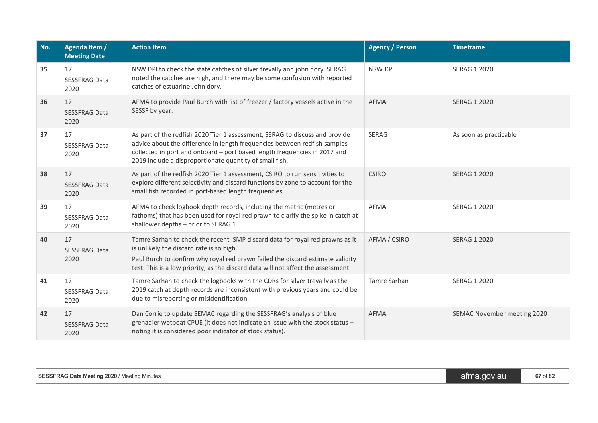| No. | Agenda Item /<br><b>Meeting Date</b> | <b>Action Item</b>                                                                                                                                                                                                                                                                               | <b>Agency / Person</b> | <b>Timeframe</b>            |
|-----|--------------------------------------|--------------------------------------------------------------------------------------------------------------------------------------------------------------------------------------------------------------------------------------------------------------------------------------------------|------------------------|-----------------------------|
| 35  | 17<br><b>SESSFRAG Data</b><br>2020   | NSW DPI to check the state catches of silver trevally and john dory. SERAG<br>noted the catches are high, and there may be some confusion with reported<br>catches of estuarine John dory.                                                                                                       | <b>NSW DPI</b>         | <b>SERAG 1 2020</b>         |
| 36  | 17<br><b>SESSFRAG Data</b><br>2020   | AFMA to provide Paul Burch with list of freezer / factory vessels active in the<br>SESSF by year.                                                                                                                                                                                                | <b>AFMA</b>            | <b>SERAG 1 2020</b>         |
| 37  | 17<br><b>SESSFRAG Data</b><br>2020   | As part of the redfish 2020 Tier 1 assessment, SERAG to discuss and provide<br>advice about the difference in length frequencies between redfish samples<br>collected in port and onboard - port based length frequencies in 2017 and<br>2019 include a disproportionate quantity of small fish. | SERAG                  | As soon as practicable      |
| 38  | 17<br><b>SESSFRAG Data</b><br>2020   | As part of the redfish 2020 Tier 1 assessment, CSIRO to run sensitivities to<br>explore different selectivity and discard functions by zone to account for the<br>small fish recorded in port-based length frequencies.                                                                          | <b>CSIRO</b>           | <b>SERAG 1 2020</b>         |
| 39  | 17<br><b>SESSFRAG Data</b><br>2020   | AFMA to check logbook depth records, including the metric (metres or<br>fathoms) that has been used for royal red prawn to clarify the spike in catch at<br>shallower depths - prior to SERAG 1.                                                                                                 | AFMA                   | <b>SERAG 1 2020</b>         |
| 40  | 17<br><b>SESSFRAG Data</b><br>2020   | Tamre Sarhan to check the recent ISMP discard data for royal red prawns as it<br>is unlikely the discard rate is so high.<br>Paul Burch to confirm why royal red prawn failed the discard estimate validity<br>test. This is a low priority, as the discard data will not affect the assessment. | AFMA / CSIRO           | <b>SERAG 1 2020</b>         |
| 41  | 17<br><b>SESSFRAG Data</b><br>2020   | Tamre Sarhan to check the logbooks with the CDRs for silver trevally as the<br>2019 catch at depth records are inconsistent with previous years and could be<br>due to misreporting or misidentification.                                                                                        | Tamre Sarhan           | <b>SERAG 1 2020</b>         |
| 42  | 17<br><b>SESSFRAG Data</b><br>2020   | Dan Corrie to update SEMAC regarding the SESSFRAG's analysis of blue<br>grenadier wetboat CPUE (it does not indicate an issue with the stock status -<br>noting it is considered poor indicator of stock status).                                                                                | AFMA                   | SEMAC November meeting 2020 |

| <b>SESSFRAG Data Meeting 2020 / Meeting Minutes</b> | atma.gov.au' | of 82<br>h/f |
|-----------------------------------------------------|--------------|--------------|
|-----------------------------------------------------|--------------|--------------|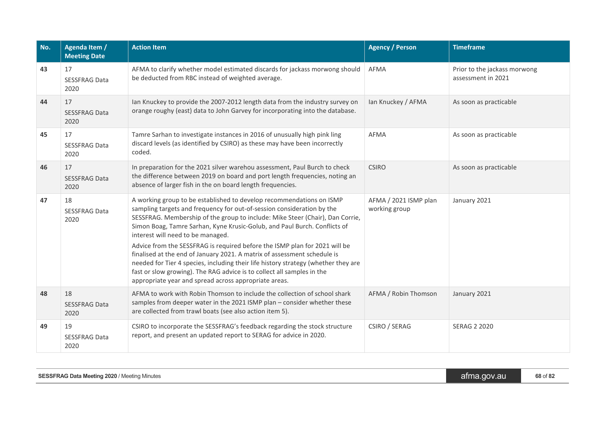| No. | Agenda Item /<br><b>Meeting Date</b>                                                                                                                                                                                                                                                                                                                                                    | <b>Action Item</b>                                                                                                                                                                                                                                                                                                                                                              | <b>Agency / Person</b>                 | <b>Timeframe</b>                                   |
|-----|-----------------------------------------------------------------------------------------------------------------------------------------------------------------------------------------------------------------------------------------------------------------------------------------------------------------------------------------------------------------------------------------|---------------------------------------------------------------------------------------------------------------------------------------------------------------------------------------------------------------------------------------------------------------------------------------------------------------------------------------------------------------------------------|----------------------------------------|----------------------------------------------------|
| 43  | 17<br><b>SESSFRAG Data</b><br>2020                                                                                                                                                                                                                                                                                                                                                      | AFMA to clarify whether model estimated discards for jackass morwong should<br>be deducted from RBC instead of weighted average.                                                                                                                                                                                                                                                | AFMA                                   | Prior to the jackass morwong<br>assessment in 2021 |
| 44  | 17<br><b>SESSFRAG Data</b><br>2020                                                                                                                                                                                                                                                                                                                                                      | Ian Knuckey to provide the 2007-2012 length data from the industry survey on<br>orange roughy (east) data to John Garvey for incorporating into the database.                                                                                                                                                                                                                   | Ian Knuckey / AFMA                     | As soon as practicable                             |
| 45  | 17<br><b>SESSFRAG Data</b><br>2020                                                                                                                                                                                                                                                                                                                                                      | Tamre Sarhan to investigate instances in 2016 of unusually high pink ling<br>discard levels (as identified by CSIRO) as these may have been incorrectly<br>coded.                                                                                                                                                                                                               | <b>AFMA</b>                            | As soon as practicable                             |
| 46  | 17<br><b>SESSFRAG Data</b><br>2020                                                                                                                                                                                                                                                                                                                                                      | In preparation for the 2021 silver warehou assessment, Paul Burch to check<br>the difference between 2019 on board and port length frequencies, noting an<br>absence of larger fish in the on board length frequencies.                                                                                                                                                         | <b>CSIRO</b>                           | As soon as practicable                             |
| 47  | 18<br>A working group to be established to develop recommendations on ISMP<br>sampling targets and frequency for out-of-session consideration by the<br><b>SESSFRAG Data</b><br>SESSFRAG. Membership of the group to include: Mike Steer (Chair), Dan Corrie,<br>2020<br>Simon Boag, Tamre Sarhan, Kyne Krusic-Golub, and Paul Burch. Conflicts of<br>interest will need to be managed. |                                                                                                                                                                                                                                                                                                                                                                                 | AFMA / 2021 ISMP plan<br>working group | January 2021                                       |
|     |                                                                                                                                                                                                                                                                                                                                                                                         | Advice from the SESSFRAG is required before the ISMP plan for 2021 will be<br>finalised at the end of January 2021. A matrix of assessment schedule is<br>needed for Tier 4 species, including their life history strategy (whether they are<br>fast or slow growing). The RAG advice is to collect all samples in the<br>appropriate year and spread across appropriate areas. |                                        |                                                    |
| 48  | 18<br><b>SESSFRAG Data</b><br>2020                                                                                                                                                                                                                                                                                                                                                      | AFMA to work with Robin Thomson to include the collection of school shark<br>samples from deeper water in the 2021 ISMP plan - consider whether these<br>are collected from trawl boats (see also action item 5).                                                                                                                                                               | AFMA / Robin Thomson                   | January 2021                                       |
| 49  | 19<br><b>SESSFRAG Data</b><br>2020                                                                                                                                                                                                                                                                                                                                                      | CSIRO to incorporate the SESSFRAG's feedback regarding the stock structure<br>report, and present an updated report to SERAG for advice in 2020.                                                                                                                                                                                                                                |                                        | <b>SERAG 2 2020</b>                                |

| <b>SESSFRAG Data Meeting 2020 / Meeting Minutes</b> | atma.gov.au | $20 - 50$<br>$00 \cup 04$ |
|-----------------------------------------------------|-------------|---------------------------|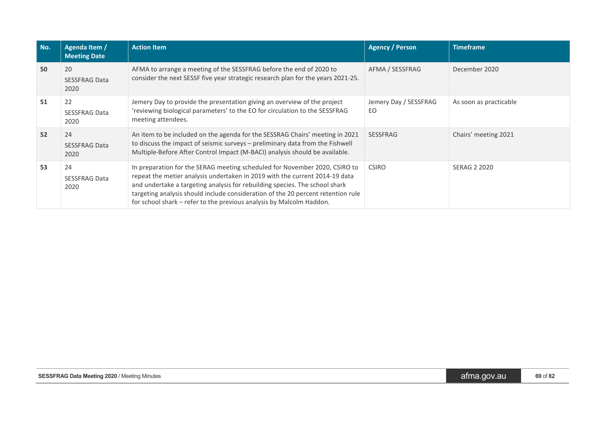| No. | Agenda Item /<br><b>Meeting Date</b> | <b>Action Item</b>                                                                                                                                                                                                                                                                                                                                                                                                   | <b>Agency / Person</b>       | <b>Timeframe</b>       |
|-----|--------------------------------------|----------------------------------------------------------------------------------------------------------------------------------------------------------------------------------------------------------------------------------------------------------------------------------------------------------------------------------------------------------------------------------------------------------------------|------------------------------|------------------------|
| 50  | 20<br><b>SESSFRAG Data</b><br>2020   | AFMA to arrange a meeting of the SESSFRAG before the end of 2020 to<br>consider the next SESSF five year strategic research plan for the years 2021-25.                                                                                                                                                                                                                                                              | AFMA / SESSFRAG              | December 2020          |
| 51  | 22<br><b>SESSFRAG Data</b><br>2020   | Jemery Day to provide the presentation giving an overview of the project<br>'reviewing biological parameters' to the EO for circulation to the SESSFRAG<br>meeting attendees.                                                                                                                                                                                                                                        | Jemery Day / SESSFRAG<br>EO. | As soon as practicable |
| 52  | 24<br><b>SESSFRAG Data</b><br>2020   | An item to be included on the agenda for the SESSRAG Chairs' meeting in 2021<br>to discuss the impact of seismic surveys - preliminary data from the Fishwell<br>Multiple-Before After Control Impact (M-BACI) analysis should be available.                                                                                                                                                                         | <b>SESSFRAG</b>              | Chairs' meeting 2021   |
| 53  | 24<br><b>SESSFRAG Data</b><br>2020   | In preparation for the SERAG meeting scheduled for November 2020, CSIRO to<br><b>CSIRO</b><br>repeat the metier analysis undertaken in 2019 with the current 2014-19 data<br>and undertake a targeting analysis for rebuilding species. The school shark<br>targeting analysis should include consideration of the 20 percent retention rule<br>for school shark – refer to the previous analysis by Malcolm Haddon. |                              | SERAG 2 2020           |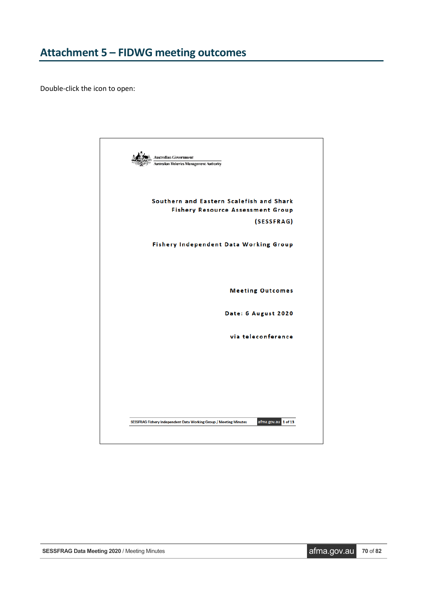<span id="page-69-0"></span>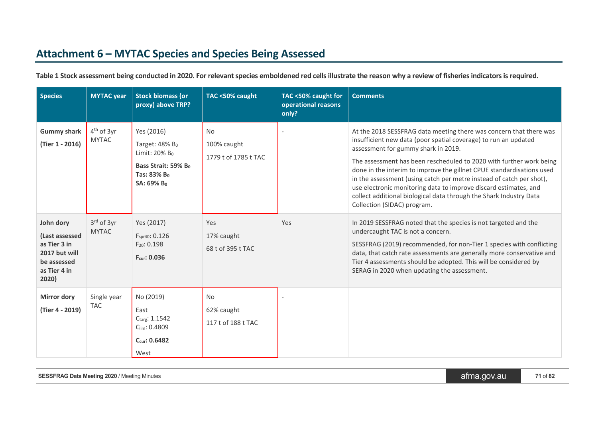# **Attachment 6 – MYTAC Species and Species Being Assessed**

| <b>Species</b>                                                                                       | <b>MYTAC</b> year            | <b>Stock biomass (or</b><br>proxy) above TRP?                                                                                | TAC <50% caught                                  | TAC <50% caught for<br>operational reasons<br>only? | <b>Comments</b>                                                                                                                                                                                                                                                                                                                                                                                                                                                                                                                                                               |
|------------------------------------------------------------------------------------------------------|------------------------------|------------------------------------------------------------------------------------------------------------------------------|--------------------------------------------------|-----------------------------------------------------|-------------------------------------------------------------------------------------------------------------------------------------------------------------------------------------------------------------------------------------------------------------------------------------------------------------------------------------------------------------------------------------------------------------------------------------------------------------------------------------------------------------------------------------------------------------------------------|
| <b>Gummy shark</b><br>(Tier 1 - 2016)                                                                | $4th$ of 3yr<br><b>MYTAC</b> | Yes (2016)<br>Target: $48\%$ B <sub>0</sub><br>Limit: 20% Bo<br>Bass Strait: 59% B <sub>0</sub><br>Tas: 83% Bo<br>SA: 69% Bo | <b>No</b><br>100% caught<br>1779 t of 1785 t TAC |                                                     | At the 2018 SESSFRAG data meeting there was concern that there was<br>insufficient new data (poor spatial coverage) to run an updated<br>assessment for gummy shark in 2019.<br>The assessment has been rescheduled to 2020 with further work being<br>done in the interim to improve the gillnet CPUE standardisations used<br>in the assessment (using catch per metre instead of catch per shot),<br>use electronic monitoring data to improve discard estimates, and<br>collect additional biological data through the Shark Industry Data<br>Collection (SIDAC) program. |
| John dory<br>(Last assessed<br>as Tier 3 in<br>2017 but will<br>be assessed<br>as Tier 4 in<br>2020) | 3rd of 3yr<br><b>MYTAC</b>   | Yes (2017)<br>F <sub>spr40</sub> : 0.126<br>F <sub>20</sub> : 0.198<br>Fcur: 0.036                                           | Yes<br>17% caught<br>68 t of 395 t TAC           | Yes                                                 | In 2019 SESSFRAG noted that the species is not targeted and the<br>undercaught TAC is not a concern.<br>SESSFRAG (2019) recommended, for non-Tier 1 species with conflicting<br>data, that catch rate assessments are generally more conservative and<br>Tier 4 assessments should be adopted. This will be considered by<br>SERAG in 2020 when updating the assessment.                                                                                                                                                                                                      |
| <b>Mirror dory</b><br>(Tier 4 - 2019)                                                                | Single year<br><b>TAC</b>    | No (2019)<br>East<br>Ctarg: 1.1542<br>Clim: 0.4809<br>$C_{\text{cur}}$ : 0.6482<br>West                                      | <b>No</b><br>62% caught<br>117 t of 188 t TAC    |                                                     |                                                                                                                                                                                                                                                                                                                                                                                                                                                                                                                                                                               |

**Table 1 Stock assessment being conducted in 2020. For relevant species emboldened red cells illustrate the reason why a review of fisheries indicators is required.**

**SESSFRAG** Data Meeting 2020 / Meeting Minutes **and STSSFRAG** Data Meeting 2020 / Meeting Minutes **afma.gov.au 71** of 82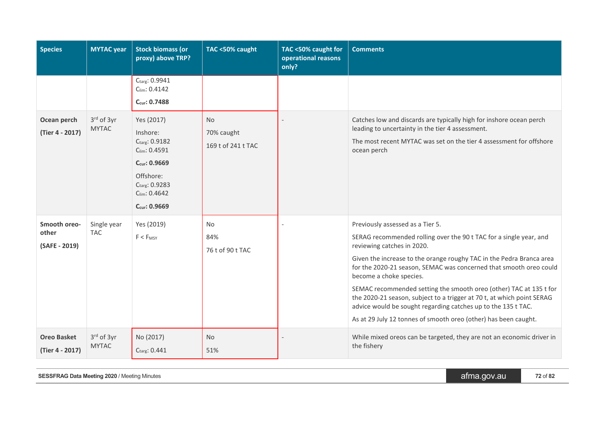| <b>Species</b>                         | <b>MYTAC</b> year              | <b>Stock biomass (or</b><br>proxy) above TRP?                                                                                                                   | TAC <50% caught                               | TAC <50% caught for<br>operational reasons<br>only? | <b>Comments</b>                                                                                                                                                                                                                                                                                                                                                                                                                                                                                                                                                                                   |
|----------------------------------------|--------------------------------|-----------------------------------------------------------------------------------------------------------------------------------------------------------------|-----------------------------------------------|-----------------------------------------------------|---------------------------------------------------------------------------------------------------------------------------------------------------------------------------------------------------------------------------------------------------------------------------------------------------------------------------------------------------------------------------------------------------------------------------------------------------------------------------------------------------------------------------------------------------------------------------------------------------|
|                                        |                                | Ctarg: 0.9941<br>$C_{lim}$ : 0.4142<br>Ccur: 0.7488                                                                                                             |                                               |                                                     |                                                                                                                                                                                                                                                                                                                                                                                                                                                                                                                                                                                                   |
| Ocean perch<br>(Tier 4 - 2017)         | $3rd$ of $3yr$<br><b>MYTAC</b> | Yes (2017)<br>Inshore:<br>Ctarg: 0.9182<br>Clim: 0.4591<br>$C_{\text{cur}}$ : 0.9669<br>Offshore:<br>Ctarg: 0.9283<br>Clim: 0.4642<br>$C_{\text{cur}}$ : 0.9669 | <b>No</b><br>70% caught<br>169 t of 241 t TAC |                                                     | Catches low and discards are typically high for inshore ocean perch<br>leading to uncertainty in the tier 4 assessment.<br>The most recent MYTAC was set on the tier 4 assessment for offshore<br>ocean perch                                                                                                                                                                                                                                                                                                                                                                                     |
| Smooth oreo-<br>other<br>(SAFE - 2019) | Single year<br><b>TAC</b>      | Yes (2019)<br>$F < F_{MSY}$                                                                                                                                     | <b>No</b><br>84%<br>76 t of 90 t TAC          |                                                     | Previously assessed as a Tier 5.<br>SERAG recommended rolling over the 90 t TAC for a single year, and<br>reviewing catches in 2020.<br>Given the increase to the orange roughy TAC in the Pedra Branca area<br>for the 2020-21 season, SEMAC was concerned that smooth oreo could<br>become a choke species.<br>SEMAC recommended setting the smooth oreo (other) TAC at 135 t for<br>the 2020-21 season, subject to a trigger at 70 t, at which point SERAG<br>advice would be sought regarding catches up to the 135 t TAC.<br>As at 29 July 12 tonnes of smooth oreo (other) has been caught. |
| <b>Oreo Basket</b><br>(Tier 4 - 2017)  | $3rd$ of $3yr$<br><b>MYTAC</b> | No (2017)<br>Ctarg: 0.441                                                                                                                                       | <b>No</b><br>51%                              |                                                     | While mixed oreos can be targeted, they are not an economic driver in<br>the fishery                                                                                                                                                                                                                                                                                                                                                                                                                                                                                                              |

**SESSFRAG** Data Meeting 2020 / Meeting Minutes **1999 12 of 82** afma.gov.au **1999 12** of 82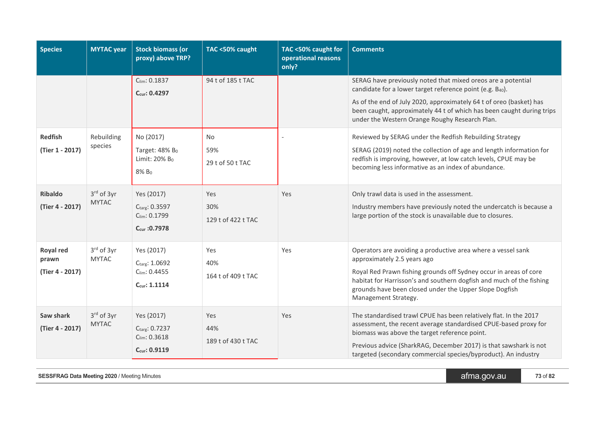| <b>Species</b>                        | <b>MYTAC</b> year              | <b>Stock biomass (or</b><br>proxy) above TRP?                                                                  | TAC <50% caught                                           | TAC <50% caught for<br>operational reasons<br>only? | <b>Comments</b>                                                                                                                                                                                                                                                                                                                                                                                                                                                                                                                                                                                     |
|---------------------------------------|--------------------------------|----------------------------------------------------------------------------------------------------------------|-----------------------------------------------------------|-----------------------------------------------------|-----------------------------------------------------------------------------------------------------------------------------------------------------------------------------------------------------------------------------------------------------------------------------------------------------------------------------------------------------------------------------------------------------------------------------------------------------------------------------------------------------------------------------------------------------------------------------------------------------|
| <b>Redfish</b><br>(Tier 1 - 2017)     | Rebuilding<br>species          | $C_{\text{lim}}$ : 0.1837<br>Ccur: 0.4297<br>No (2017)<br>Target: 48% Bo<br>Limit: 20% B <sub>0</sub><br>8% Bo | 94 t of 185 t TAC<br><b>No</b><br>59%<br>29 t of 50 t TAC |                                                     | SERAG have previously noted that mixed oreos are a potential<br>candidate for a lower target reference point (e.g. B <sub>40</sub> ).<br>As of the end of July 2020, approximately 64 t of oreo (basket) has<br>been caught, approximately 44 t of which has been caught during trips<br>under the Western Orange Roughy Research Plan.<br>Reviewed by SERAG under the Redfish Rebuilding Strategy<br>SERAG (2019) noted the collection of age and length information for<br>redfish is improving, however, at low catch levels, CPUE may be<br>becoming less informative as an index of abundance. |
| <b>Ribaldo</b><br>(Tier 4 - 2017)     | $3rd$ of $3yr$<br><b>MYTAC</b> | Yes (2017)<br>Ctarg: 0.3597<br>Clim: 0.1799<br>Ccur : 0.7978                                                   | Yes<br>30%<br>129 t of 422 t TAC                          | Yes                                                 | Only trawl data is used in the assessment.<br>Industry members have previously noted the undercatch is because a<br>large portion of the stock is unavailable due to closures.                                                                                                                                                                                                                                                                                                                                                                                                                      |
| Royal red<br>prawn<br>(Tier 4 - 2017) | $3rd$ of $3yr$<br><b>MYTAC</b> | Yes (2017)<br>Ctarg: 1.0692<br>$C_{lim}$ : 0.4455<br>$C_{cur}: 1.1114$                                         | Yes<br>40%<br>164 t of 409 t TAC                          | Yes                                                 | Operators are avoiding a productive area where a vessel sank<br>approximately 2.5 years ago<br>Royal Red Prawn fishing grounds off Sydney occur in areas of core<br>habitat for Harrisson's and southern dogfish and much of the fishing<br>grounds have been closed under the Upper Slope Dogfish<br>Management Strategy.                                                                                                                                                                                                                                                                          |
| Saw shark<br>(Tier 4 - 2017)          | $3rd$ of $3yr$<br><b>MYTAC</b> | Yes (2017)<br>Ctarg: 0.7237<br>$C_{\text{lim}}$ : 0.3618<br>Ccur: 0.9119                                       | <b>Yes</b><br>44%<br>189 t of 430 t TAC                   | Yes                                                 | The standardised trawl CPUE has been relatively flat. In the 2017<br>assessment, the recent average standardised CPUE-based proxy for<br>biomass was above the target reference point.<br>Previous advice (SharkRAG, December 2017) is that sawshark is not<br>targeted (secondary commercial species/byproduct). An industry                                                                                                                                                                                                                                                                       |

**SESSFRAG** Data Meeting 2020 / Meeting Minutes **1999** Minutes and the set of **1999** afma.gov.au **1999** Minutes **1999**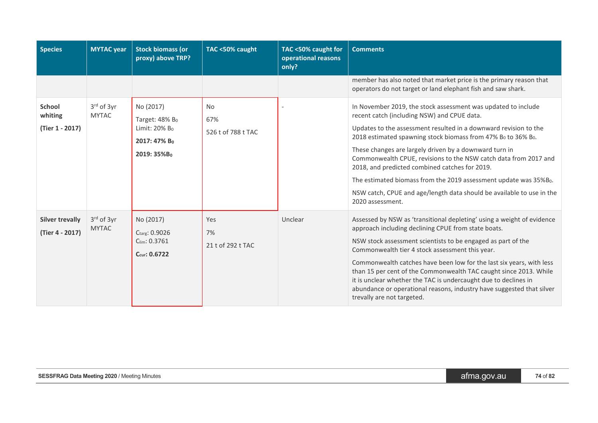| <b>Species</b>                              | <b>MYTAC</b> year              | <b>Stock biomass (or</b><br>proxy) above TRP?                                                                   | TAC <50% caught                        | TAC <50% caught for<br>operational reasons<br>only? | <b>Comments</b>                                                                                                                                                                                                                                                                                                                                                                                                                                                                                                                                                                                                                         |
|---------------------------------------------|--------------------------------|-----------------------------------------------------------------------------------------------------------------|----------------------------------------|-----------------------------------------------------|-----------------------------------------------------------------------------------------------------------------------------------------------------------------------------------------------------------------------------------------------------------------------------------------------------------------------------------------------------------------------------------------------------------------------------------------------------------------------------------------------------------------------------------------------------------------------------------------------------------------------------------------|
|                                             |                                |                                                                                                                 |                                        |                                                     | member has also noted that market price is the primary reason that<br>operators do not target or land elephant fish and saw shark.                                                                                                                                                                                                                                                                                                                                                                                                                                                                                                      |
| <b>School</b><br>whiting<br>(Tier 1 - 2017) | $3rd$ of $3yr$<br><b>MYTAC</b> | No (2017)<br>Target: 48% B <sub>0</sub><br>Limit: 20% B <sub>0</sub><br>2017: 47% Bo<br>2019: 35%B <sub>0</sub> | <b>No</b><br>67%<br>526 t of 788 t TAC |                                                     | In November 2019, the stock assessment was updated to include<br>recent catch (including NSW) and CPUE data.<br>Updates to the assessment resulted in a downward revision to the<br>2018 estimated spawning stock biomass from 47% B <sub>0</sub> to 36% B <sub>0</sub> .<br>These changes are largely driven by a downward turn in<br>Commonwealth CPUE, revisions to the NSW catch data from 2017 and<br>2018, and predicted combined catches for 2019.<br>The estimated biomass from the 2019 assessment update was 35%B <sub>0</sub> .<br>NSW catch, CPUE and age/length data should be available to use in the<br>2020 assessment. |
| <b>Silver trevally</b><br>(Tier 4 - 2017)   | $3rd$ of $3yr$<br><b>MYTAC</b> | No (2017)<br>Ctarg: 0.9026<br>Clim: 0.3761<br>Ccur: 0.6722                                                      | Yes<br>7%<br>21 t of 292 t TAC         | Unclear                                             | Assessed by NSW as 'transitional depleting' using a weight of evidence<br>approach including declining CPUE from state boats.<br>NSW stock assessment scientists to be engaged as part of the<br>Commonwealth tier 4 stock assessment this year.<br>Commonwealth catches have been low for the last six years, with less<br>than 15 per cent of the Commonwealth TAC caught since 2013. While<br>it is unclear whether the TAC is undercaught due to declines in<br>abundance or operational reasons, industry have suggested that silver<br>trevally are not targeted.                                                                 |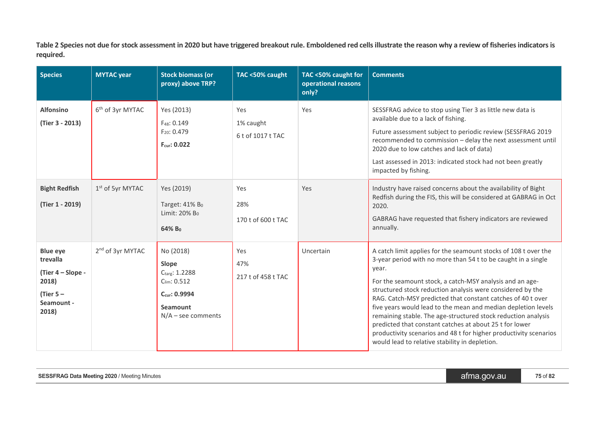**Table 2 Species not due for stock assessment in 2020 but have triggered breakout rule. Emboldened red cells illustrate the reason why a review of fisheries indicators is required.**

| <b>Species</b>                                                                                 | <b>MYTAC</b> year            | <b>Stock biomass (or</b><br>proxy) above TRP?                                                                       | TAC <50% caught                       | TAC <50% caught for<br>operational reasons<br>only? | <b>Comments</b>                                                                                                                                                                                                                                                                                                                                                                                                                                                                                                                                                                                                                                        |
|------------------------------------------------------------------------------------------------|------------------------------|---------------------------------------------------------------------------------------------------------------------|---------------------------------------|-----------------------------------------------------|--------------------------------------------------------------------------------------------------------------------------------------------------------------------------------------------------------------------------------------------------------------------------------------------------------------------------------------------------------------------------------------------------------------------------------------------------------------------------------------------------------------------------------------------------------------------------------------------------------------------------------------------------------|
| <b>Alfonsino</b><br>(Tier 3 - 2013)                                                            | 6 <sup>th</sup> of 3yr MYTAC | Yes (2013)<br>F <sub>48</sub> : 0.149<br>F <sub>20</sub> : 0.479<br>Fcur: 0.022                                     | Yes<br>1% caught<br>6 t of 1017 t TAC | Yes                                                 | SESSFRAG advice to stop using Tier 3 as little new data is<br>available due to a lack of fishing.<br>Future assessment subject to periodic review (SESSFRAG 2019<br>recommended to commission - delay the next assessment until<br>2020 due to low catches and lack of data)<br>Last assessed in 2013: indicated stock had not been greatly<br>impacted by fishing.                                                                                                                                                                                                                                                                                    |
| <b>Bight Redfish</b><br>(Tier 1 - 2019)                                                        | $1st$ of 5yr MYTAC           | Yes (2019)<br>Target: $41\%$ B <sub>0</sub><br>Limit: 20% B <sub>0</sub><br>64% Bo                                  | Yes<br>28%<br>170 t of 600 t TAC      | Yes                                                 | Industry have raised concerns about the availability of Bight<br>Redfish during the FIS, this will be considered at GABRAG in Oct<br>2020.<br>GABRAG have requested that fishery indicators are reviewed<br>annually.                                                                                                                                                                                                                                                                                                                                                                                                                                  |
| <b>Blue eye</b><br>trevalla<br>(Tier 4 - Slope -<br>2018)<br>(Tier $5-$<br>Seamount -<br>2018) | 2 <sup>nd</sup> of 3yr MYTAC | No (2018)<br>Slope<br>Ctarg: 1.2288<br>$C_{\text{lim}}$ : 0.512<br>Ccur: 0.9994<br>Seamount<br>$N/A$ – see comments | Yes<br>47%<br>217 t of 458 t TAC      | Uncertain                                           | A catch limit applies for the seamount stocks of 108 t over the<br>3-year period with no more than 54 t to be caught in a single<br>year.<br>For the seamount stock, a catch-MSY analysis and an age-<br>structured stock reduction analysis were considered by the<br>RAG. Catch-MSY predicted that constant catches of 40 t over<br>five years would lead to the mean and median depletion levels<br>remaining stable. The age-structured stock reduction analysis<br>predicted that constant catches at about 25 t for lower<br>productivity scenarios and 48 t for higher productivity scenarios<br>would lead to relative stability in depletion. |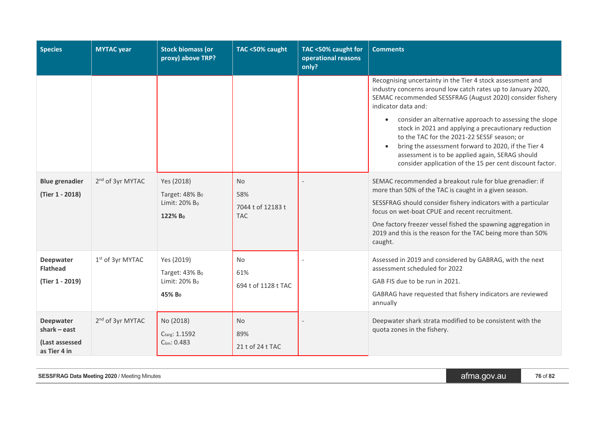| <b>Species</b>                                                       | <b>MYTAC</b> year            | <b>Stock biomass (or</b><br>proxy) above TRP?                                       | TAC <50% caught                                     | TAC <50% caught for<br>operational reasons<br>only? | <b>Comments</b>                                                                                                                                                                                                                                                                                                                                                                                                                                                                                                                                          |
|----------------------------------------------------------------------|------------------------------|-------------------------------------------------------------------------------------|-----------------------------------------------------|-----------------------------------------------------|----------------------------------------------------------------------------------------------------------------------------------------------------------------------------------------------------------------------------------------------------------------------------------------------------------------------------------------------------------------------------------------------------------------------------------------------------------------------------------------------------------------------------------------------------------|
|                                                                      |                              |                                                                                     |                                                     |                                                     | Recognising uncertainty in the Tier 4 stock assessment and<br>industry concerns around low catch rates up to January 2020,<br>SEMAC recommended SESSFRAG (August 2020) consider fishery<br>indicator data and:<br>• consider an alternative approach to assessing the slope<br>stock in 2021 and applying a precautionary reduction<br>to the TAC for the 2021-22 SESSF season; or<br>bring the assessment forward to 2020, if the Tier 4<br>assessment is to be applied again, SERAG should<br>consider application of the 15 per cent discount factor. |
| <b>Blue grenadier</b><br>(Tier 1 - 2018)                             | 2 <sup>nd</sup> of 3yr MYTAC | Yes (2018)<br>Target: $48\%$ B <sub>0</sub><br>Limit: 20% Bo<br>122% B <sub>0</sub> | <b>No</b><br>58%<br>7044 t of 12183 t<br><b>TAC</b> |                                                     | SEMAC recommended a breakout rule for blue grenadier: if<br>more than 50% of the TAC is caught in a given season.<br>SESSFRAG should consider fishery indicators with a particular<br>focus on wet-boat CPUE and recent recruitment.<br>One factory freezer vessel fished the spawning aggregation in<br>2019 and this is the reason for the TAC being more than 50%<br>caught.                                                                                                                                                                          |
| <b>Deepwater</b><br><b>Flathead</b><br>(Tier 1 - 2019)               | 1 <sup>st</sup> of 3yr MYTAC | Yes (2019)<br>Target: 43% Bo<br>Limit: 20% B <sub>0</sub><br>45% B <sub>0</sub>     | <b>No</b><br>61%<br>694 t of 1128 t TAC             |                                                     | Assessed in 2019 and considered by GABRAG, with the next<br>assessment scheduled for 2022<br>GAB FIS due to be run in 2021.<br>GABRAG have requested that fishery indicators are reviewed<br>annually                                                                                                                                                                                                                                                                                                                                                    |
| <b>Deepwater</b><br>$shark - east$<br>(Last assessed<br>as Tier 4 in | 2 <sup>nd</sup> of 3yr MYTAC | No (2018)<br>Ctarg: 1.1592<br>Clim: 0.483                                           | <b>No</b><br>89%<br>21 t of 24 t TAC                |                                                     | Deepwater shark strata modified to be consistent with the<br>quota zones in the fishery.                                                                                                                                                                                                                                                                                                                                                                                                                                                                 |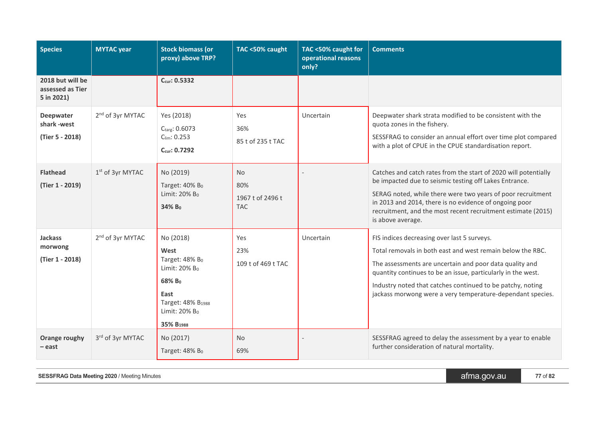| <b>Species</b>                                     | <b>MYTAC</b> year            | <b>Stock biomass (or</b><br>proxy) above TRP?                                                                                                                                         | TAC <50% caught                                    | TAC <50% caught for<br>operational reasons<br>only? | <b>Comments</b>                                                                                                                                                                                                                                                                                                                                                  |
|----------------------------------------------------|------------------------------|---------------------------------------------------------------------------------------------------------------------------------------------------------------------------------------|----------------------------------------------------|-----------------------------------------------------|------------------------------------------------------------------------------------------------------------------------------------------------------------------------------------------------------------------------------------------------------------------------------------------------------------------------------------------------------------------|
| 2018 but will be<br>assessed as Tier<br>5 in 2021) |                              | $C_{cur}$ : 0.5332                                                                                                                                                                    |                                                    |                                                     |                                                                                                                                                                                                                                                                                                                                                                  |
| Deepwater<br>shark-west<br>(Tier 5 - 2018)         | 2 <sup>nd</sup> of 3yr MYTAC | Yes (2018)<br>Ctarg: 0.6073<br>$C_{\text{lim}}$ : 0.253<br>$C_{\text{cur}}$ : 0.7292                                                                                                  | Yes<br>36%<br>85 t of 235 t TAC                    | Uncertain                                           | Deepwater shark strata modified to be consistent with the<br>quota zones in the fishery.<br>SESSFRAG to consider an annual effort over time plot compared<br>with a plot of CPUE in the CPUE standardisation report.                                                                                                                                             |
| <b>Flathead</b><br>(Tier 1 - 2019)                 | 1 <sup>st</sup> of 3yr MYTAC | No (2019)<br>Target: 40% Bo<br>Limit: 20% Bo<br>34% Bo                                                                                                                                | <b>No</b><br>80%<br>1967 t of 2496 t<br><b>TAC</b> |                                                     | Catches and catch rates from the start of 2020 will potentially<br>be impacted due to seismic testing off Lakes Entrance.<br>SERAG noted, while there were two years of poor recruitment<br>in 2013 and 2014, there is no evidence of ongoing poor<br>recruitment, and the most recent recruitment estimate (2015)<br>is above average.                          |
| <b>Jackass</b><br>morwong<br>(Tier 1 - 2018)       | 2 <sup>nd</sup> of 3yr MYTAC | No (2018)<br>West<br>Target: 48% Bo<br>Limit: 20% B <sub>0</sub><br>68% B <sub>0</sub><br>East<br>Target: 48% B <sub>1988</sub><br>Limit: 20% B <sub>0</sub><br>35% B <sub>1988</sub> | Yes<br>23%<br>109 t of 469 t TAC                   | Uncertain                                           | FIS indices decreasing over last 5 surveys.<br>Total removals in both east and west remain below the RBC.<br>The assessments are uncertain and poor data quality and<br>quantity continues to be an issue, particularly in the west.<br>Industry noted that catches continued to be patchy, noting<br>jackass morwong were a very temperature-dependant species. |
| Orange roughy<br>– east                            | 3rd of 3yr MYTAC             | No (2017)<br>Target: 48% Bo                                                                                                                                                           | <b>No</b><br>69%                                   |                                                     | SESSFRAG agreed to delay the assessment by a year to enable<br>further consideration of natural mortality.                                                                                                                                                                                                                                                       |

**SESSFRAG** Data Meeting 2020 / Meeting Minutes **and Secure 2020** / Meeting Minutes **afma.gov.au 1999** / 77 of 82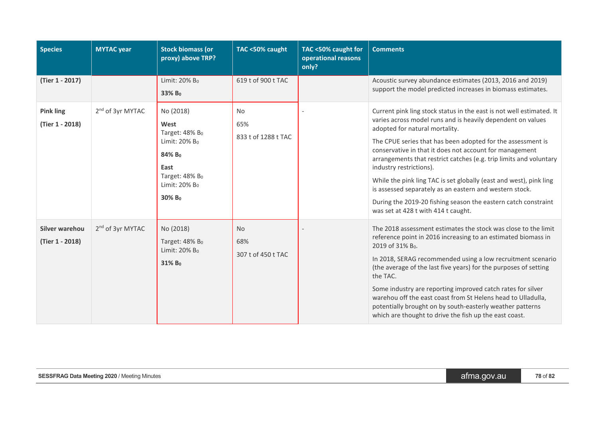| <b>Species</b>                      | <b>MYTAC</b> year            | <b>Stock biomass (or</b><br>proxy) above TRP?                                                                                                                          | TAC <50% caught                         | TAC <50% caught for<br>operational reasons<br>only? | <b>Comments</b>                                                                                                                                                                                                                                                                                                                                                                                                                                                                                                                                                                                                                            |
|-------------------------------------|------------------------------|------------------------------------------------------------------------------------------------------------------------------------------------------------------------|-----------------------------------------|-----------------------------------------------------|--------------------------------------------------------------------------------------------------------------------------------------------------------------------------------------------------------------------------------------------------------------------------------------------------------------------------------------------------------------------------------------------------------------------------------------------------------------------------------------------------------------------------------------------------------------------------------------------------------------------------------------------|
| (Tier 1 - 2017)                     |                              | Limit: 20% B <sub>0</sub><br>33% Bo                                                                                                                                    | 619 t of 900 t TAC                      |                                                     | Acoustic survey abundance estimates (2013, 2016 and 2019)<br>support the model predicted increases in biomass estimates.                                                                                                                                                                                                                                                                                                                                                                                                                                                                                                                   |
| <b>Pink ling</b><br>(Tier 1 - 2018) | 2 <sup>nd</sup> of 3yr MYTAC | No (2018)<br>West<br>Target: $48\%$ B <sub>0</sub><br>Limit: 20% B <sub>0</sub><br>84% Bo<br>East<br>Target: 48% Bo<br>Limit: 20% B <sub>0</sub><br>30% B <sub>0</sub> | <b>No</b><br>65%<br>833 t of 1288 t TAC |                                                     | Current pink ling stock status in the east is not well estimated. It<br>varies across model runs and is heavily dependent on values<br>adopted for natural mortality.<br>The CPUE series that has been adopted for the assessment is<br>conservative in that it does not account for management<br>arrangements that restrict catches (e.g. trip limits and voluntary<br>industry restrictions).<br>While the pink ling TAC is set globally (east and west), pink ling<br>is assessed separately as an eastern and western stock.<br>During the 2019-20 fishing season the eastern catch constraint<br>was set at 428 t with 414 t caught. |
| Silver warehou<br>(Tier 1 - 2018)   | 2 <sup>nd</sup> of 3yr MYTAC | No (2018)<br>Target: 48% Bo<br>Limit: 20% B <sub>0</sub><br>31% Bo                                                                                                     | <b>No</b><br>68%<br>307 t of 450 t TAC  |                                                     | The 2018 assessment estimates the stock was close to the limit<br>reference point in 2016 increasing to an estimated biomass in<br>2019 of 31% B <sub>0</sub> .<br>In 2018, SERAG recommended using a low recruitment scenario<br>(the average of the last five years) for the purposes of setting<br>the TAC.<br>Some industry are reporting improved catch rates for silver<br>warehou off the east coast from St Helens head to Ulladulla,<br>potentially brought on by south-easterly weather patterns<br>which are thought to drive the fish up the east coast.                                                                       |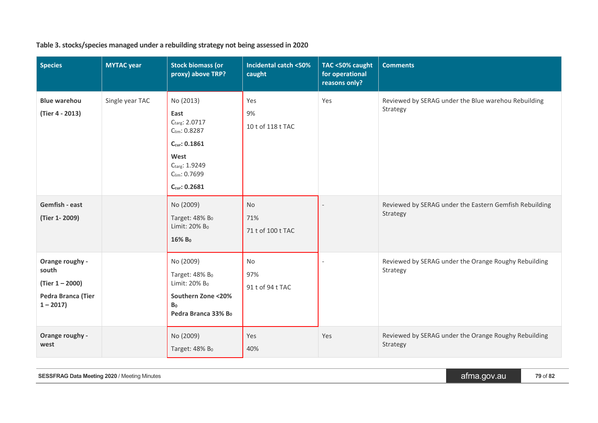| <b>Species</b>                                                                    | <b>MYTAC</b> year | <b>Stock biomass (or</b><br>proxy) above TRP?                                                                                            | <b>Incidental catch &lt;50%</b><br>caught | TAC <50% caught<br>for operational<br>reasons only? | <b>Comments</b>                                                    |
|-----------------------------------------------------------------------------------|-------------------|------------------------------------------------------------------------------------------------------------------------------------------|-------------------------------------------|-----------------------------------------------------|--------------------------------------------------------------------|
| <b>Blue warehou</b><br>(Tier 4 - 2013)                                            | Single year TAC   | No (2013)<br>East<br>Ctarg: 2.0717<br>Clim: 0.8287<br>Ccur: 0.1861<br>West<br>Ctarg: 1.9249<br>$C_{\text{lim}}$ : 0.7699<br>Ccur: 0.2681 | Yes<br>9%<br>10 t of 118 t TAC            | Yes                                                 | Reviewed by SERAG under the Blue warehou Rebuilding<br>Strategy    |
| Gemfish - east<br>(Tier 1-2009)                                                   |                   | No (2009)<br>Target: 48% B <sub>0</sub><br>Limit: 20% B <sub>0</sub><br>16% Bo                                                           | <b>No</b><br>71%<br>71 t of 100 t TAC     |                                                     | Reviewed by SERAG under the Eastern Gemfish Rebuilding<br>Strategy |
| Orange roughy -<br>south<br>$(Tier 1 - 2000)$<br>Pedra Branca (Tier<br>$1 - 2017$ |                   | No (2009)<br>Target: 48% Bo<br>Limit: 20% B <sub>0</sub><br>Southern Zone <20%<br>B <sub>0</sub><br>Pedra Branca 33% Bo                  | No<br>97%<br>91 t of 94 t TAC             |                                                     | Reviewed by SERAG under the Orange Roughy Rebuilding<br>Strategy   |
| Orange roughy -<br>west                                                           |                   | No (2009)<br>Target: 48% Bo                                                                                                              | Yes<br>40%                                | Yes                                                 | Reviewed by SERAG under the Orange Roughy Rebuilding<br>Strategy   |

## **Table 3. stocks/species managed under a rebuilding strategy not being assessed in 2020**

| <b>SESSFRAG Data Meeting 2020 / Meeting Minutes</b> | 'afma.gov.au | 79 of 82 |
|-----------------------------------------------------|--------------|----------|
|-----------------------------------------------------|--------------|----------|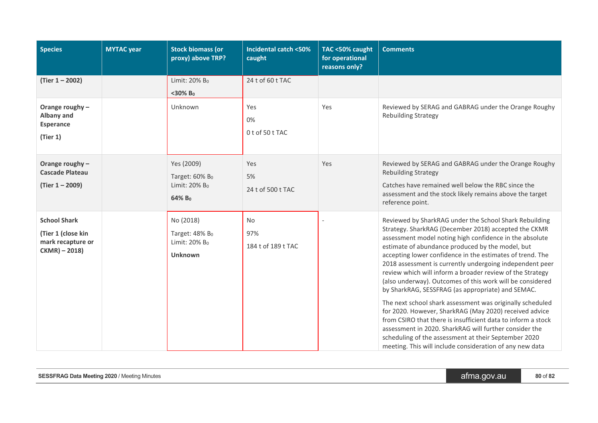| <b>Species</b>                                                                  | <b>MYTAC</b> year | <b>Stock biomass (or</b><br>proxy) above TRP?                                             | <b>Incidental catch &lt;50%</b><br>caught | TAC <50% caught<br>for operational<br>reasons only? | <b>Comments</b>                                                                                                                                                                                                                                                                                                                                                                                                                                                                                                                                                                                                                                                                                                                                                                                                                                                                                            |
|---------------------------------------------------------------------------------|-------------------|-------------------------------------------------------------------------------------------|-------------------------------------------|-----------------------------------------------------|------------------------------------------------------------------------------------------------------------------------------------------------------------------------------------------------------------------------------------------------------------------------------------------------------------------------------------------------------------------------------------------------------------------------------------------------------------------------------------------------------------------------------------------------------------------------------------------------------------------------------------------------------------------------------------------------------------------------------------------------------------------------------------------------------------------------------------------------------------------------------------------------------------|
| $(Tier 1 - 2002)$                                                               |                   | Limit: 20% B <sub>0</sub>                                                                 | 24 t of 60 t TAC                          |                                                     |                                                                                                                                                                                                                                                                                                                                                                                                                                                                                                                                                                                                                                                                                                                                                                                                                                                                                                            |
|                                                                                 |                   | $<$ 30% B <sub>0</sub>                                                                    |                                           |                                                     |                                                                                                                                                                                                                                                                                                                                                                                                                                                                                                                                                                                                                                                                                                                                                                                                                                                                                                            |
| Orange roughy -<br>Albany and<br><b>Esperance</b><br>(Tier 1)                   |                   | Unknown                                                                                   | Yes<br>0%<br>0t of 50t TAC                | Yes                                                 | Reviewed by SERAG and GABRAG under the Orange Roughy<br><b>Rebuilding Strategy</b>                                                                                                                                                                                                                                                                                                                                                                                                                                                                                                                                                                                                                                                                                                                                                                                                                         |
| Orange roughy -<br><b>Cascade Plateau</b><br>(Tier 1 - 2009)                    |                   | Yes (2009)<br>Target: 60% B <sub>0</sub><br>Limit: 20% B <sub>0</sub><br>64% Bo           | Yes<br>5%<br>24 t of 500 t TAC            | Yes                                                 | Reviewed by SERAG and GABRAG under the Orange Roughy<br><b>Rebuilding Strategy</b><br>Catches have remained well below the RBC since the<br>assessment and the stock likely remains above the target<br>reference point.                                                                                                                                                                                                                                                                                                                                                                                                                                                                                                                                                                                                                                                                                   |
| <b>School Shark</b><br>(Tier 1 (close kin<br>mark recapture or<br>CKMR) - 2018) |                   | No (2018)<br>Target: $48\%$ B <sub>0</sub><br>Limit: 20% B <sub>0</sub><br><b>Unknown</b> | No<br>97%<br>184 t of 189 t TAC           |                                                     | Reviewed by SharkRAG under the School Shark Rebuilding<br>Strategy. SharkRAG (December 2018) accepted the CKMR<br>assessment model noting high confidence in the absolute<br>estimate of abundance produced by the model, but<br>accepting lower confidence in the estimates of trend. The<br>2018 assessment is currently undergoing independent peer<br>review which will inform a broader review of the Strategy<br>(also underway). Outcomes of this work will be considered<br>by SharkRAG, SESSFRAG (as appropriate) and SEMAC.<br>The next school shark assessment was originally scheduled<br>for 2020. However, SharkRAG (May 2020) received advice<br>from CSIRO that there is insufficient data to inform a stock<br>assessment in 2020. SharkRAG will further consider the<br>scheduling of the assessment at their September 2020<br>meeting. This will include consideration of any new data |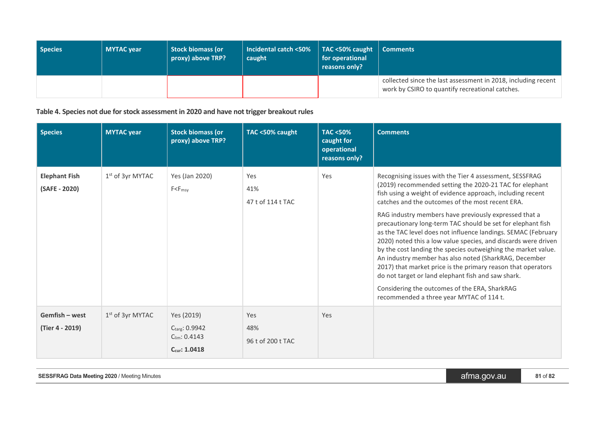| Species | <b>MYTAC year</b> | Stock biomass (or<br>proxy) above TRP? | <b>Incidental catch &lt;50%</b><br>caught | TAC <50% caught<br>for operational<br>reasons only? | <b>Comments</b>                                                                                                  |
|---------|-------------------|----------------------------------------|-------------------------------------------|-----------------------------------------------------|------------------------------------------------------------------------------------------------------------------|
|         |                   |                                        |                                           |                                                     | collected since the last assessment in 2018, including recent<br>work by CSIRO to quantify recreational catches. |

**Table 4. Species not due for stock assessment in 2020 and have not trigger breakout rules**

| <b>Species</b>                        | <b>MYTAC</b> year            | <b>Stock biomass (or</b><br>proxy) above TRP?                            | TAC <50% caught                 | <b>TAC &lt;50%</b><br>caught for<br>operational<br>reasons only? | <b>Comments</b>                                                                                                                                                                                                                                                                                                                                                                                                                                                                                                                                                                                                                                                                                                                                                                                                                              |
|---------------------------------------|------------------------------|--------------------------------------------------------------------------|---------------------------------|------------------------------------------------------------------|----------------------------------------------------------------------------------------------------------------------------------------------------------------------------------------------------------------------------------------------------------------------------------------------------------------------------------------------------------------------------------------------------------------------------------------------------------------------------------------------------------------------------------------------------------------------------------------------------------------------------------------------------------------------------------------------------------------------------------------------------------------------------------------------------------------------------------------------|
| <b>Elephant Fish</b><br>(SAFE - 2020) | 1 <sup>st</sup> of 3yr MYTAC | Yes (Jan 2020)<br>$F < F_{msy}$                                          | Yes<br>41%<br>47 t of 114 t TAC | Yes                                                              | Recognising issues with the Tier 4 assessment, SESSFRAG<br>(2019) recommended setting the 2020-21 TAC for elephant<br>fish using a weight of evidence approach, including recent<br>catches and the outcomes of the most recent ERA.<br>RAG industry members have previously expressed that a<br>precautionary long-term TAC should be set for elephant fish<br>as the TAC level does not influence landings. SEMAC (February<br>2020) noted this a low value species, and discards were driven<br>by the cost landing the species outweighing the market value.<br>An industry member has also noted (SharkRAG, December<br>2017) that market price is the primary reason that operators<br>do not target or land elephant fish and saw shark.<br>Considering the outcomes of the ERA, SharkRAG<br>recommended a three year MYTAC of 114 t. |
| Gemfish - west<br>(Tier 4 - 2019)     | $1st$ of 3yr MYTAC           | Yes (2019)<br>Ctarg: 0.9942<br>$C_{\text{lim}}$ : 0.4143<br>Ccur: 1.0418 | Yes<br>48%<br>96 t of 200 t TAC | Yes                                                              |                                                                                                                                                                                                                                                                                                                                                                                                                                                                                                                                                                                                                                                                                                                                                                                                                                              |

**SESSFRAG** Data Meeting 2020 / Meeting Minutes **81** of 82